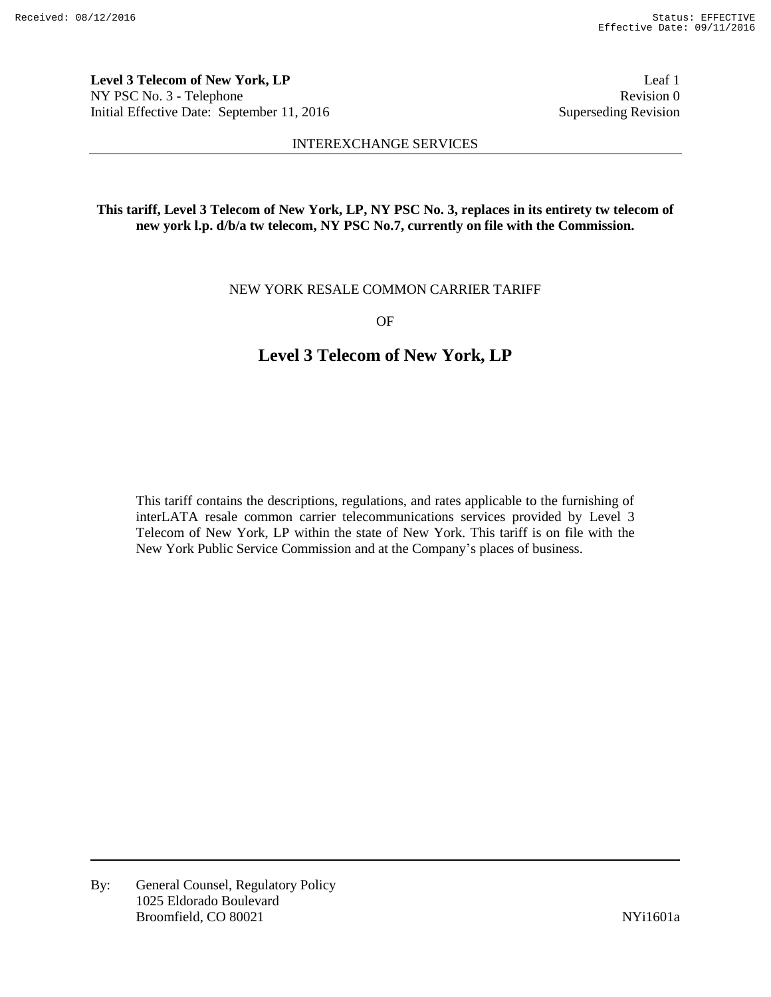**Level 3 Telecom of New York, LP** Leaf 1 NY PSC No. 3 - Telephone Revision 0 Initial Effective Date: September 11, 2016 Superseding Revision

#### INTEREXCHANGE SERVICES

# **This tariff, Level 3 Telecom of New York, LP, NY PSC No. 3, replaces in its entirety tw telecom of new york l.p. d/b/a tw telecom, NY PSC No.7, currently on file with the Commission.**

NEW YORK RESALE COMMON CARRIER TARIFF

OF

# **Level 3 Telecom of New York, LP**

This tariff contains the descriptions, regulations, and rates applicable to the furnishing of interLATA resale common carrier telecommunications services provided by Level 3 Telecom of New York, LP within the state of New York. This tariff is on file with the New York Public Service Commission and at the Company's places of business.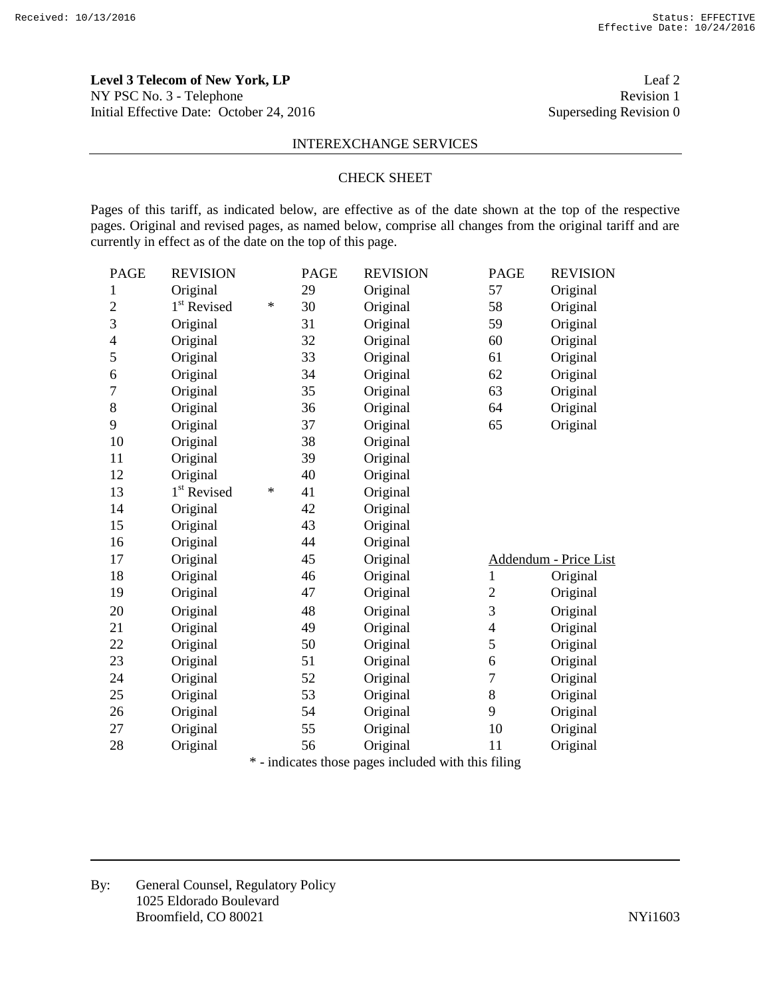**Level 3 Telecom of New York, LP** Leaf 2 NY PSC No. 3 - Telephone Revision 1 Initial Effective Date: October 24, 2016 Superseding Revision 0

#### INTEREXCHANGE SERVICES

#### CHECK SHEET

Pages of this tariff, as indicated below, are effective as of the date shown at the top of the respective pages. Original and revised pages, as named below, comprise all changes from the original tariff and are currently in effect as of the date on the top of this page.

| <b>PAGE</b>    | <b>REVISION</b>         |   | <b>PAGE</b>                       | <b>REVISION</b>                                       | <b>PAGE</b>    | <b>REVISION</b>       |
|----------------|-------------------------|---|-----------------------------------|-------------------------------------------------------|----------------|-----------------------|
| $\mathbf{1}$   | Original                |   | 29                                | Original                                              | 57             | Original              |
| $\overline{2}$ | 1 <sup>st</sup> Revised | ∗ | 30                                | Original                                              | 58             | Original              |
| 3              | Original                |   | 31                                | Original                                              | 59             | Original              |
| $\overline{4}$ | Original                |   | 32                                | Original                                              | 60             | Original              |
| 5              | Original                |   | 33                                | Original                                              | 61             | Original              |
| 6              | Original                |   | 34                                | Original                                              | 62             | Original              |
| $\overline{7}$ | Original                |   | 35                                | Original                                              | 63             | Original              |
| $8\,$          | Original                |   | 36                                | Original                                              | 64             | Original              |
| 9              | Original                |   | 37                                | Original                                              | 65             | Original              |
| 10             | Original                |   | 38                                | Original                                              |                |                       |
| 11             | Original                |   | 39                                | Original                                              |                |                       |
| 12             | Original                |   | 40                                | Original                                              |                |                       |
| 13             | 1 <sup>st</sup> Revised | ∗ | 41                                | Original                                              |                |                       |
| 14             | Original                |   | 42                                | Original                                              |                |                       |
| 15             | Original                |   | 43                                | Original                                              |                |                       |
| 16             | Original                |   | 44                                | Original                                              |                |                       |
| 17             | Original                |   | 45                                | Original                                              |                | Addendum - Price List |
| 18             | Original                |   | 46                                | Original                                              | $\mathbf{1}$   | Original              |
| 19             | Original                |   | 47                                | Original                                              | $\overline{c}$ | Original              |
| 20             | Original                |   | 48                                | Original                                              | 3              | Original              |
| 21             | Original                |   | 49                                | Original                                              | 4              | Original              |
| 22             | Original                |   | 50                                | Original                                              | 5              | Original              |
| 23             | Original                |   | 51                                | Original                                              | 6              | Original              |
| 24             | Original                |   | 52                                | Original                                              | 7              | Original              |
| 25             | Original                |   | 53                                | Original                                              | 8              | Original              |
| 26             | Original                |   | 54                                | Original                                              | 9              | Original              |
| 27             | Original                |   | 55                                | Original                                              | 10             | Original              |
| 28             | Original                |   | 56                                | Original                                              | 11             | Original              |
|                | ske i                   |   | المجاهد والفاجه والمحالة والمستلة | وباللثاء والملوط والتاريخ الموالية والمواردة والموارد |                |                       |

\* - indicates those pages included with this filing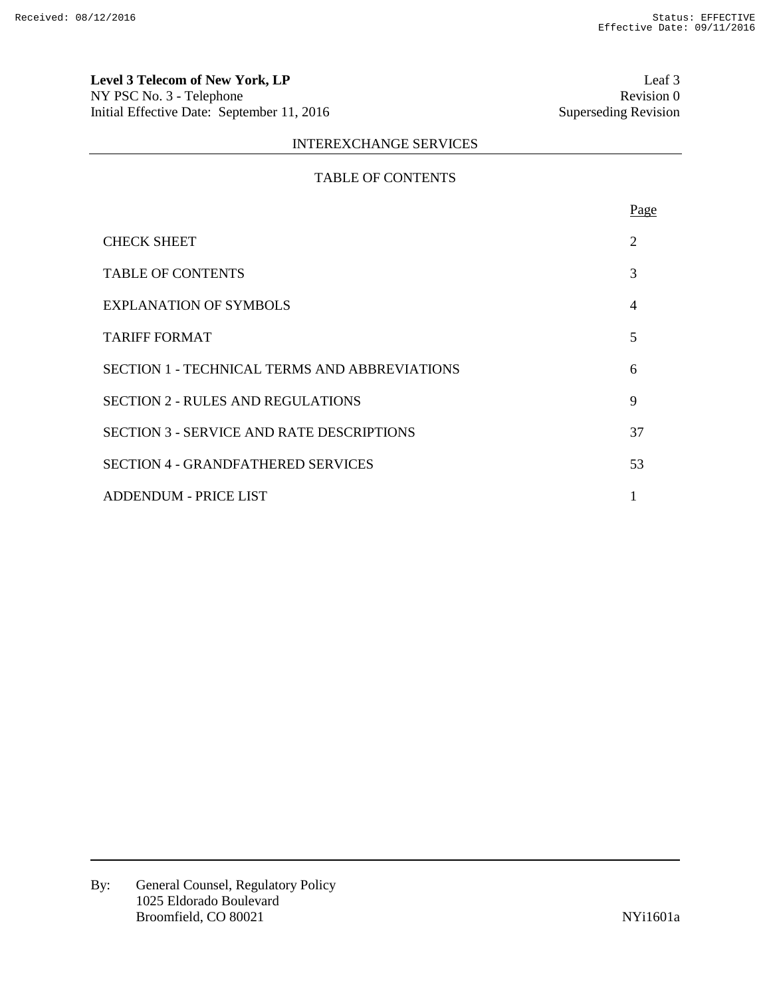**Level 3 Telecom of New York, LP** Leaf 3<br>
NY PSC No. 3 - Telephone Revision 0 NY PSC No. 3 - Telephone Revision 0<br>
Initial Effective Date: September 11, 2016 Superseding Revision 0 Initial Effective Date: September 11, 2016

# INTEREXCHANGE SERVICES

# TABLE OF CONTENTS

|                                                  | Page           |
|--------------------------------------------------|----------------|
| <b>CHECK SHEET</b>                               | 2              |
| <b>TABLE OF CONTENTS</b>                         | 3              |
| <b>EXPLANATION OF SYMBOLS</b>                    | $\overline{4}$ |
| TARIFF FORMAT                                    | 5              |
| SECTION 1 - TECHNICAL TERMS AND ABBREVIATIONS    | 6              |
| <b>SECTION 2 - RULES AND REGULATIONS</b>         | 9              |
| <b>SECTION 3 - SERVICE AND RATE DESCRIPTIONS</b> | 37             |
| <b>SECTION 4 - GRANDFATHERED SERVICES</b>        | 53             |
| <b>ADDENDUM - PRICE LIST</b>                     |                |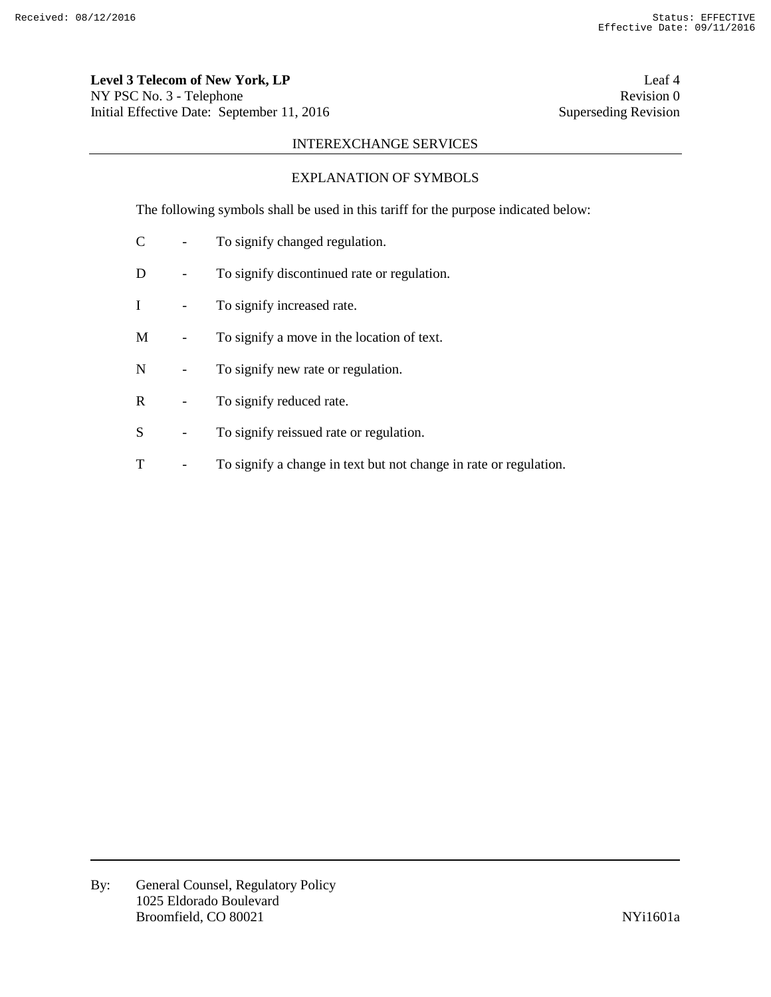**Level 3 Telecom of New York, LP** Leaf 4 NY PSC No. 3 - Telephone Revision 0 Initial Effective Date: September 11, 2016 Superseding Revision

# INTEREXCHANGE SERVICES

# EXPLANATION OF SYMBOLS

The following symbols shall be used in this tariff for the purpose indicated below:

- C To signify changed regulation.
- D To signify discontinued rate or regulation.
- I To signify increased rate.
- M To signify a move in the location of text.
- N To signify new rate or regulation.
- R To signify reduced rate.
- S To signify reissued rate or regulation.
- T To signify a change in text but not change in rate or regulation.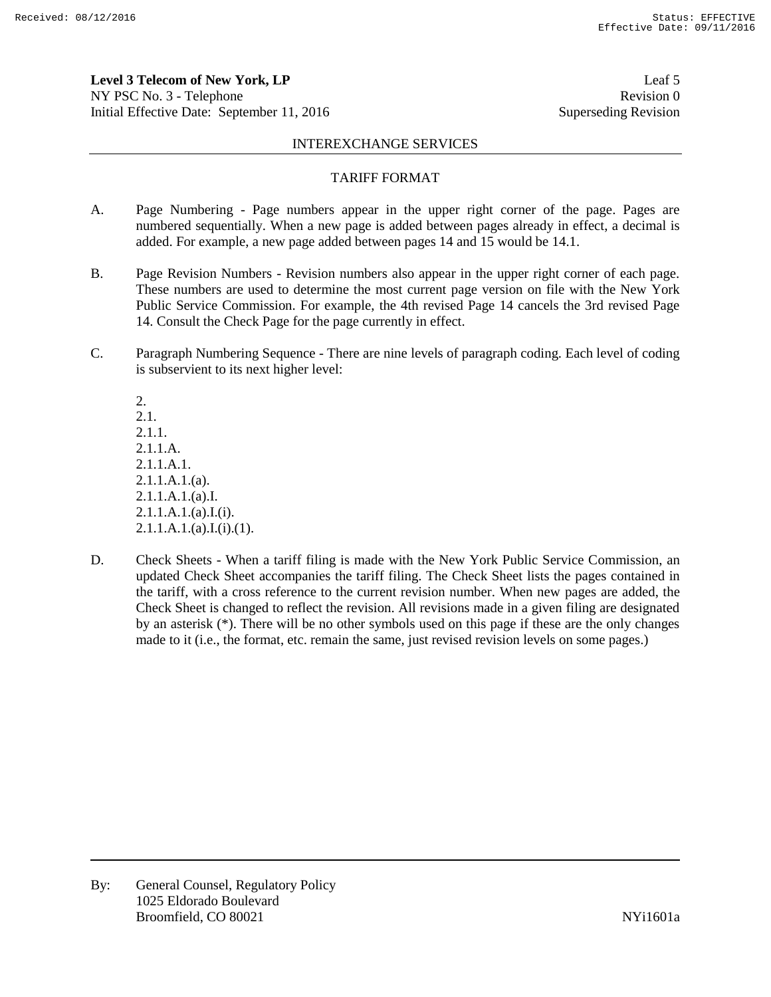**Level 3 Telecom of New York, LP** Leaf 5 NY PSC No. 3 - Telephone Revision 0 Initial Effective Date: September 11, 2016 Superseding Revision

#### INTEREXCHANGE SERVICES

#### TARIFF FORMAT

- A. Page Numbering Page numbers appear in the upper right corner of the page. Pages are numbered sequentially. When a new page is added between pages already in effect, a decimal is added. For example, a new page added between pages 14 and 15 would be 14.1.
- B. Page Revision Numbers Revision numbers also appear in the upper right corner of each page. These numbers are used to determine the most current page version on file with the New York Public Service Commission. For example, the 4th revised Page 14 cancels the 3rd revised Page 14. Consult the Check Page for the page currently in effect.
- C. Paragraph Numbering Sequence There are nine levels of paragraph coding. Each level of coding is subservient to its next higher level:

2. 2.1. 2.1.1. 2.1.1.A. 2.1.1.A.1. 2.1.1.A.1.(a). 2.1.1.A.1.(a).I. 2.1.1.A.1.(a).I.(i).  $2.1.1.A.1.(a).I.(i).(1).$ 

D. Check Sheets - When a tariff filing is made with the New York Public Service Commission, an updated Check Sheet accompanies the tariff filing. The Check Sheet lists the pages contained in the tariff, with a cross reference to the current revision number. When new pages are added, the Check Sheet is changed to reflect the revision. All revisions made in a given filing are designated by an asterisk (\*). There will be no other symbols used on this page if these are the only changes made to it (i.e., the format, etc. remain the same, just revised revision levels on some pages.)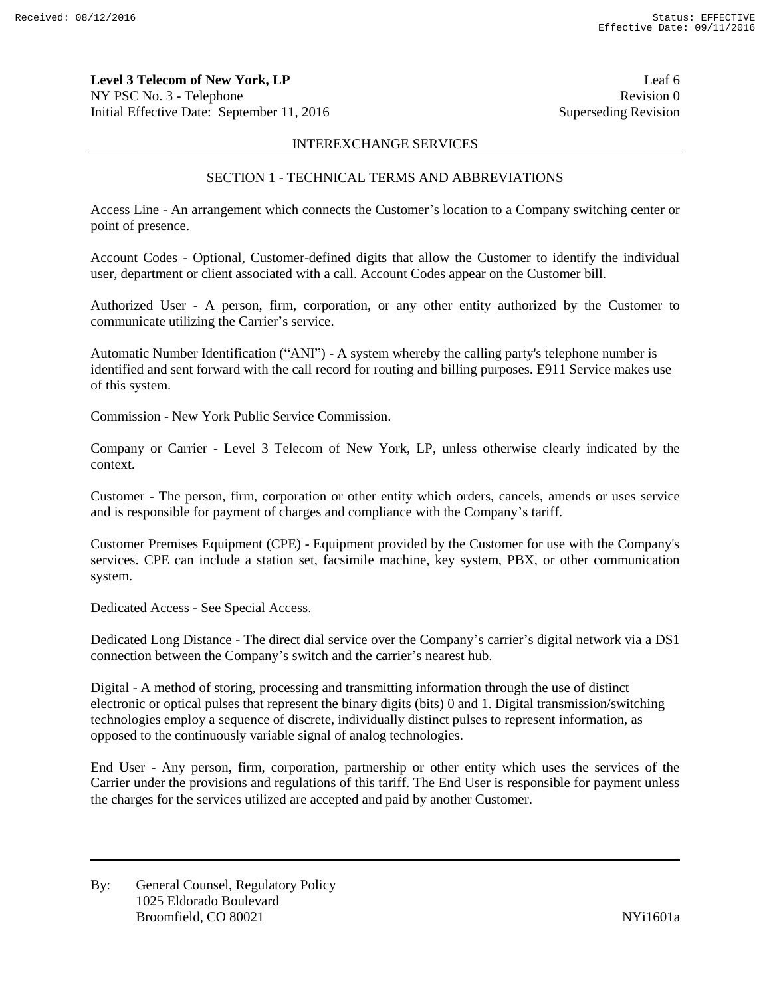**Level 3 Telecom of New York, LP** Leaf 6 NY PSC No. 3 - Telephone Revision 0 Initial Effective Date: September 11, 2016 Superseding Revision

## INTEREXCHANGE SERVICES

# SECTION 1 - TECHNICAL TERMS AND ABBREVIATIONS

Access Line - An arrangement which connects the Customer's location to a Company switching center or point of presence.

Account Codes - Optional, Customer-defined digits that allow the Customer to identify the individual user, department or client associated with a call. Account Codes appear on the Customer bill.

Authorized User - A person, firm, corporation, or any other entity authorized by the Customer to communicate utilizing the Carrier's service.

Automatic Number Identification ("ANI") - A system whereby the calling party's telephone number is identified and sent forward with the call record for routing and billing purposes. E911 Service makes use of this system.

Commission - New York Public Service Commission.

Company or Carrier - Level 3 Telecom of New York, LP, unless otherwise clearly indicated by the context.

Customer - The person, firm, corporation or other entity which orders, cancels, amends or uses service and is responsible for payment of charges and compliance with the Company's tariff.

Customer Premises Equipment (CPE) - Equipment provided by the Customer for use with the Company's services. CPE can include a station set, facsimile machine, key system, PBX, or other communication system.

Dedicated Access - See Special Access.

Dedicated Long Distance - The direct dial service over the Company's carrier's digital network via a DS1 connection between the Company's switch and the carrier's nearest hub.

Digital - A method of storing, processing and transmitting information through the use of distinct electronic or optical pulses that represent the binary digits (bits) 0 and 1. Digital transmission/switching technologies employ a sequence of discrete, individually distinct pulses to represent information, as opposed to the continuously variable signal of analog technologies.

End User - Any person, firm, corporation, partnership or other entity which uses the services of the Carrier under the provisions and regulations of this tariff. The End User is responsible for payment unless the charges for the services utilized are accepted and paid by another Customer.

By: General Counsel, Regulatory Policy 1025 Eldorado Boulevard Broomfield, CO 80021 and the state of the state of the SNYi1601a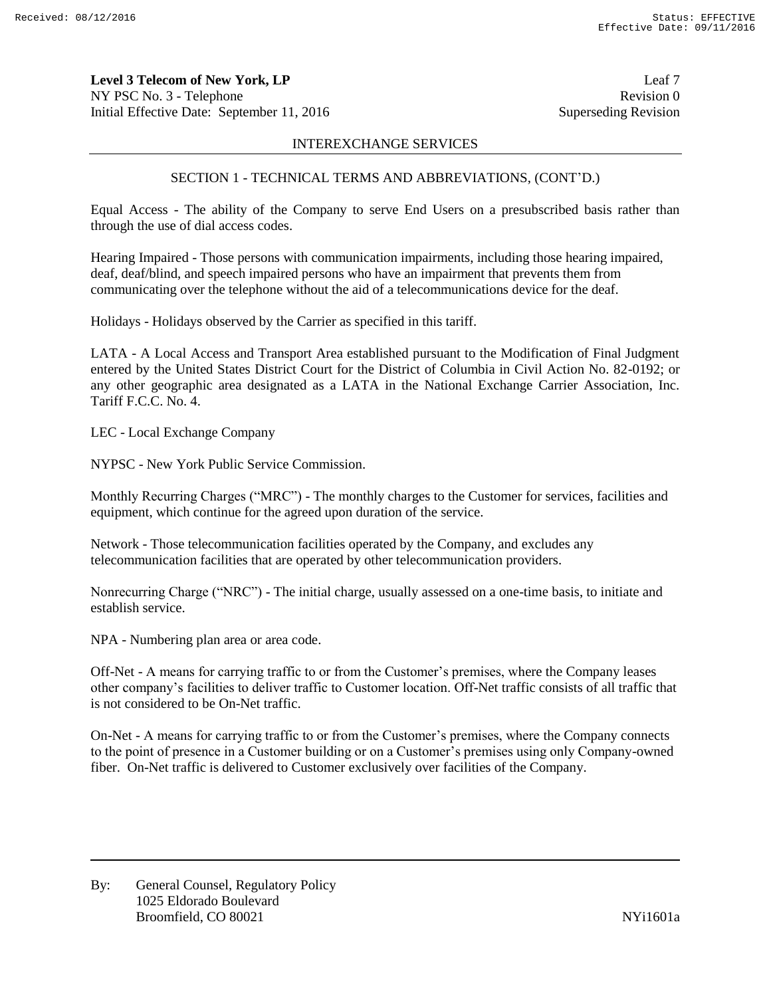**Level 3 Telecom of New York, LP** Leaf 7 NY PSC No. 3 - Telephone Revision 0 Initial Effective Date: September 11, 2016 Superseding Revision

#### INTEREXCHANGE SERVICES

# SECTION 1 - TECHNICAL TERMS AND ABBREVIATIONS, (CONT'D.)

Equal Access - The ability of the Company to serve End Users on a presubscribed basis rather than through the use of dial access codes.

Hearing Impaired - Those persons with communication impairments, including those hearing impaired, deaf, deaf/blind, and speech impaired persons who have an impairment that prevents them from communicating over the telephone without the aid of a telecommunications device for the deaf.

Holidays - Holidays observed by the Carrier as specified in this tariff.

LATA - A Local Access and Transport Area established pursuant to the Modification of Final Judgment entered by the United States District Court for the District of Columbia in Civil Action No. 82-0192; or any other geographic area designated as a LATA in the National Exchange Carrier Association, Inc. Tariff F.C.C. No. 4.

LEC - Local Exchange Company

NYPSC - New York Public Service Commission.

Monthly Recurring Charges ("MRC") - The monthly charges to the Customer for services, facilities and equipment, which continue for the agreed upon duration of the service.

Network - Those telecommunication facilities operated by the Company, and excludes any telecommunication facilities that are operated by other telecommunication providers.

Nonrecurring Charge ("NRC") - The initial charge, usually assessed on a one-time basis, to initiate and establish service.

NPA - Numbering plan area or area code.

Off-Net - A means for carrying traffic to or from the Customer's premises, where the Company leases other company's facilities to deliver traffic to Customer location. Off-Net traffic consists of all traffic that is not considered to be On-Net traffic.

On-Net - A means for carrying traffic to or from the Customer's premises, where the Company connects to the point of presence in a Customer building or on a Customer's premises using only Company-owned fiber. On-Net traffic is delivered to Customer exclusively over facilities of the Company.

By: General Counsel, Regulatory Policy 1025 Eldorado Boulevard Broomfield, CO 80021 and the state of the state of the SNYi1601a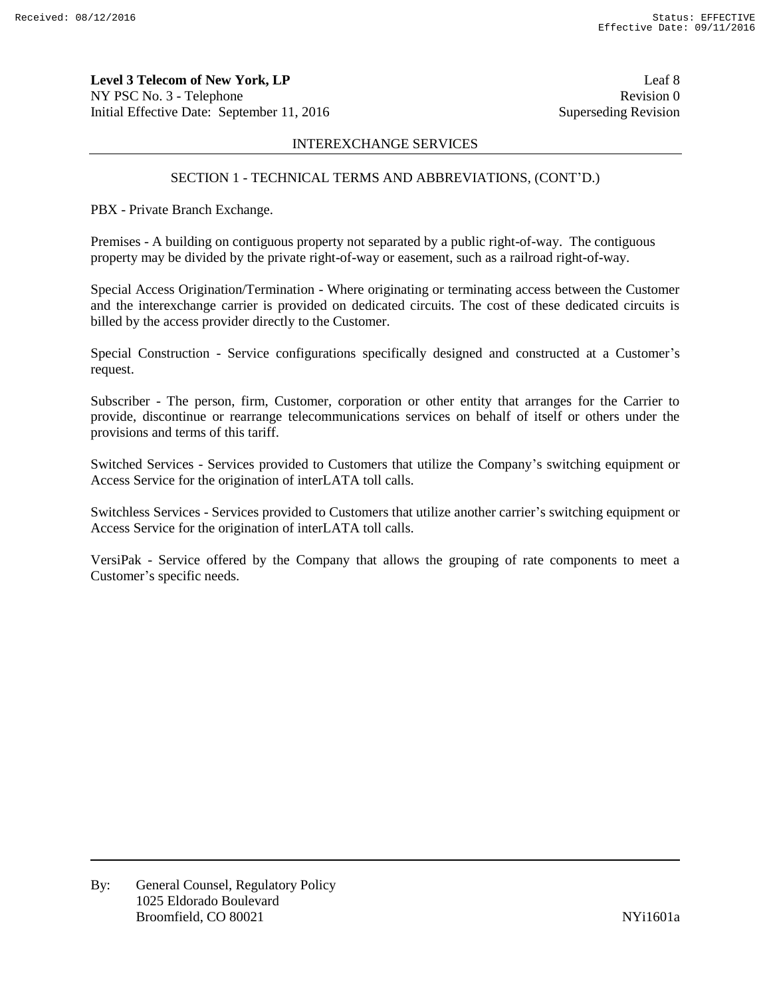**Level 3 Telecom of New York, LP** Leaf 8 NY PSC No. 3 - Telephone Revision 0 Initial Effective Date: September 11, 2016 Superseding Revision

### INTEREXCHANGE SERVICES

### SECTION 1 - TECHNICAL TERMS AND ABBREVIATIONS, (CONT'D.)

PBX - Private Branch Exchange.

Premises - A building on contiguous property not separated by a public right-of-way. The contiguous property may be divided by the private right-of-way or easement, such as a railroad right-of-way.

Special Access Origination/Termination - Where originating or terminating access between the Customer and the interexchange carrier is provided on dedicated circuits. The cost of these dedicated circuits is billed by the access provider directly to the Customer.

Special Construction - Service configurations specifically designed and constructed at a Customer's request.

Subscriber - The person, firm, Customer, corporation or other entity that arranges for the Carrier to provide, discontinue or rearrange telecommunications services on behalf of itself or others under the provisions and terms of this tariff.

Switched Services - Services provided to Customers that utilize the Company's switching equipment or Access Service for the origination of interLATA toll calls.

Switchless Services - Services provided to Customers that utilize another carrier's switching equipment or Access Service for the origination of interLATA toll calls.

VersiPak - Service offered by the Company that allows the grouping of rate components to meet a Customer's specific needs.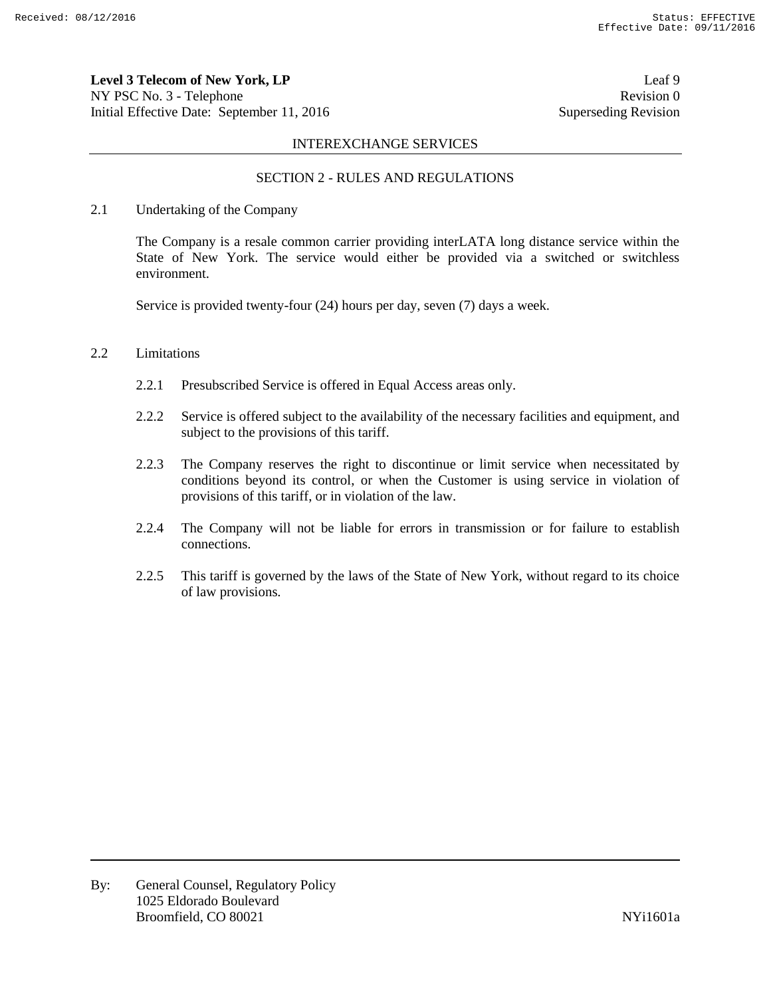**Level 3 Telecom of New York, LP** Leaf 9 NY PSC No. 3 - Telephone Revision 0 Initial Effective Date: September 11, 2016 Superseding Revision

#### INTEREXCHANGE SERVICES

# SECTION 2 - RULES AND REGULATIONS

#### 2.1 Undertaking of the Company

The Company is a resale common carrier providing interLATA long distance service within the State of New York. The service would either be provided via a switched or switchless environment.

Service is provided twenty-four (24) hours per day, seven (7) days a week.

### 2.2 Limitations

- 2.2.1 Presubscribed Service is offered in Equal Access areas only.
- 2.2.2 Service is offered subject to the availability of the necessary facilities and equipment, and subject to the provisions of this tariff.
- 2.2.3 The Company reserves the right to discontinue or limit service when necessitated by conditions beyond its control, or when the Customer is using service in violation of provisions of this tariff, or in violation of the law.
- 2.2.4 The Company will not be liable for errors in transmission or for failure to establish connections.
- 2.2.5 This tariff is governed by the laws of the State of New York, without regard to its choice of law provisions.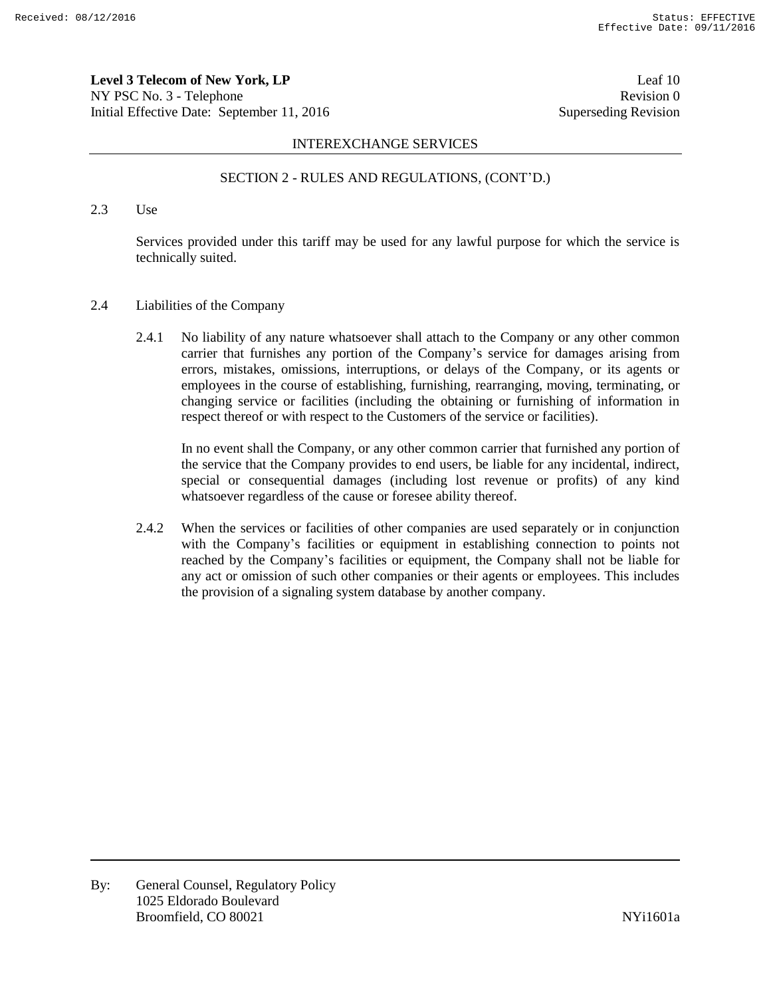**Level 3 Telecom of New York, LP** Leaf 10 NY PSC No. 3 - Telephone Revision 0 Initial Effective Date: September 11, 2016 Superseding Revision

#### INTEREXCHANGE SERVICES

### SECTION 2 - RULES AND REGULATIONS, (CONT'D.)

2.3 Use

Services provided under this tariff may be used for any lawful purpose for which the service is technically suited.

- 2.4 Liabilities of the Company
	- 2.4.1 No liability of any nature whatsoever shall attach to the Company or any other common carrier that furnishes any portion of the Company's service for damages arising from errors, mistakes, omissions, interruptions, or delays of the Company, or its agents or employees in the course of establishing, furnishing, rearranging, moving, terminating, or changing service or facilities (including the obtaining or furnishing of information in respect thereof or with respect to the Customers of the service or facilities).

In no event shall the Company, or any other common carrier that furnished any portion of the service that the Company provides to end users, be liable for any incidental, indirect, special or consequential damages (including lost revenue or profits) of any kind whatsoever regardless of the cause or foresee ability thereof.

2.4.2 When the services or facilities of other companies are used separately or in conjunction with the Company's facilities or equipment in establishing connection to points not reached by the Company's facilities or equipment, the Company shall not be liable for any act or omission of such other companies or their agents or employees. This includes the provision of a signaling system database by another company.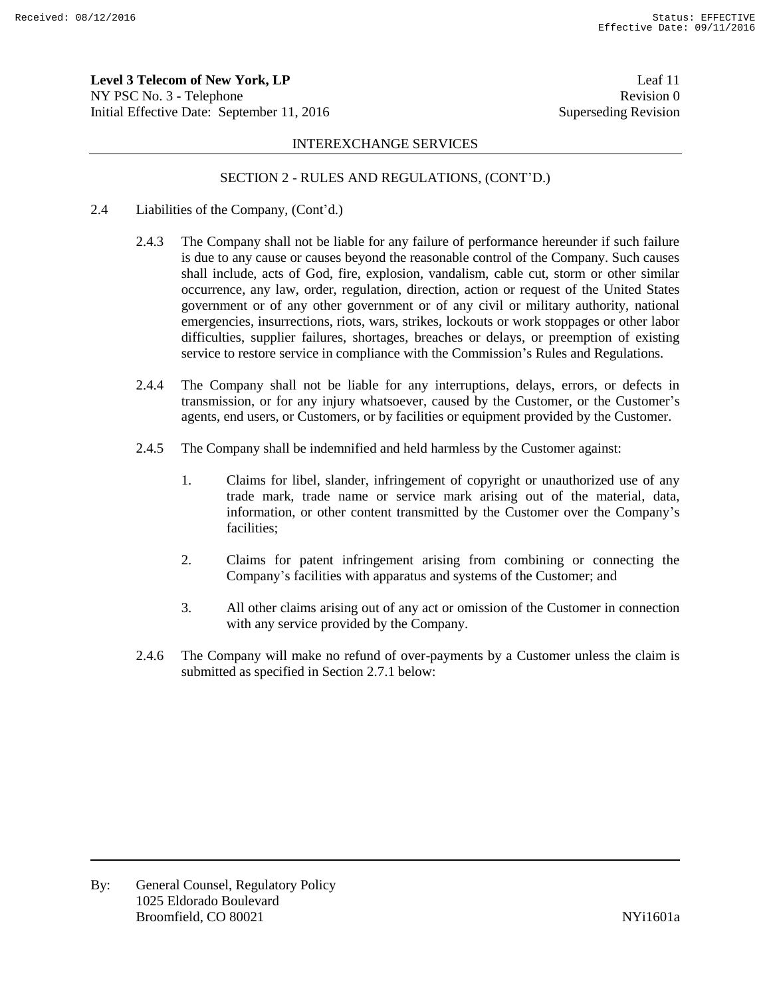**Level 3 Telecom of New York, LP** Leaf 11 NY PSC No. 3 - Telephone Revision 0 Initial Effective Date: September 11, 2016 Superseding Revision

#### INTEREXCHANGE SERVICES

### SECTION 2 - RULES AND REGULATIONS, (CONT'D.)

- 2.4 Liabilities of the Company, (Cont'd.)
	- 2.4.3 The Company shall not be liable for any failure of performance hereunder if such failure is due to any cause or causes beyond the reasonable control of the Company. Such causes shall include, acts of God, fire, explosion, vandalism, cable cut, storm or other similar occurrence, any law, order, regulation, direction, action or request of the United States government or of any other government or of any civil or military authority, national emergencies, insurrections, riots, wars, strikes, lockouts or work stoppages or other labor difficulties, supplier failures, shortages, breaches or delays, or preemption of existing service to restore service in compliance with the Commission's Rules and Regulations.
	- 2.4.4 The Company shall not be liable for any interruptions, delays, errors, or defects in transmission, or for any injury whatsoever, caused by the Customer, or the Customer's agents, end users, or Customers, or by facilities or equipment provided by the Customer.
	- 2.4.5 The Company shall be indemnified and held harmless by the Customer against:
		- 1. Claims for libel, slander, infringement of copyright or unauthorized use of any trade mark, trade name or service mark arising out of the material, data, information, or other content transmitted by the Customer over the Company's facilities;
		- 2. Claims for patent infringement arising from combining or connecting the Company's facilities with apparatus and systems of the Customer; and
		- 3. All other claims arising out of any act or omission of the Customer in connection with any service provided by the Company.
	- 2.4.6 The Company will make no refund of over-payments by a Customer unless the claim is submitted as specified in Section 2.7.1 below: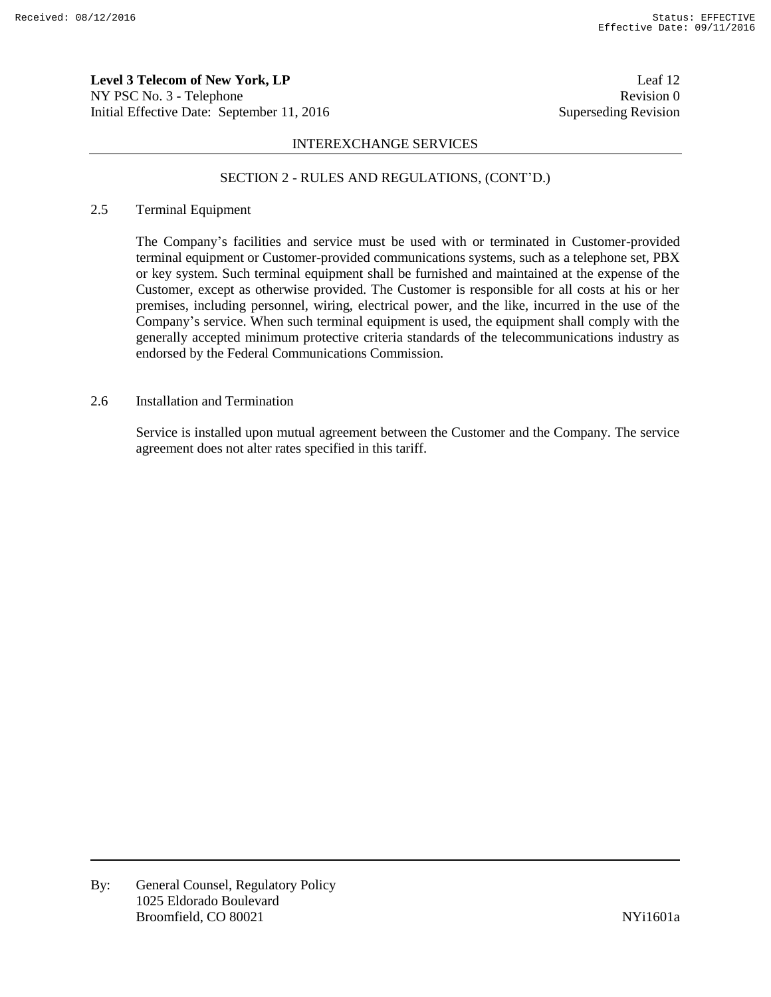**Level 3 Telecom of New York, LP** Leaf 12 NY PSC No. 3 - Telephone Revision 0 Initial Effective Date: September 11, 2016 Superseding Revision

### INTEREXCHANGE SERVICES

# SECTION 2 - RULES AND REGULATIONS, (CONT'D.)

# 2.5 Terminal Equipment

The Company's facilities and service must be used with or terminated in Customer-provided terminal equipment or Customer-provided communications systems, such as a telephone set, PBX or key system. Such terminal equipment shall be furnished and maintained at the expense of the Customer, except as otherwise provided. The Customer is responsible for all costs at his or her premises, including personnel, wiring, electrical power, and the like, incurred in the use of the Company's service. When such terminal equipment is used, the equipment shall comply with the generally accepted minimum protective criteria standards of the telecommunications industry as endorsed by the Federal Communications Commission.

# 2.6 Installation and Termination

Service is installed upon mutual agreement between the Customer and the Company. The service agreement does not alter rates specified in this tariff.

By: General Counsel, Regulatory Policy 1025 Eldorado Boulevard Broomfield, CO 80021 NYi1601a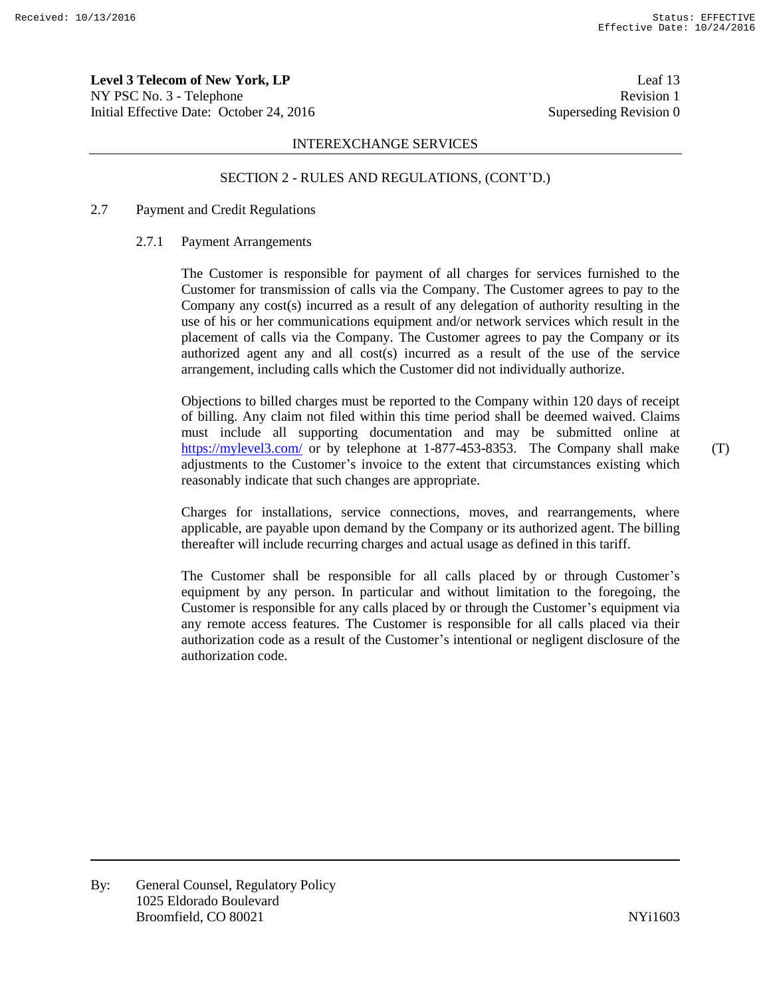**Level 3 Telecom of New York, LP** Leaf 13 NY PSC No. 3 - Telephone Revision 1 Initial Effective Date: October 24, 2016 Superseding Revision 0

#### INTEREXCHANGE SERVICES

#### SECTION 2 - RULES AND REGULATIONS, (CONT'D.)

## 2.7 Payment and Credit Regulations

#### 2.7.1 Payment Arrangements

The Customer is responsible for payment of all charges for services furnished to the Customer for transmission of calls via the Company. The Customer agrees to pay to the Company any cost(s) incurred as a result of any delegation of authority resulting in the use of his or her communications equipment and/or network services which result in the placement of calls via the Company. The Customer agrees to pay the Company or its authorized agent any and all cost(s) incurred as a result of the use of the service arrangement, including calls which the Customer did not individually authorize.

Objections to billed charges must be reported to the Company within 120 days of receipt of billing. Any claim not filed within this time period shall be deemed waived. Claims must include all supporting documentation and may be submitted online at https://mylevel3.com/ or by telephone at 1-877-453-8353. The Company shall make adjustments to the Customer's invoice to the extent that circumstances existing which reasonably indicate that such changes are appropriate.

Charges for installations, service connections, moves, and rearrangements, where applicable, are payable upon demand by the Company or its authorized agent. The billing thereafter will include recurring charges and actual usage as defined in this tariff.

The Customer shall be responsible for all calls placed by or through Customer's equipment by any person. In particular and without limitation to the foregoing, the Customer is responsible for any calls placed by or through the Customer's equipment via any remote access features. The Customer is responsible for all calls placed via their authorization code as a result of the Customer's intentional or negligent disclosure of the authorization code.

(T)

By: General Counsel, Regulatory Policy 1025 Eldorado Boulevard Broomfield, CO 80021 NYi1603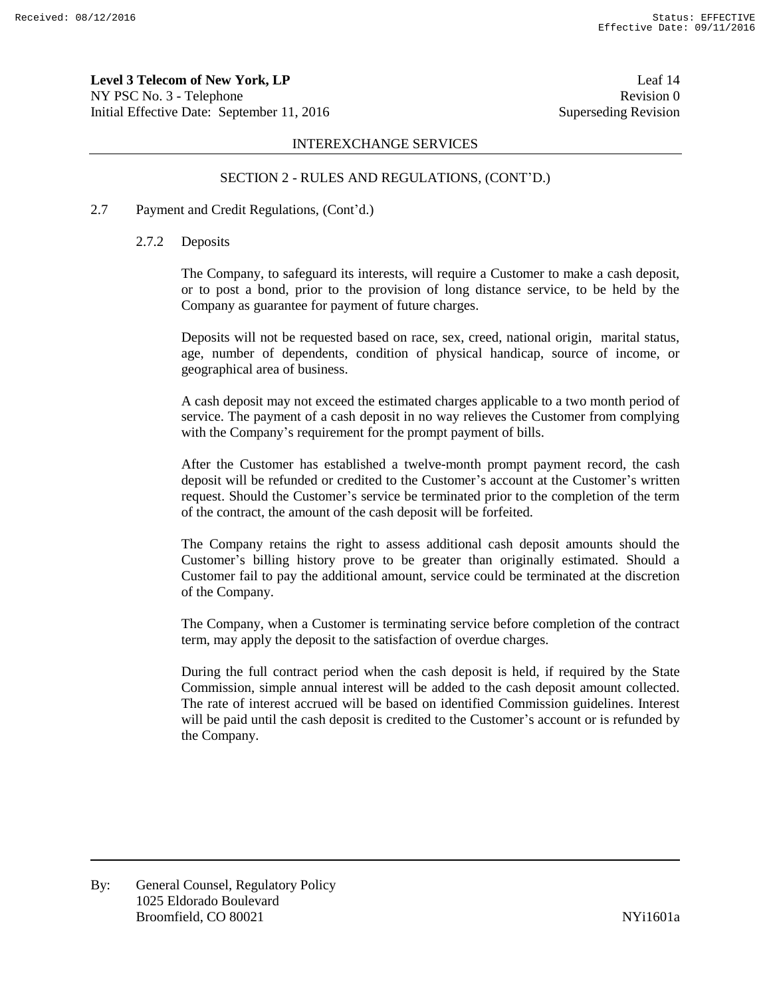**Level 3 Telecom of New York, LP** Leaf 14 NY PSC No. 3 - Telephone Revision 0 Initial Effective Date: September 11, 2016 Superseding Revision

### INTEREXCHANGE SERVICES

# SECTION 2 - RULES AND REGULATIONS, (CONT'D.)

# 2.7 Payment and Credit Regulations, (Cont'd.)

### 2.7.2 Deposits

The Company, to safeguard its interests, will require a Customer to make a cash deposit, or to post a bond, prior to the provision of long distance service, to be held by the Company as guarantee for payment of future charges.

Deposits will not be requested based on race, sex, creed, national origin, marital status, age, number of dependents, condition of physical handicap, source of income, or geographical area of business.

A cash deposit may not exceed the estimated charges applicable to a two month period of service. The payment of a cash deposit in no way relieves the Customer from complying with the Company's requirement for the prompt payment of bills.

After the Customer has established a twelve-month prompt payment record, the cash deposit will be refunded or credited to the Customer's account at the Customer's written request. Should the Customer's service be terminated prior to the completion of the term of the contract, the amount of the cash deposit will be forfeited.

The Company retains the right to assess additional cash deposit amounts should the Customer's billing history prove to be greater than originally estimated. Should a Customer fail to pay the additional amount, service could be terminated at the discretion of the Company.

The Company, when a Customer is terminating service before completion of the contract term, may apply the deposit to the satisfaction of overdue charges.

During the full contract period when the cash deposit is held, if required by the State Commission, simple annual interest will be added to the cash deposit amount collected. The rate of interest accrued will be based on identified Commission guidelines. Interest will be paid until the cash deposit is credited to the Customer's account or is refunded by the Company.

By: General Counsel, Regulatory Policy 1025 Eldorado Boulevard Broomfield, CO 80021 and the state of the state of the NYi1601a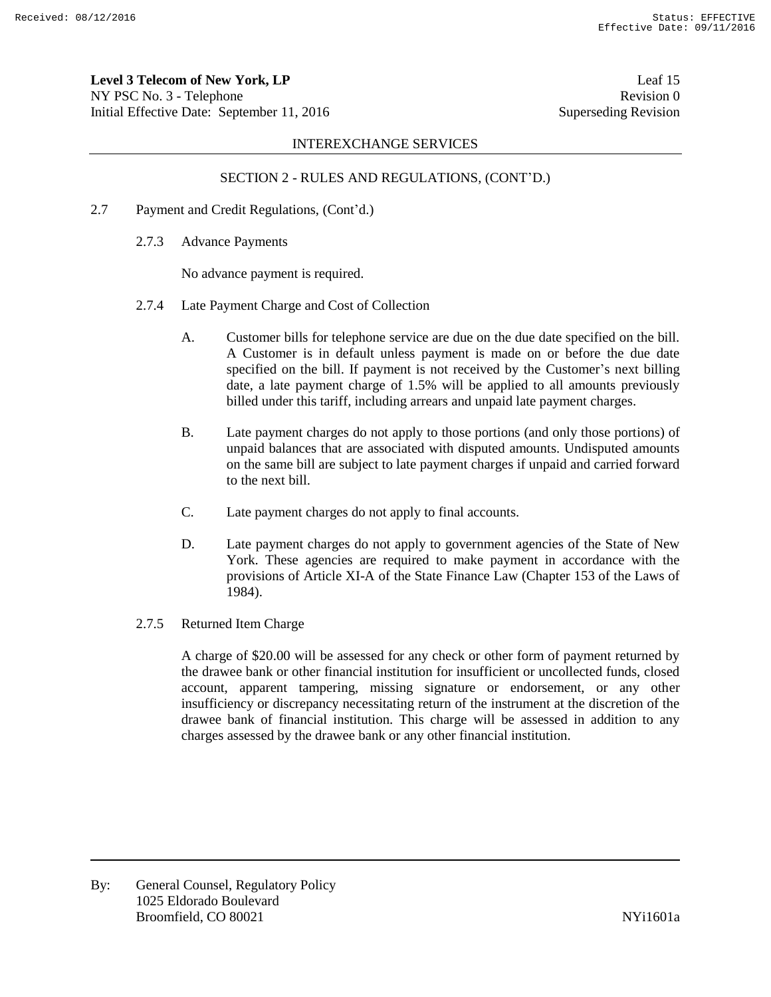**Level 3 Telecom of New York, LP** Leaf 15 NY PSC No. 3 - Telephone Revision 0 Initial Effective Date: September 11, 2016 Superseding Revision

### INTEREXCHANGE SERVICES

# SECTION 2 - RULES AND REGULATIONS, (CONT'D.)

- 2.7 Payment and Credit Regulations, (Cont'd.)
	- 2.7.3 Advance Payments

No advance payment is required.

- 2.7.4 Late Payment Charge and Cost of Collection
	- A. Customer bills for telephone service are due on the due date specified on the bill. A Customer is in default unless payment is made on or before the due date specified on the bill. If payment is not received by the Customer's next billing date, a late payment charge of 1.5% will be applied to all amounts previously billed under this tariff, including arrears and unpaid late payment charges.
	- B. Late payment charges do not apply to those portions (and only those portions) of unpaid balances that are associated with disputed amounts. Undisputed amounts on the same bill are subject to late payment charges if unpaid and carried forward to the next bill.
	- C. Late payment charges do not apply to final accounts.
	- D. Late payment charges do not apply to government agencies of the State of New York. These agencies are required to make payment in accordance with the provisions of Article XI-A of the State Finance Law (Chapter 153 of the Laws of 1984).
- 2.7.5 Returned Item Charge

A charge of \$20.00 will be assessed for any check or other form of payment returned by the drawee bank or other financial institution for insufficient or uncollected funds, closed account, apparent tampering, missing signature or endorsement, or any other insufficiency or discrepancy necessitating return of the instrument at the discretion of the drawee bank of financial institution. This charge will be assessed in addition to any charges assessed by the drawee bank or any other financial institution.

By: General Counsel, Regulatory Policy 1025 Eldorado Boulevard Broomfield, CO 80021 and the state of the state of the NYi1601a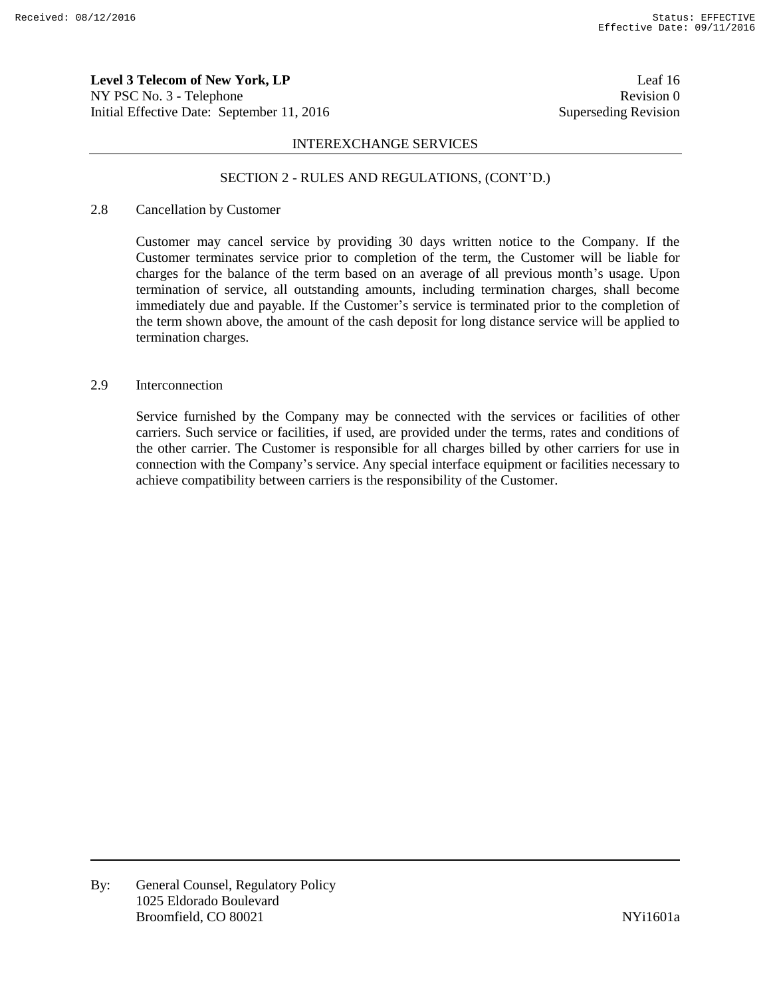**Level 3 Telecom of New York, LP** Leaf 16 NY PSC No. 3 - Telephone Revision 0 Initial Effective Date: September 11, 2016 Superseding Revision

### INTEREXCHANGE SERVICES

#### SECTION 2 - RULES AND REGULATIONS, (CONT'D.)

## 2.8 Cancellation by Customer

Customer may cancel service by providing 30 days written notice to the Company. If the Customer terminates service prior to completion of the term, the Customer will be liable for charges for the balance of the term based on an average of all previous month's usage. Upon termination of service, all outstanding amounts, including termination charges, shall become immediately due and payable. If the Customer's service is terminated prior to the completion of the term shown above, the amount of the cash deposit for long distance service will be applied to termination charges.

## 2.9 Interconnection

Service furnished by the Company may be connected with the services or facilities of other carriers. Such service or facilities, if used, are provided under the terms, rates and conditions of the other carrier. The Customer is responsible for all charges billed by other carriers for use in connection with the Company's service. Any special interface equipment or facilities necessary to achieve compatibility between carriers is the responsibility of the Customer.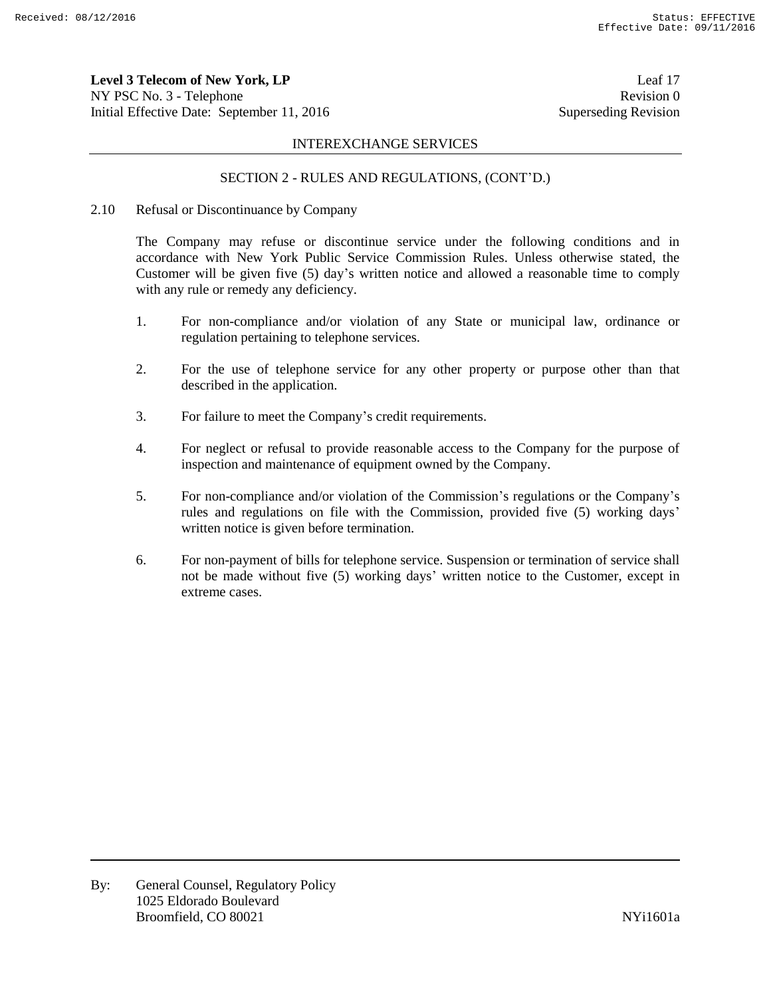**Level 3 Telecom of New York, LP** Leaf 17 NY PSC No. 3 - Telephone Revision 0 Initial Effective Date: September 11, 2016 Superseding Revision

#### INTEREXCHANGE SERVICES

### SECTION 2 - RULES AND REGULATIONS, (CONT'D.)

2.10 Refusal or Discontinuance by Company

The Company may refuse or discontinue service under the following conditions and in accordance with New York Public Service Commission Rules. Unless otherwise stated, the Customer will be given five (5) day's written notice and allowed a reasonable time to comply with any rule or remedy any deficiency.

- 1. For non-compliance and/or violation of any State or municipal law, ordinance or regulation pertaining to telephone services.
- 2. For the use of telephone service for any other property or purpose other than that described in the application.
- 3. For failure to meet the Company's credit requirements.
- 4. For neglect or refusal to provide reasonable access to the Company for the purpose of inspection and maintenance of equipment owned by the Company.
- 5. For non-compliance and/or violation of the Commission's regulations or the Company's rules and regulations on file with the Commission, provided five (5) working days' written notice is given before termination.
- 6. For non-payment of bills for telephone service. Suspension or termination of service shall not be made without five (5) working days' written notice to the Customer, except in extreme cases.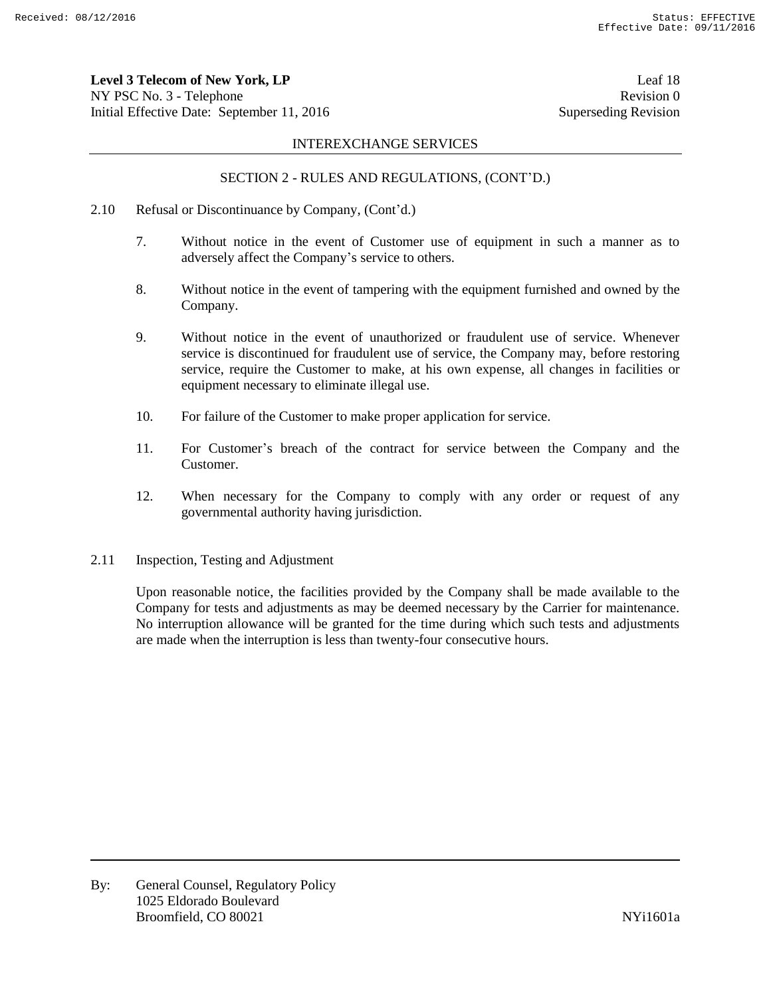**Level 3 Telecom of New York, LP** Leaf 18 NY PSC No. 3 - Telephone Revision 0 Initial Effective Date: September 11, 2016 Superseding Revision

#### INTEREXCHANGE SERVICES

# SECTION 2 - RULES AND REGULATIONS, (CONT'D.)

- 2.10 Refusal or Discontinuance by Company, (Cont'd.)
	- 7. Without notice in the event of Customer use of equipment in such a manner as to adversely affect the Company's service to others.
	- 8. Without notice in the event of tampering with the equipment furnished and owned by the Company.
	- 9. Without notice in the event of unauthorized or fraudulent use of service. Whenever service is discontinued for fraudulent use of service, the Company may, before restoring service, require the Customer to make, at his own expense, all changes in facilities or equipment necessary to eliminate illegal use.
	- 10. For failure of the Customer to make proper application for service.
	- 11. For Customer's breach of the contract for service between the Company and the Customer.
	- 12. When necessary for the Company to comply with any order or request of any governmental authority having jurisdiction.
- 2.11 Inspection, Testing and Adjustment

Upon reasonable notice, the facilities provided by the Company shall be made available to the Company for tests and adjustments as may be deemed necessary by the Carrier for maintenance. No interruption allowance will be granted for the time during which such tests and adjustments are made when the interruption is less than twenty-four consecutive hours.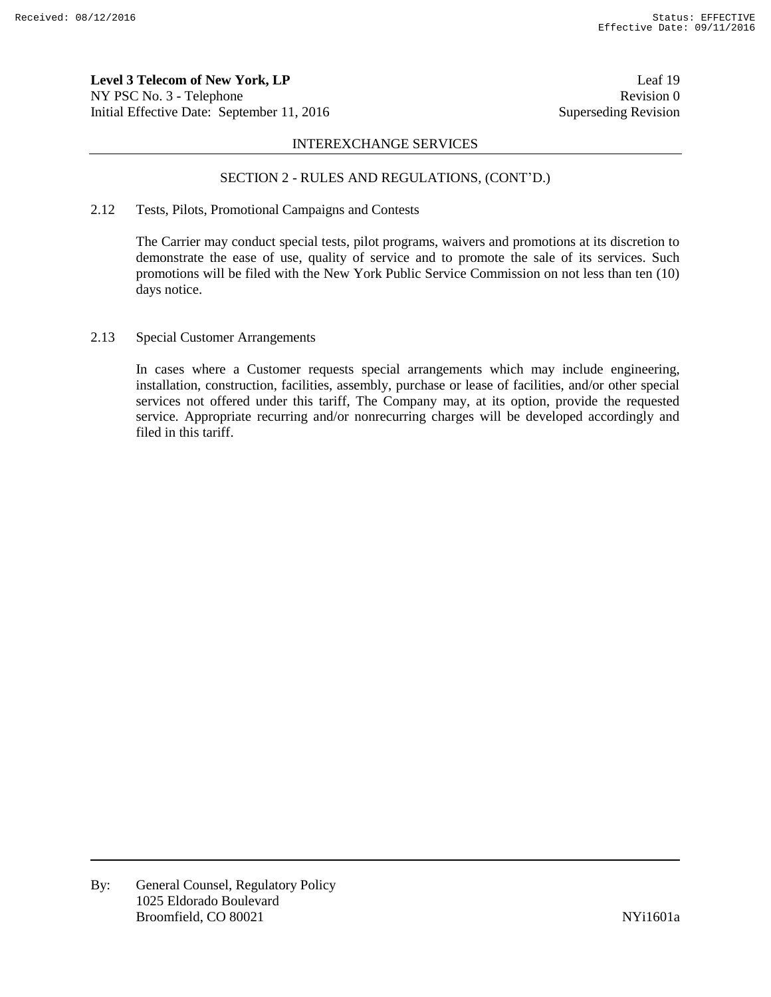**Level 3 Telecom of New York, LP** Leaf 19 NY PSC No. 3 - Telephone Revision 0 Initial Effective Date: September 11, 2016 Superseding Revision

#### INTEREXCHANGE SERVICES

# SECTION 2 - RULES AND REGULATIONS, (CONT'D.)

# 2.12 Tests, Pilots, Promotional Campaigns and Contests

The Carrier may conduct special tests, pilot programs, waivers and promotions at its discretion to demonstrate the ease of use, quality of service and to promote the sale of its services. Such promotions will be filed with the New York Public Service Commission on not less than ten (10) days notice.

#### 2.13 Special Customer Arrangements

In cases where a Customer requests special arrangements which may include engineering, installation, construction, facilities, assembly, purchase or lease of facilities, and/or other special services not offered under this tariff, The Company may, at its option, provide the requested service. Appropriate recurring and/or nonrecurring charges will be developed accordingly and filed in this tariff.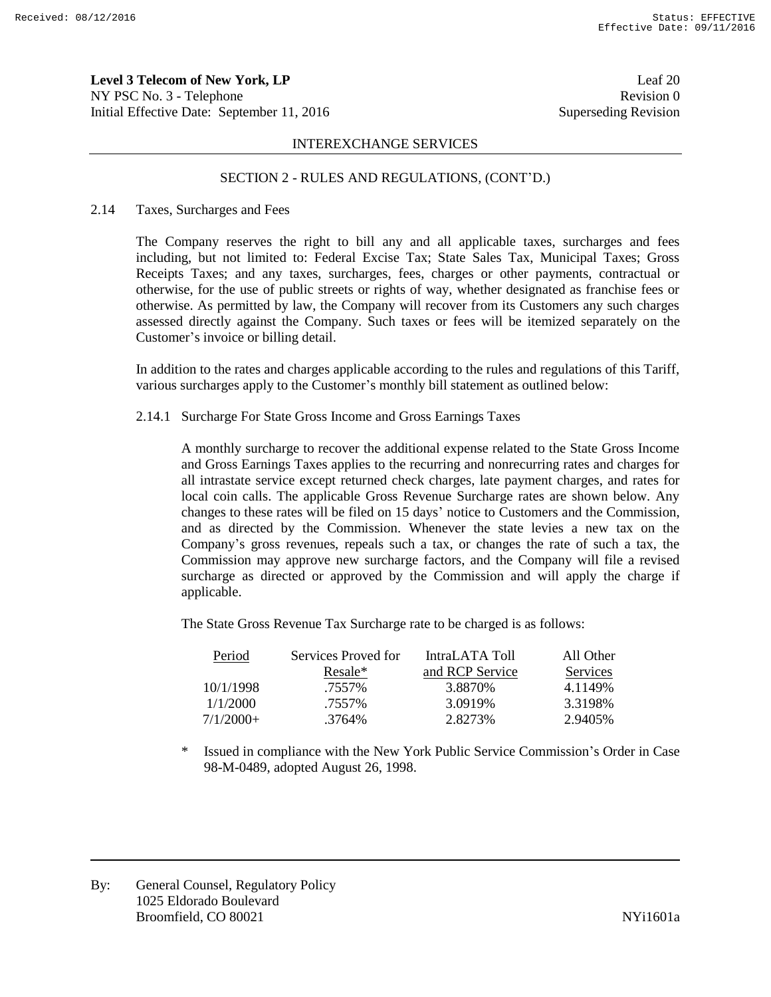**Level 3 Telecom of New York, LP** Leaf 20 NY PSC No. 3 - Telephone Revision 0 Initial Effective Date: September 11, 2016 Superseding Revision

#### INTEREXCHANGE SERVICES

#### SECTION 2 - RULES AND REGULATIONS, (CONT'D.)

#### 2.14 Taxes, Surcharges and Fees

The Company reserves the right to bill any and all applicable taxes, surcharges and fees including, but not limited to: Federal Excise Tax; State Sales Tax, Municipal Taxes; Gross Receipts Taxes; and any taxes, surcharges, fees, charges or other payments, contractual or otherwise, for the use of public streets or rights of way, whether designated as franchise fees or otherwise. As permitted by law, the Company will recover from its Customers any such charges assessed directly against the Company. Such taxes or fees will be itemized separately on the Customer's invoice or billing detail.

In addition to the rates and charges applicable according to the rules and regulations of this Tariff, various surcharges apply to the Customer's monthly bill statement as outlined below:

2.14.1 Surcharge For State Gross Income and Gross Earnings Taxes

A monthly surcharge to recover the additional expense related to the State Gross Income and Gross Earnings Taxes applies to the recurring and nonrecurring rates and charges for all intrastate service except returned check charges, late payment charges, and rates for local coin calls. The applicable Gross Revenue Surcharge rates are shown below. Any changes to these rates will be filed on 15 days' notice to Customers and the Commission, and as directed by the Commission. Whenever the state levies a new tax on the Company's gross revenues, repeals such a tax, or changes the rate of such a tax, the Commission may approve new surcharge factors, and the Company will file a revised surcharge as directed or approved by the Commission and will apply the charge if applicable.

The State Gross Revenue Tax Surcharge rate to be charged is as follows:

| Period      | Services Proved for | IntraLATA Toll  | All Other |
|-------------|---------------------|-----------------|-----------|
|             | Resale*             | and RCP Service | Services  |
| 10/1/1998   | .7557%              | 3.8870\%        | 4.1149%   |
| 1/1/2000    | .7557%              | 3.0919%         | 3.3198%   |
| $7/1/2000+$ | .3764%              | 2.8273%         | 2.9405\%  |

\* Issued in compliance with the New York Public Service Commission's Order in Case 98-M-0489, adopted August 26, 1998.

By: General Counsel, Regulatory Policy 1025 Eldorado Boulevard Broomfield, CO 80021 and the state of the state of the NYi1601a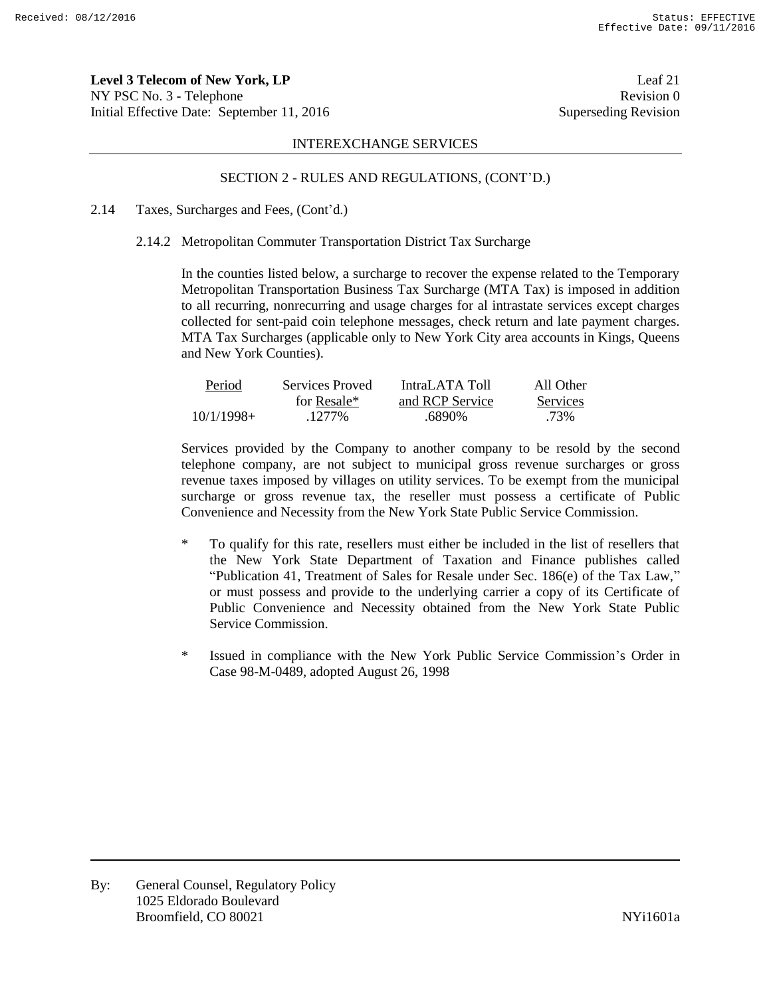**Level 3 Telecom of New York, LP** Leaf 21 NY PSC No. 3 - Telephone Revision 0 Initial Effective Date: September 11, 2016 Superseding Revision

#### INTEREXCHANGE SERVICES

### SECTION 2 - RULES AND REGULATIONS, (CONT'D.)

### 2.14 Taxes, Surcharges and Fees, (Cont'd.)

#### 2.14.2 Metropolitan Commuter Transportation District Tax Surcharge

In the counties listed below, a surcharge to recover the expense related to the Temporary Metropolitan Transportation Business Tax Surcharge (MTA Tax) is imposed in addition to all recurring, nonrecurring and usage charges for al intrastate services except charges collected for sent-paid coin telephone messages, check return and late payment charges. MTA Tax Surcharges (applicable only to New York City area accounts in Kings, Queens and New York Counties).

| Period       | Services Proved | IntraLATA Toll  | All Other |
|--------------|-----------------|-----------------|-----------|
|              | for Resale*     | and RCP Service | Services  |
| $10/1/1998+$ | .1277%          | .6890%          | .73%      |

Services provided by the Company to another company to be resold by the second telephone company, are not subject to municipal gross revenue surcharges or gross revenue taxes imposed by villages on utility services. To be exempt from the municipal surcharge or gross revenue tax, the reseller must possess a certificate of Public Convenience and Necessity from the New York State Public Service Commission.

- \* To qualify for this rate, resellers must either be included in the list of resellers that the New York State Department of Taxation and Finance publishes called "Publication 41, Treatment of Sales for Resale under Sec. 186(e) of the Tax Law," or must possess and provide to the underlying carrier a copy of its Certificate of Public Convenience and Necessity obtained from the New York State Public Service Commission.
- \* Issued in compliance with the New York Public Service Commission's Order in Case 98-M-0489, adopted August 26, 1998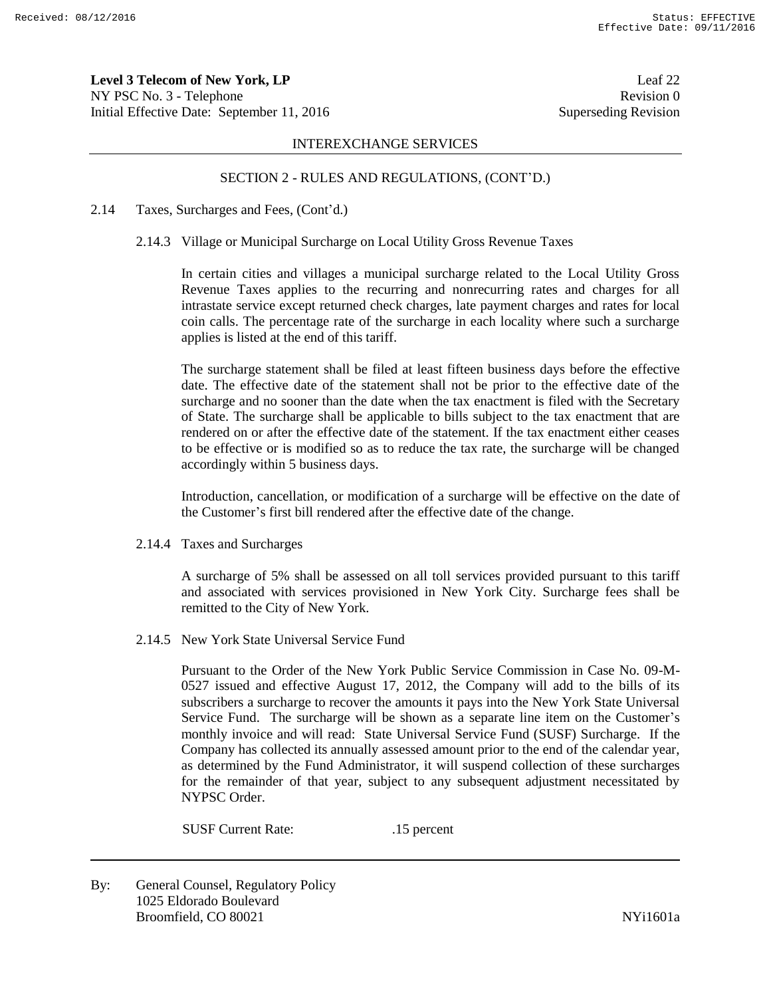**Level 3 Telecom of New York, LP** Leaf 22 NY PSC No. 3 - Telephone Revision 0 Initial Effective Date: September 11, 2016 Superseding Revision

#### INTEREXCHANGE SERVICES

# SECTION 2 - RULES AND REGULATIONS, (CONT'D.)

#### 2.14 Taxes, Surcharges and Fees, (Cont'd.)

#### 2.14.3 Village or Municipal Surcharge on Local Utility Gross Revenue Taxes

In certain cities and villages a municipal surcharge related to the Local Utility Gross Revenue Taxes applies to the recurring and nonrecurring rates and charges for all intrastate service except returned check charges, late payment charges and rates for local coin calls. The percentage rate of the surcharge in each locality where such a surcharge applies is listed at the end of this tariff.

The surcharge statement shall be filed at least fifteen business days before the effective date. The effective date of the statement shall not be prior to the effective date of the surcharge and no sooner than the date when the tax enactment is filed with the Secretary of State. The surcharge shall be applicable to bills subject to the tax enactment that are rendered on or after the effective date of the statement. If the tax enactment either ceases to be effective or is modified so as to reduce the tax rate, the surcharge will be changed accordingly within 5 business days.

Introduction, cancellation, or modification of a surcharge will be effective on the date of the Customer's first bill rendered after the effective date of the change.

2.14.4 Taxes and Surcharges

A surcharge of 5% shall be assessed on all toll services provided pursuant to this tariff and associated with services provisioned in New York City. Surcharge fees shall be remitted to the City of New York.

2.14.5 New York State Universal Service Fund

Pursuant to the Order of the New York Public Service Commission in Case No. 09-M-0527 issued and effective August 17, 2012, the Company will add to the bills of its subscribers a surcharge to recover the amounts it pays into the New York State Universal Service Fund. The surcharge will be shown as a separate line item on the Customer's monthly invoice and will read: State Universal Service Fund (SUSF) Surcharge. If the Company has collected its annually assessed amount prior to the end of the calendar year, as determined by the Fund Administrator, it will suspend collection of these surcharges for the remainder of that year, subject to any subsequent adjustment necessitated by NYPSC Order.

SUSF Current Rate: .15 percent

By: General Counsel, Regulatory Policy 1025 Eldorado Boulevard Broomfield, CO 80021 and the state of the state of the NYi1601a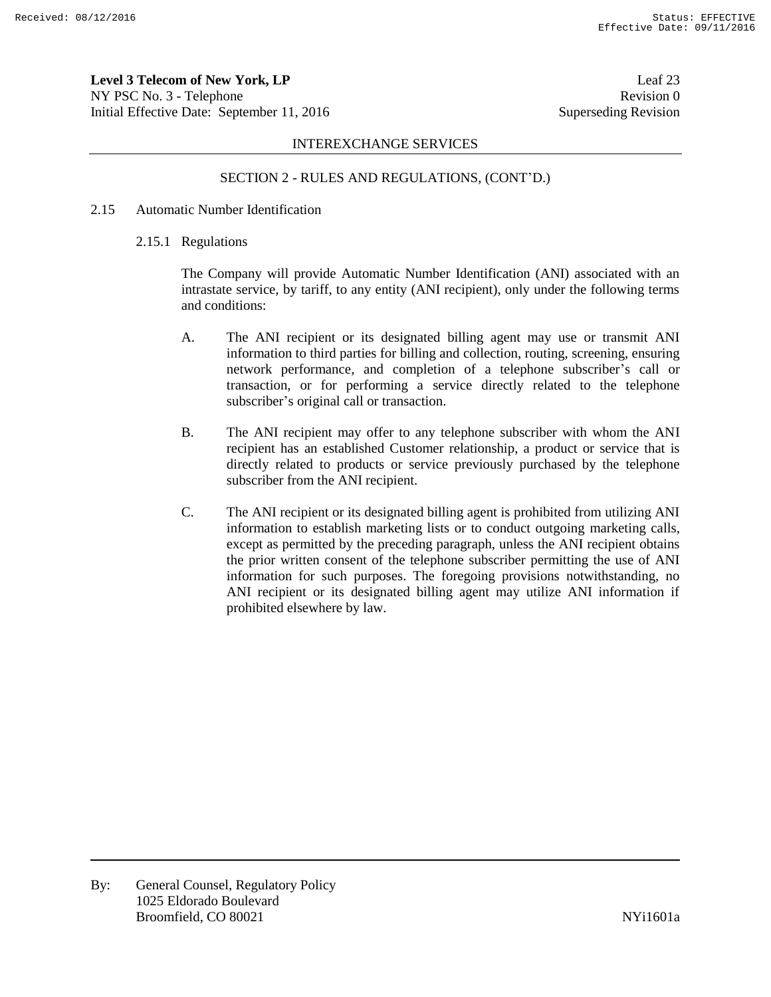**Level 3 Telecom of New York, LP** Leaf 23 NY PSC No. 3 - Telephone Revision 0 Initial Effective Date: September 11, 2016 Superseding Revision

# INTEREXCHANGE SERVICES

# SECTION 2 - RULES AND REGULATIONS, (CONT'D.)

### 2.15 Automatic Number Identification

#### 2.15.1 Regulations

The Company will provide Automatic Number Identification (ANI) associated with an intrastate service, by tariff, to any entity (ANI recipient), only under the following terms and conditions:

- A. The ANI recipient or its designated billing agent may use or transmit ANI information to third parties for billing and collection, routing, screening, ensuring network performance, and completion of a telephone subscriber's call or transaction, or for performing a service directly related to the telephone subscriber's original call or transaction.
- B. The ANI recipient may offer to any telephone subscriber with whom the ANI recipient has an established Customer relationship, a product or service that is directly related to products or service previously purchased by the telephone subscriber from the ANI recipient.
- C. The ANI recipient or its designated billing agent is prohibited from utilizing ANI information to establish marketing lists or to conduct outgoing marketing calls, except as permitted by the preceding paragraph, unless the ANI recipient obtains the prior written consent of the telephone subscriber permitting the use of ANI information for such purposes. The foregoing provisions notwithstanding, no ANI recipient or its designated billing agent may utilize ANI information if prohibited elsewhere by law.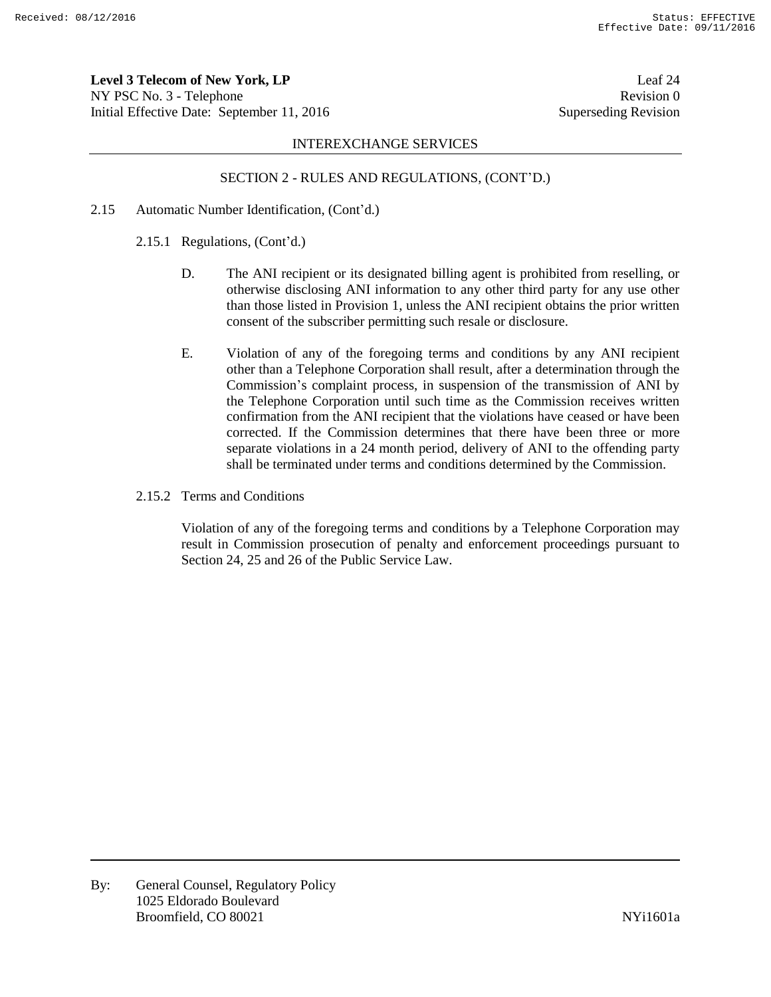**Level 3 Telecom of New York, LP** Leaf 24 NY PSC No. 3 - Telephone Revision 0 Initial Effective Date: September 11, 2016 Superseding Revision

### INTEREXCHANGE SERVICES

# SECTION 2 - RULES AND REGULATIONS, (CONT'D.)

- 2.15 Automatic Number Identification, (Cont'd.)
	- 2.15.1 Regulations, (Cont'd.)
		- D. The ANI recipient or its designated billing agent is prohibited from reselling, or otherwise disclosing ANI information to any other third party for any use other than those listed in Provision 1, unless the ANI recipient obtains the prior written consent of the subscriber permitting such resale or disclosure.
		- E. Violation of any of the foregoing terms and conditions by any ANI recipient other than a Telephone Corporation shall result, after a determination through the Commission's complaint process, in suspension of the transmission of ANI by the Telephone Corporation until such time as the Commission receives written confirmation from the ANI recipient that the violations have ceased or have been corrected. If the Commission determines that there have been three or more separate violations in a 24 month period, delivery of ANI to the offending party shall be terminated under terms and conditions determined by the Commission.
	- 2.15.2 Terms and Conditions

Violation of any of the foregoing terms and conditions by a Telephone Corporation may result in Commission prosecution of penalty and enforcement proceedings pursuant to Section 24, 25 and 26 of the Public Service Law.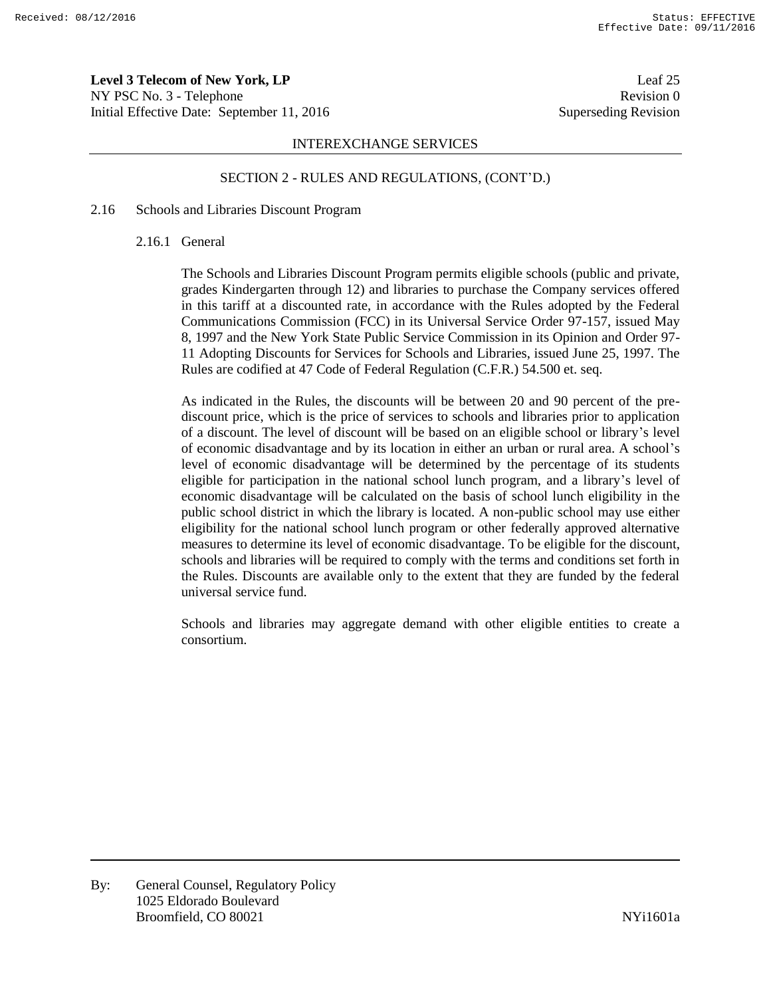**Level 3 Telecom of New York, LP** Leaf 25 NY PSC No. 3 - Telephone Revision 0 Initial Effective Date: September 11, 2016 Superseding Revision

### INTEREXCHANGE SERVICES

#### SECTION 2 - RULES AND REGULATIONS, (CONT'D.)

#### 2.16 Schools and Libraries Discount Program

#### 2.16.1 General

The Schools and Libraries Discount Program permits eligible schools (public and private, grades Kindergarten through 12) and libraries to purchase the Company services offered in this tariff at a discounted rate, in accordance with the Rules adopted by the Federal Communications Commission (FCC) in its Universal Service Order 97-157, issued May 8, 1997 and the New York State Public Service Commission in its Opinion and Order 97- 11 Adopting Discounts for Services for Schools and Libraries, issued June 25, 1997. The Rules are codified at 47 Code of Federal Regulation (C.F.R.) 54.500 et. seq.

As indicated in the Rules, the discounts will be between 20 and 90 percent of the prediscount price, which is the price of services to schools and libraries prior to application of a discount. The level of discount will be based on an eligible school or library's level of economic disadvantage and by its location in either an urban or rural area. A school's level of economic disadvantage will be determined by the percentage of its students eligible for participation in the national school lunch program, and a library's level of economic disadvantage will be calculated on the basis of school lunch eligibility in the public school district in which the library is located. A non-public school may use either eligibility for the national school lunch program or other federally approved alternative measures to determine its level of economic disadvantage. To be eligible for the discount, schools and libraries will be required to comply with the terms and conditions set forth in the Rules. Discounts are available only to the extent that they are funded by the federal universal service fund.

Schools and libraries may aggregate demand with other eligible entities to create a consortium.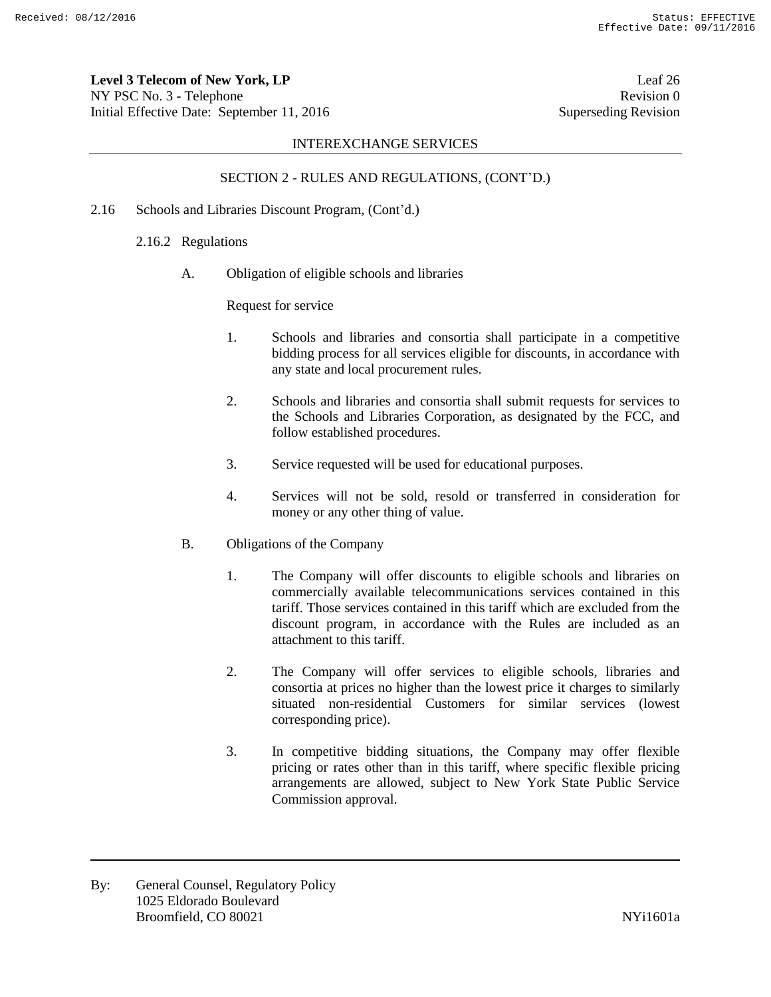**Level 3 Telecom of New York, LP** Leaf 26 NY PSC No. 3 - Telephone Revision 0 Initial Effective Date: September 11, 2016 Superseding Revision

# INTEREXCHANGE SERVICES

# SECTION 2 - RULES AND REGULATIONS, (CONT'D.)

- 2.16 Schools and Libraries Discount Program, (Cont'd.)
	- 2.16.2 Regulations
		- A. Obligation of eligible schools and libraries

Request for service

- 1. Schools and libraries and consortia shall participate in a competitive bidding process for all services eligible for discounts, in accordance with any state and local procurement rules.
- 2. Schools and libraries and consortia shall submit requests for services to the Schools and Libraries Corporation, as designated by the FCC, and follow established procedures.
- 3. Service requested will be used for educational purposes.
- 4. Services will not be sold, resold or transferred in consideration for money or any other thing of value.
- B. Obligations of the Company
	- 1. The Company will offer discounts to eligible schools and libraries on commercially available telecommunications services contained in this tariff. Those services contained in this tariff which are excluded from the discount program, in accordance with the Rules are included as an attachment to this tariff.
	- 2. The Company will offer services to eligible schools, libraries and consortia at prices no higher than the lowest price it charges to similarly situated non-residential Customers for similar services (lowest corresponding price).
	- 3. In competitive bidding situations, the Company may offer flexible pricing or rates other than in this tariff, where specific flexible pricing arrangements are allowed, subject to New York State Public Service Commission approval.

By: General Counsel, Regulatory Policy 1025 Eldorado Boulevard Broomfield, CO 80021 and the state of the state of the NYi1601a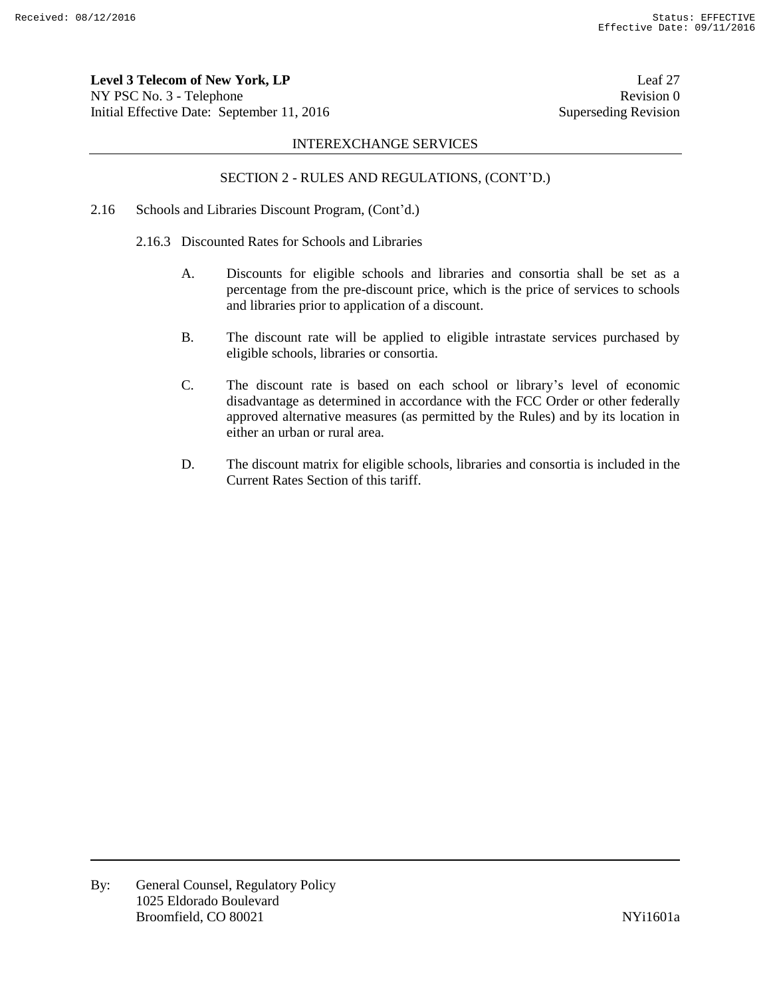**Level 3 Telecom of New York, LP** Leaf 27 NY PSC No. 3 - Telephone Revision 0 Initial Effective Date: September 11, 2016 Superseding Revision

### INTEREXCHANGE SERVICES

# SECTION 2 - RULES AND REGULATIONS, (CONT'D.)

- 2.16 Schools and Libraries Discount Program, (Cont'd.)
	- 2.16.3 Discounted Rates for Schools and Libraries
		- A. Discounts for eligible schools and libraries and consortia shall be set as a percentage from the pre-discount price, which is the price of services to schools and libraries prior to application of a discount.
		- B. The discount rate will be applied to eligible intrastate services purchased by eligible schools, libraries or consortia.
		- C. The discount rate is based on each school or library's level of economic disadvantage as determined in accordance with the FCC Order or other federally approved alternative measures (as permitted by the Rules) and by its location in either an urban or rural area.
		- D. The discount matrix for eligible schools, libraries and consortia is included in the Current Rates Section of this tariff.

By: General Counsel, Regulatory Policy 1025 Eldorado Boulevard Broomfield, CO 80021 NYi1601a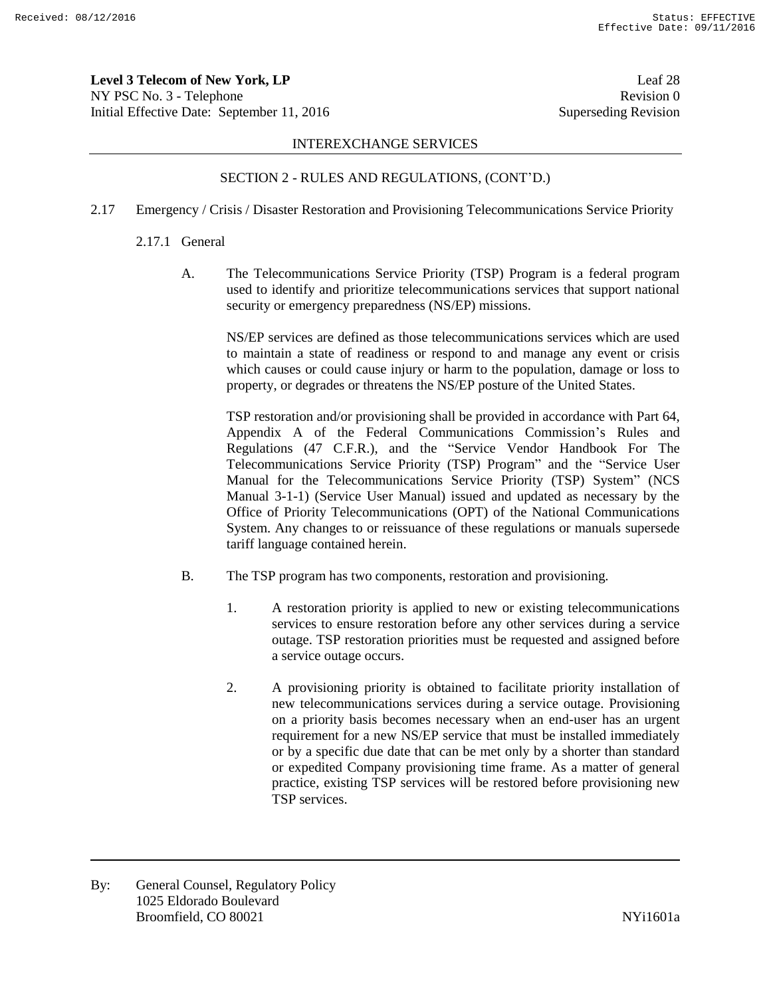**Level 3 Telecom of New York, LP** Leaf 28 NY PSC No. 3 - Telephone Revision 0 Initial Effective Date: September 11, 2016 Superseding Revision

### INTEREXCHANGE SERVICES

# SECTION 2 - RULES AND REGULATIONS, (CONT'D.)

2.17 Emergency / Crisis / Disaster Restoration and Provisioning Telecommunications Service Priority

#### 2.17.1 General

A. The Telecommunications Service Priority (TSP) Program is a federal program used to identify and prioritize telecommunications services that support national security or emergency preparedness (NS/EP) missions.

NS/EP services are defined as those telecommunications services which are used to maintain a state of readiness or respond to and manage any event or crisis which causes or could cause injury or harm to the population, damage or loss to property, or degrades or threatens the NS/EP posture of the United States.

TSP restoration and/or provisioning shall be provided in accordance with Part 64, Appendix A of the Federal Communications Commission's Rules and Regulations (47 C.F.R.), and the "Service Vendor Handbook For The Telecommunications Service Priority (TSP) Program" and the "Service User Manual for the Telecommunications Service Priority (TSP) System" (NCS Manual 3-1-1) (Service User Manual) issued and updated as necessary by the Office of Priority Telecommunications (OPT) of the National Communications System. Any changes to or reissuance of these regulations or manuals supersede tariff language contained herein.

- B. The TSP program has two components, restoration and provisioning.
	- 1. A restoration priority is applied to new or existing telecommunications services to ensure restoration before any other services during a service outage. TSP restoration priorities must be requested and assigned before a service outage occurs.
	- 2. A provisioning priority is obtained to facilitate priority installation of new telecommunications services during a service outage. Provisioning on a priority basis becomes necessary when an end-user has an urgent requirement for a new NS/EP service that must be installed immediately or by a specific due date that can be met only by a shorter than standard or expedited Company provisioning time frame. As a matter of general practice, existing TSP services will be restored before provisioning new TSP services.

By: General Counsel, Regulatory Policy 1025 Eldorado Boulevard Broomfield, CO 80021 and the state of the state of the NYi1601a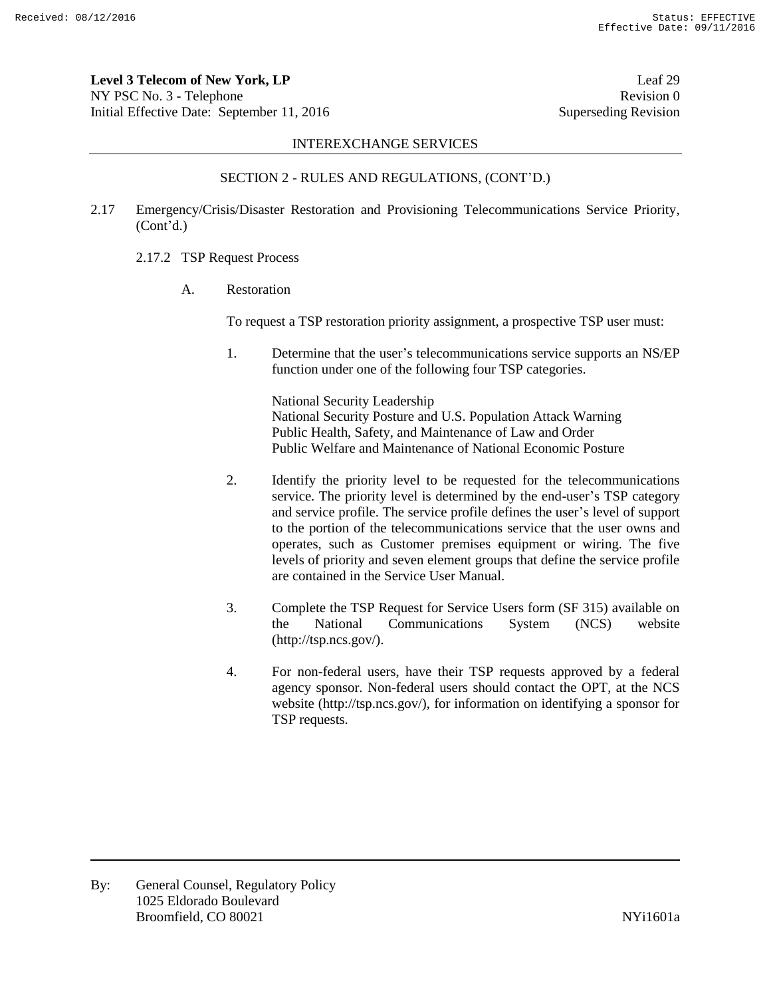**Level 3 Telecom of New York, LP** Leaf 29 NY PSC No. 3 - Telephone Revision 0 Initial Effective Date: September 11, 2016 Superseding Revision

#### INTEREXCHANGE SERVICES

### SECTION 2 - RULES AND REGULATIONS, (CONT'D.)

- 2.17 Emergency/Crisis/Disaster Restoration and Provisioning Telecommunications Service Priority, (Cont'd.)
	- 2.17.2 TSP Request Process
		- A. Restoration

To request a TSP restoration priority assignment, a prospective TSP user must:

1. Determine that the user's telecommunications service supports an NS/EP function under one of the following four TSP categories.

> National Security Leadership National Security Posture and U.S. Population Attack Warning Public Health, Safety, and Maintenance of Law and Order Public Welfare and Maintenance of National Economic Posture

- 2. Identify the priority level to be requested for the telecommunications service. The priority level is determined by the end-user's TSP category and service profile. The service profile defines the user's level of support to the portion of the telecommunications service that the user owns and operates, such as Customer premises equipment or wiring. The five levels of priority and seven element groups that define the service profile are contained in the Service User Manual.
- 3. Complete the TSP Request for Service Users form (SF 315) available on the National Communications System (NCS) website (http://tsp.ncs.gov/).
- 4. For non-federal users, have their TSP requests approved by a federal agency sponsor. Non-federal users should contact the OPT, at the NCS website (http://tsp.ncs.gov/), for information on identifying a sponsor for TSP requests.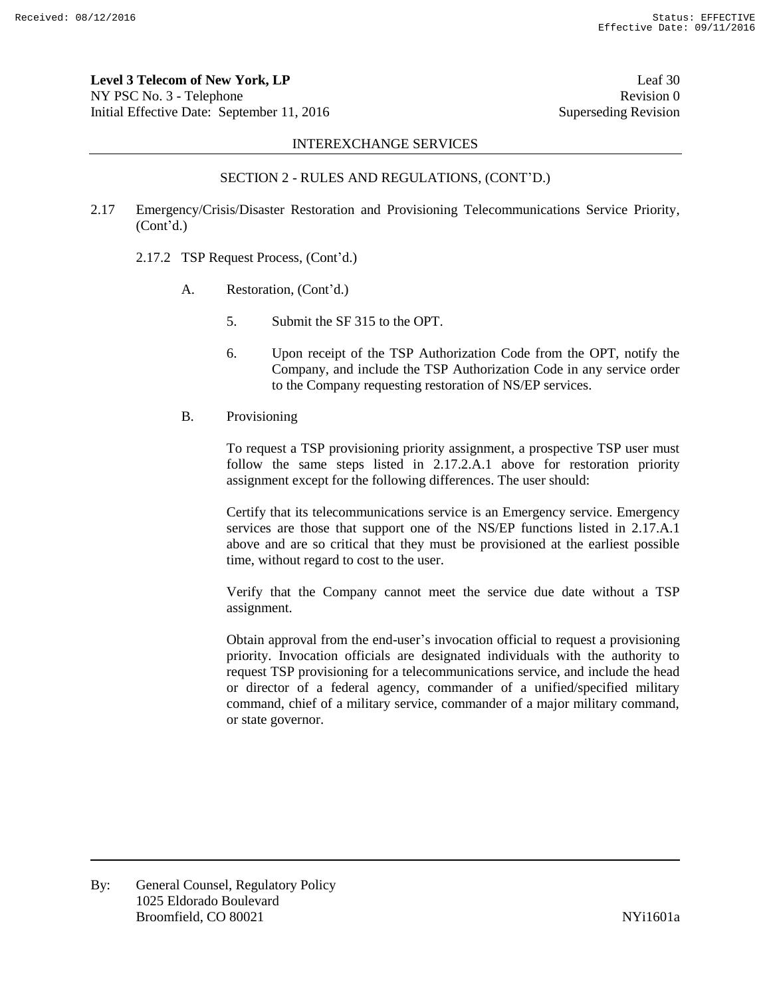**Level 3 Telecom of New York, LP** Leaf 30 NY PSC No. 3 - Telephone Revision 0 Initial Effective Date: September 11, 2016 Superseding Revision

### INTEREXCHANGE SERVICES

# SECTION 2 - RULES AND REGULATIONS, (CONT'D.)

- 2.17 Emergency/Crisis/Disaster Restoration and Provisioning Telecommunications Service Priority, (Cont'd.)
	- 2.17.2 TSP Request Process, (Cont'd.)
		- A. Restoration, (Cont'd.)
			- 5. Submit the SF 315 to the OPT.
			- 6. Upon receipt of the TSP Authorization Code from the OPT, notify the Company, and include the TSP Authorization Code in any service order to the Company requesting restoration of NS/EP services.
		- B. Provisioning

To request a TSP provisioning priority assignment, a prospective TSP user must follow the same steps listed in 2.17.2.A.1 above for restoration priority assignment except for the following differences. The user should:

Certify that its telecommunications service is an Emergency service. Emergency services are those that support one of the NS/EP functions listed in 2.17.A.1 above and are so critical that they must be provisioned at the earliest possible time, without regard to cost to the user.

Verify that the Company cannot meet the service due date without a TSP assignment.

Obtain approval from the end-user's invocation official to request a provisioning priority. Invocation officials are designated individuals with the authority to request TSP provisioning for a telecommunications service, and include the head or director of a federal agency, commander of a unified/specified military command, chief of a military service, commander of a major military command, or state governor.

By: General Counsel, Regulatory Policy 1025 Eldorado Boulevard Broomfield, CO 80021 and the state of the state of the NYi1601a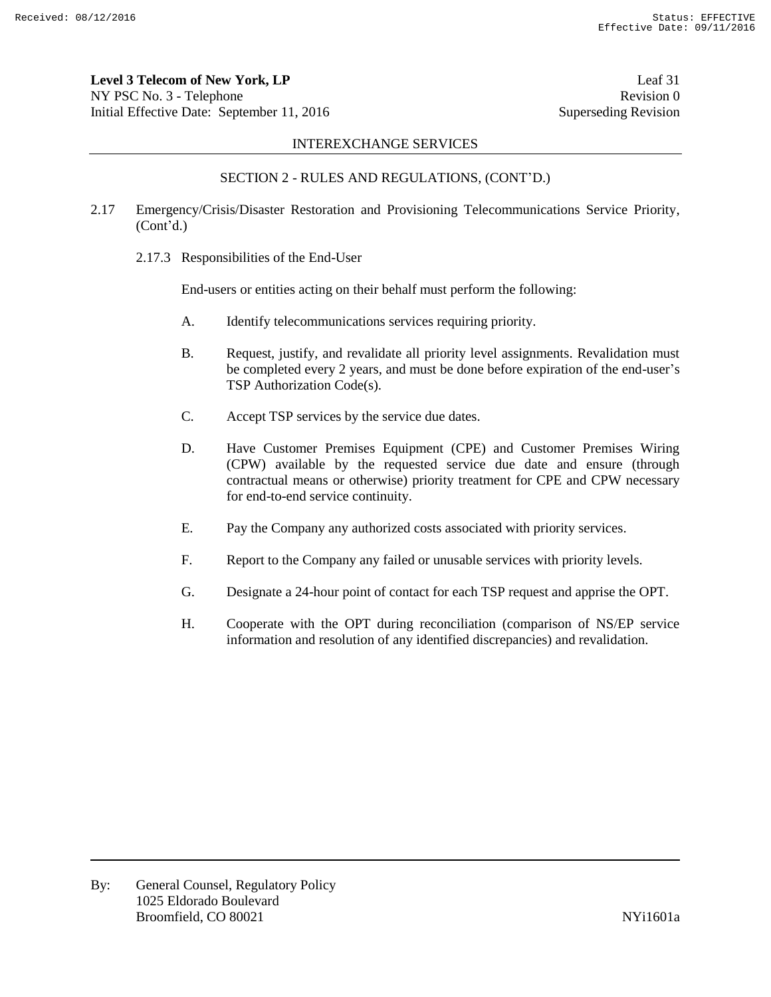**Level 3 Telecom of New York, LP** Leaf 31 NY PSC No. 3 - Telephone Revision 0 Initial Effective Date: September 11, 2016 Superseding Revision

#### INTEREXCHANGE SERVICES

# SECTION 2 - RULES AND REGULATIONS, (CONT'D.)

- 2.17 Emergency/Crisis/Disaster Restoration and Provisioning Telecommunications Service Priority, (Cont'd.)
	- 2.17.3 Responsibilities of the End-User

End-users or entities acting on their behalf must perform the following:

- A. Identify telecommunications services requiring priority.
- B. Request, justify, and revalidate all priority level assignments. Revalidation must be completed every 2 years, and must be done before expiration of the end-user's TSP Authorization Code(s).
- C. Accept TSP services by the service due dates.
- D. Have Customer Premises Equipment (CPE) and Customer Premises Wiring (CPW) available by the requested service due date and ensure (through contractual means or otherwise) priority treatment for CPE and CPW necessary for end-to-end service continuity.
- E. Pay the Company any authorized costs associated with priority services.
- F. Report to the Company any failed or unusable services with priority levels.
- G. Designate a 24-hour point of contact for each TSP request and apprise the OPT.
- H. Cooperate with the OPT during reconciliation (comparison of NS/EP service information and resolution of any identified discrepancies) and revalidation.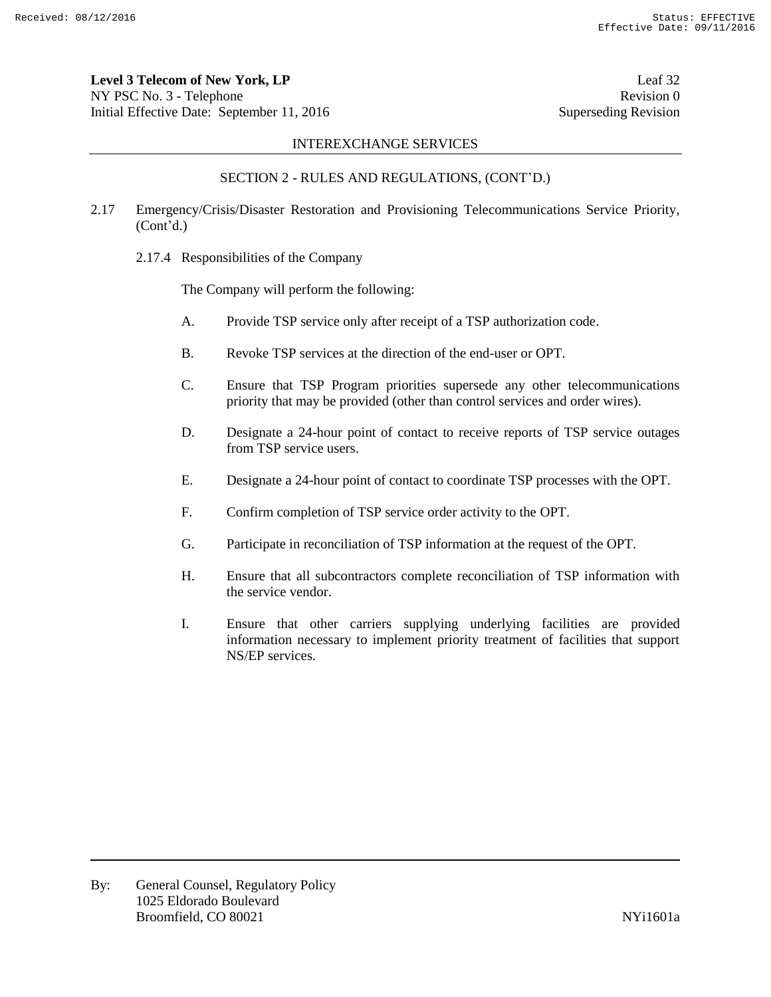**Level 3 Telecom of New York, LP** Leaf 32 NY PSC No. 3 - Telephone Revision 0 Initial Effective Date: September 11, 2016 Superseding Revision

## INTEREXCHANGE SERVICES

### SECTION 2 - RULES AND REGULATIONS, (CONT'D.)

- 2.17 Emergency/Crisis/Disaster Restoration and Provisioning Telecommunications Service Priority, (Cont'd.)
	- 2.17.4 Responsibilities of the Company

The Company will perform the following:

- A. Provide TSP service only after receipt of a TSP authorization code.
- B. Revoke TSP services at the direction of the end-user or OPT.
- C. Ensure that TSP Program priorities supersede any other telecommunications priority that may be provided (other than control services and order wires).
- D. Designate a 24-hour point of contact to receive reports of TSP service outages from TSP service users.
- E. Designate a 24-hour point of contact to coordinate TSP processes with the OPT.
- F. Confirm completion of TSP service order activity to the OPT.
- G. Participate in reconciliation of TSP information at the request of the OPT.
- H. Ensure that all subcontractors complete reconciliation of TSP information with the service vendor.
- I. Ensure that other carriers supplying underlying facilities are provided information necessary to implement priority treatment of facilities that support NS/EP services.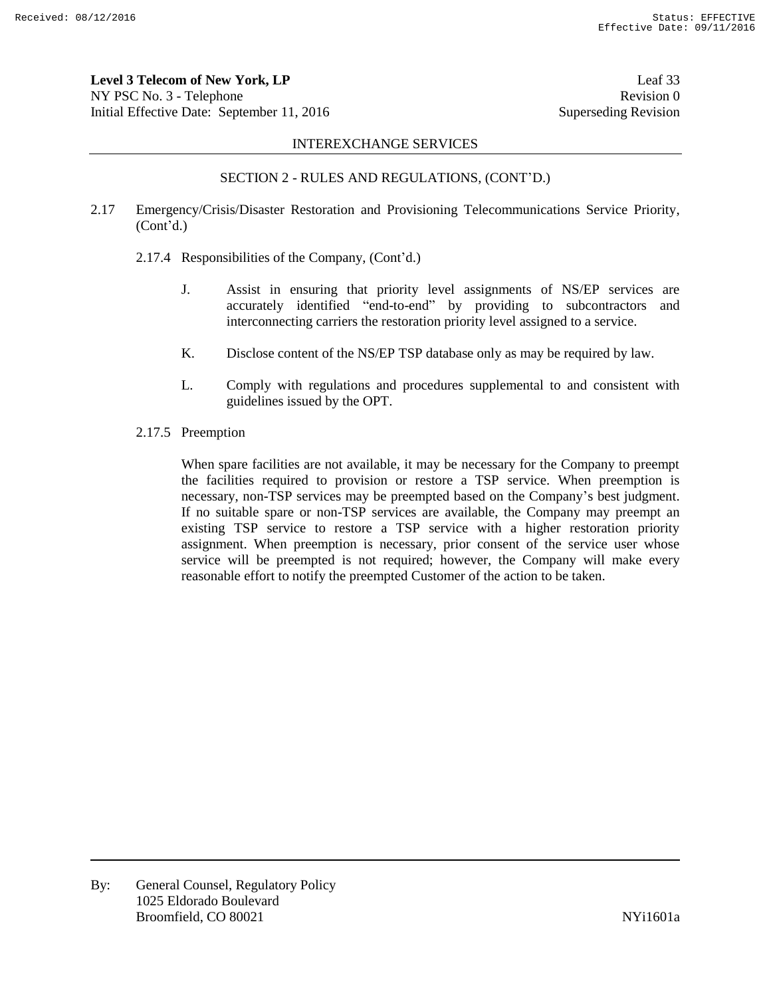**Level 3 Telecom of New York, LP** Leaf 33 NY PSC No. 3 - Telephone Revision 0 Initial Effective Date: September 11, 2016 Superseding Revision

#### INTEREXCHANGE SERVICES

### SECTION 2 - RULES AND REGULATIONS, (CONT'D.)

- 2.17 Emergency/Crisis/Disaster Restoration and Provisioning Telecommunications Service Priority, (Cont'd.)
	- 2.17.4 Responsibilities of the Company, (Cont'd.)
		- J. Assist in ensuring that priority level assignments of NS/EP services are accurately identified "end-to-end" by providing to subcontractors and interconnecting carriers the restoration priority level assigned to a service.
		- K. Disclose content of the NS/EP TSP database only as may be required by law.
		- L. Comply with regulations and procedures supplemental to and consistent with guidelines issued by the OPT.
	- 2.17.5 Preemption

When spare facilities are not available, it may be necessary for the Company to preempt the facilities required to provision or restore a TSP service. When preemption is necessary, non-TSP services may be preempted based on the Company's best judgment. If no suitable spare or non-TSP services are available, the Company may preempt an existing TSP service to restore a TSP service with a higher restoration priority assignment. When preemption is necessary, prior consent of the service user whose service will be preempted is not required; however, the Company will make every reasonable effort to notify the preempted Customer of the action to be taken.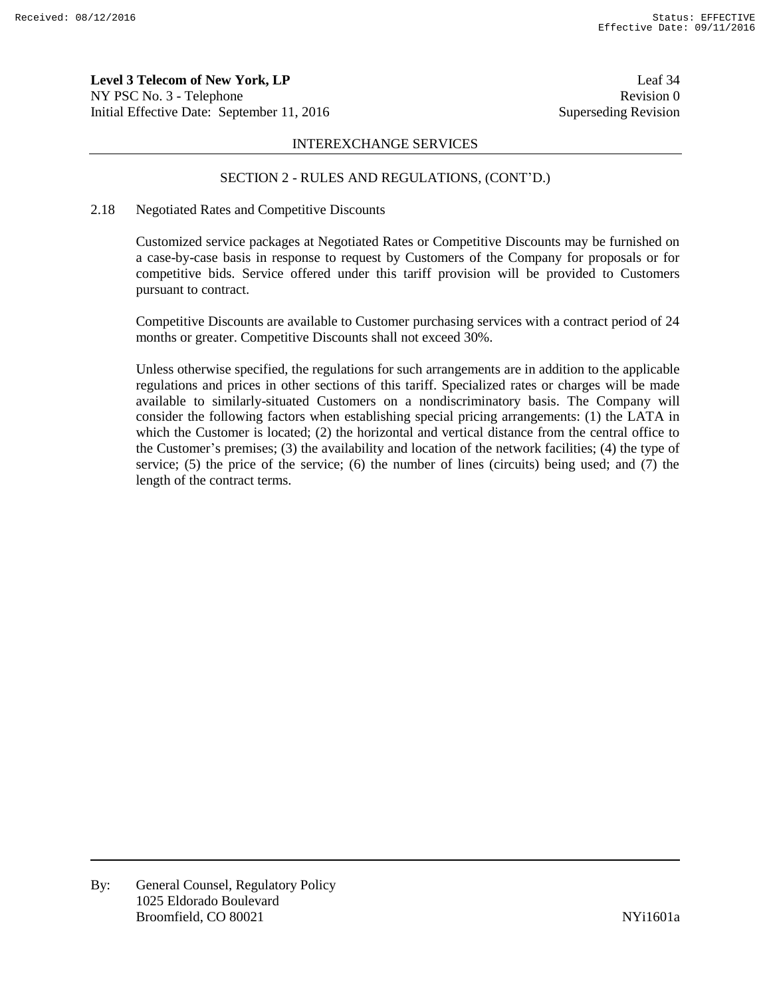**Level 3 Telecom of New York, LP** Leaf 34 NY PSC No. 3 - Telephone Revision 0 Initial Effective Date: September 11, 2016 Superseding Revision

#### INTEREXCHANGE SERVICES

#### SECTION 2 - RULES AND REGULATIONS, (CONT'D.)

#### 2.18 Negotiated Rates and Competitive Discounts

Customized service packages at Negotiated Rates or Competitive Discounts may be furnished on a case-by-case basis in response to request by Customers of the Company for proposals or for competitive bids. Service offered under this tariff provision will be provided to Customers pursuant to contract.

Competitive Discounts are available to Customer purchasing services with a contract period of 24 months or greater. Competitive Discounts shall not exceed 30%.

Unless otherwise specified, the regulations for such arrangements are in addition to the applicable regulations and prices in other sections of this tariff. Specialized rates or charges will be made available to similarly-situated Customers on a nondiscriminatory basis. The Company will consider the following factors when establishing special pricing arrangements: (1) the LATA in which the Customer is located; (2) the horizontal and vertical distance from the central office to the Customer's premises; (3) the availability and location of the network facilities; (4) the type of service; (5) the price of the service; (6) the number of lines (circuits) being used; and (7) the length of the contract terms.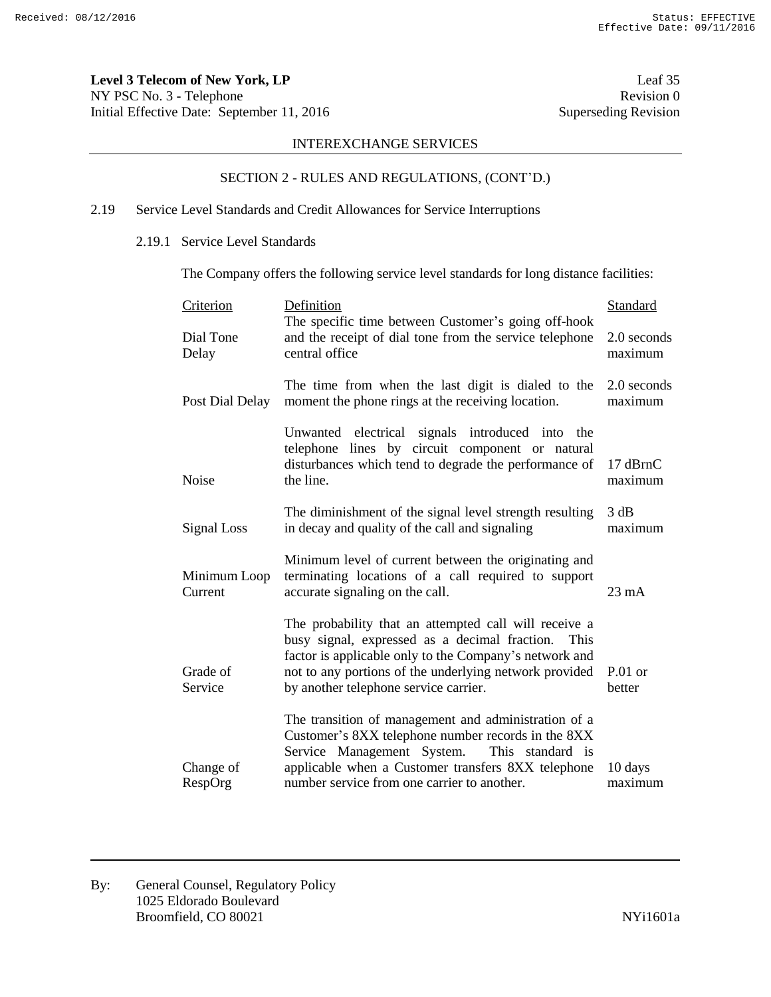**Level 3 Telecom of New York, LP** Leaf 35 NY PSC No. 3 - Telephone Revision 0<br>
Initial Effective Date: September 11, 2016 Superseding Revision 0 Initial Effective Date: September 11, 2016

# INTEREXCHANGE SERVICES

# SECTION 2 - RULES AND REGULATIONS, (CONT'D.)

# 2.19 Service Level Standards and Credit Allowances for Service Interruptions

#### 2.19.1 Service Level Standards

The Company offers the following service level standards for long distance facilities:

| Criterion               | Definition<br>The specific time between Customer's going off-hook                                                                                                                                                                                                           | <b>Standard</b>        |
|-------------------------|-----------------------------------------------------------------------------------------------------------------------------------------------------------------------------------------------------------------------------------------------------------------------------|------------------------|
| Dial Tone<br>Delay      | and the receipt of dial tone from the service telephone<br>central office                                                                                                                                                                                                   | 2.0 seconds<br>maximum |
| Post Dial Delay         | The time from when the last digit is dialed to the<br>moment the phone rings at the receiving location.                                                                                                                                                                     | 2.0 seconds<br>maximum |
| Noise                   | Unwanted electrical signals introduced into<br>the<br>telephone lines by circuit component or natural<br>disturbances which tend to degrade the performance of<br>the line.                                                                                                 | 17 dBrnC<br>maximum    |
| Signal Loss             | The diminishment of the signal level strength resulting<br>in decay and quality of the call and signaling                                                                                                                                                                   | 3 dB<br>maximum        |
| Minimum Loop<br>Current | Minimum level of current between the originating and<br>terminating locations of a call required to support<br>accurate signaling on the call.                                                                                                                              | $23 \text{ mA}$        |
| Grade of<br>Service     | The probability that an attempted call will receive a<br>busy signal, expressed as a decimal fraction.<br>This<br>factor is applicable only to the Company's network and<br>not to any portions of the underlying network provided<br>by another telephone service carrier. | $P.01$ or<br>better    |
| Change of<br>RespOrg    | The transition of management and administration of a<br>Customer's 8XX telephone number records in the 8XX<br>Service Management System.<br>This standard is<br>applicable when a Customer transfers 8XX telephone<br>number service from one carrier to another.           | 10 days<br>maximum     |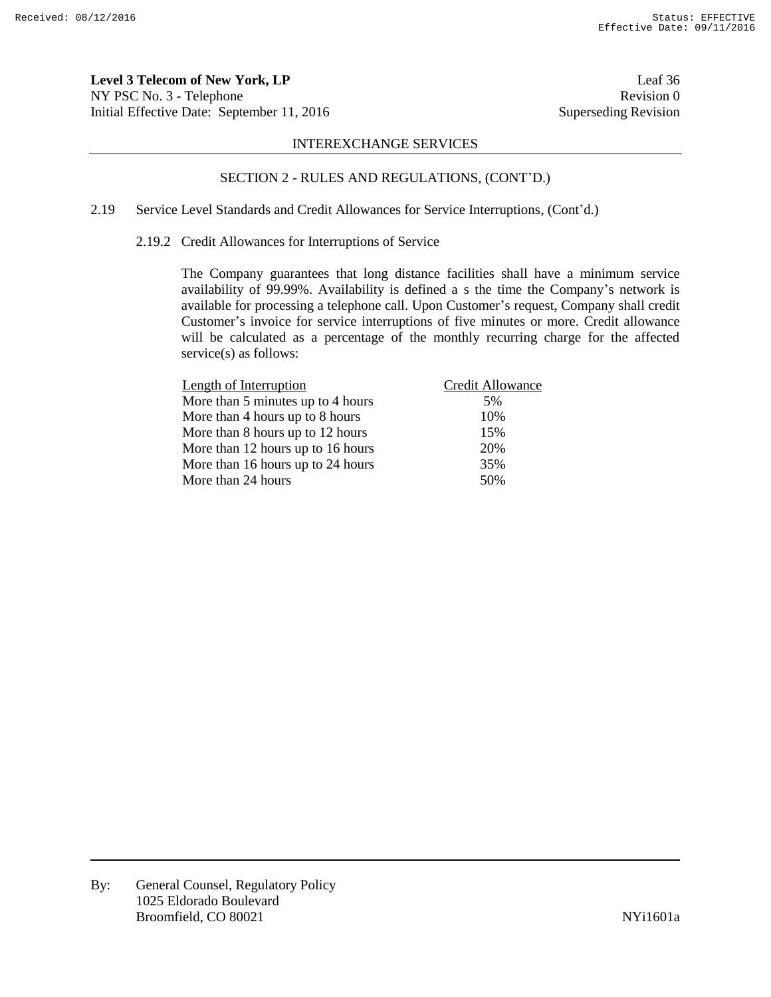**Level 3 Telecom of New York, LP** Leaf 36 NY PSC No. 3 - Telephone Revision 0 Initial Effective Date: September 11, 2016 Superseding Revision

#### INTEREXCHANGE SERVICES

# SECTION 2 - RULES AND REGULATIONS, (CONT'D.)

# 2.19 Service Level Standards and Credit Allowances for Service Interruptions, (Cont'd.)

## 2.19.2 Credit Allowances for Interruptions of Service

The Company guarantees that long distance facilities shall have a minimum service availability of 99.99%. Availability is defined a s the time the Company's network is available for processing a telephone call. Upon Customer's request, Company shall credit Customer's invoice for service interruptions of five minutes or more. Credit allowance will be calculated as a percentage of the monthly recurring charge for the affected service(s) as follows:

| Length of Interruption            | Credit Allowance |
|-----------------------------------|------------------|
| More than 5 minutes up to 4 hours | 5%               |
| More than 4 hours up to 8 hours   | 10%              |
| More than 8 hours up to 12 hours  | 15%              |
| More than 12 hours up to 16 hours | 20%              |
| More than 16 hours up to 24 hours | 35%              |
| More than 24 hours                | 50%              |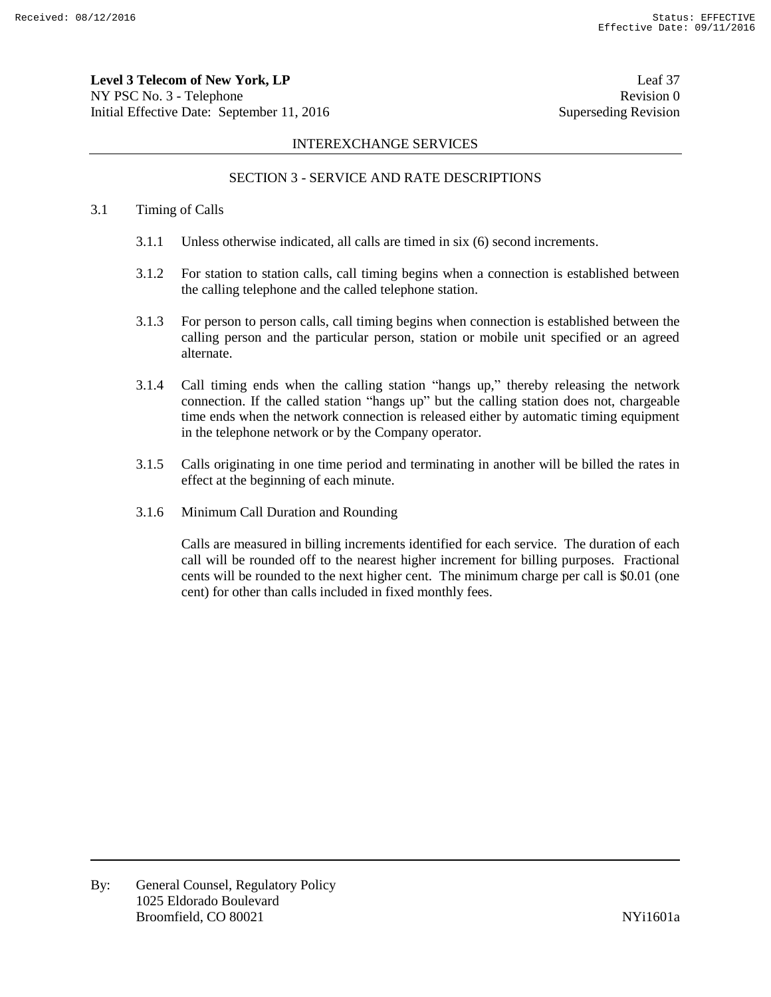**Level 3 Telecom of New York, LP** Leaf 37 NY PSC No. 3 - Telephone Revision 0 Initial Effective Date: September 11, 2016 Superseding Revision

### INTEREXCHANGE SERVICES

# SECTION 3 - SERVICE AND RATE DESCRIPTIONS

#### 3.1 Timing of Calls

- 3.1.1 Unless otherwise indicated, all calls are timed in six (6) second increments.
- 3.1.2 For station to station calls, call timing begins when a connection is established between the calling telephone and the called telephone station.
- 3.1.3 For person to person calls, call timing begins when connection is established between the calling person and the particular person, station or mobile unit specified or an agreed alternate.
- 3.1.4 Call timing ends when the calling station "hangs up," thereby releasing the network connection. If the called station "hangs up" but the calling station does not, chargeable time ends when the network connection is released either by automatic timing equipment in the telephone network or by the Company operator.
- 3.1.5 Calls originating in one time period and terminating in another will be billed the rates in effect at the beginning of each minute.
- 3.1.6 Minimum Call Duration and Rounding

Calls are measured in billing increments identified for each service. The duration of each call will be rounded off to the nearest higher increment for billing purposes. Fractional cents will be rounded to the next higher cent. The minimum charge per call is \$0.01 (one cent) for other than calls included in fixed monthly fees.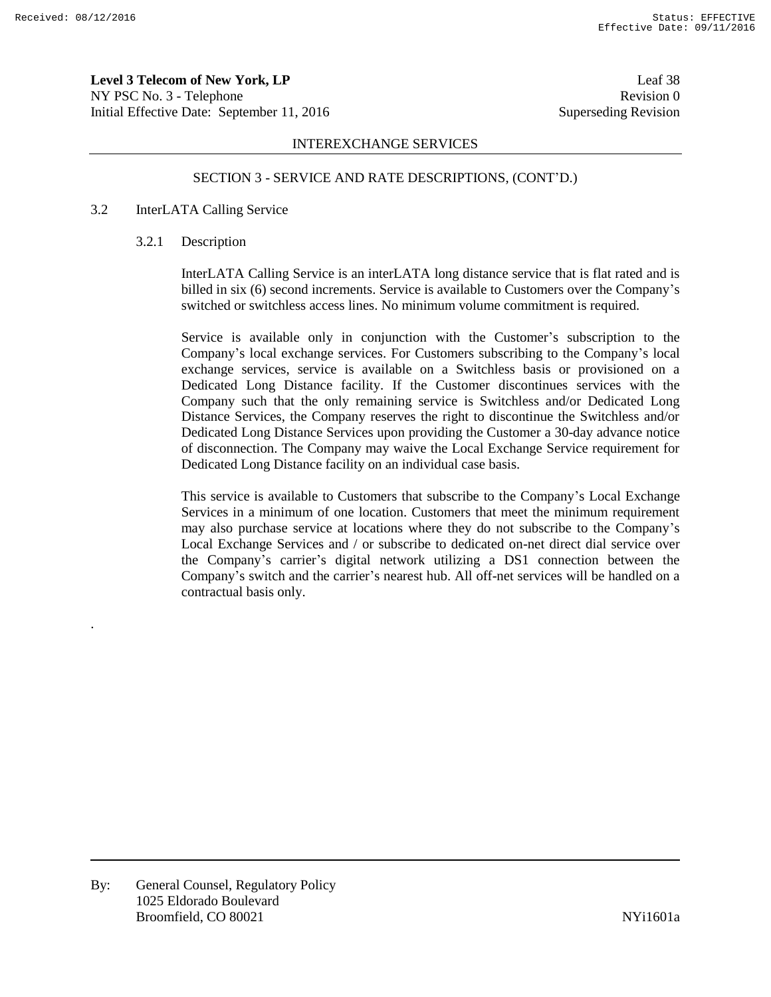.

**Level 3 Telecom of New York, LP** Leaf 38 NY PSC No. 3 - Telephone Revision 0 Initial Effective Date: September 11, 2016 Superseding Revision

# INTEREXCHANGE SERVICES

# SECTION 3 - SERVICE AND RATE DESCRIPTIONS, (CONT'D.)

# 3.2 InterLATA Calling Service

#### 3.2.1 Description

InterLATA Calling Service is an interLATA long distance service that is flat rated and is billed in six (6) second increments. Service is available to Customers over the Company's switched or switchless access lines. No minimum volume commitment is required.

Service is available only in conjunction with the Customer's subscription to the Company's local exchange services. For Customers subscribing to the Company's local exchange services, service is available on a Switchless basis or provisioned on a Dedicated Long Distance facility. If the Customer discontinues services with the Company such that the only remaining service is Switchless and/or Dedicated Long Distance Services, the Company reserves the right to discontinue the Switchless and/or Dedicated Long Distance Services upon providing the Customer a 30-day advance notice of disconnection. The Company may waive the Local Exchange Service requirement for Dedicated Long Distance facility on an individual case basis.

This service is available to Customers that subscribe to the Company's Local Exchange Services in a minimum of one location. Customers that meet the minimum requirement may also purchase service at locations where they do not subscribe to the Company's Local Exchange Services and / or subscribe to dedicated on-net direct dial service over the Company's carrier's digital network utilizing a DS1 connection between the Company's switch and the carrier's nearest hub. All off-net services will be handled on a contractual basis only.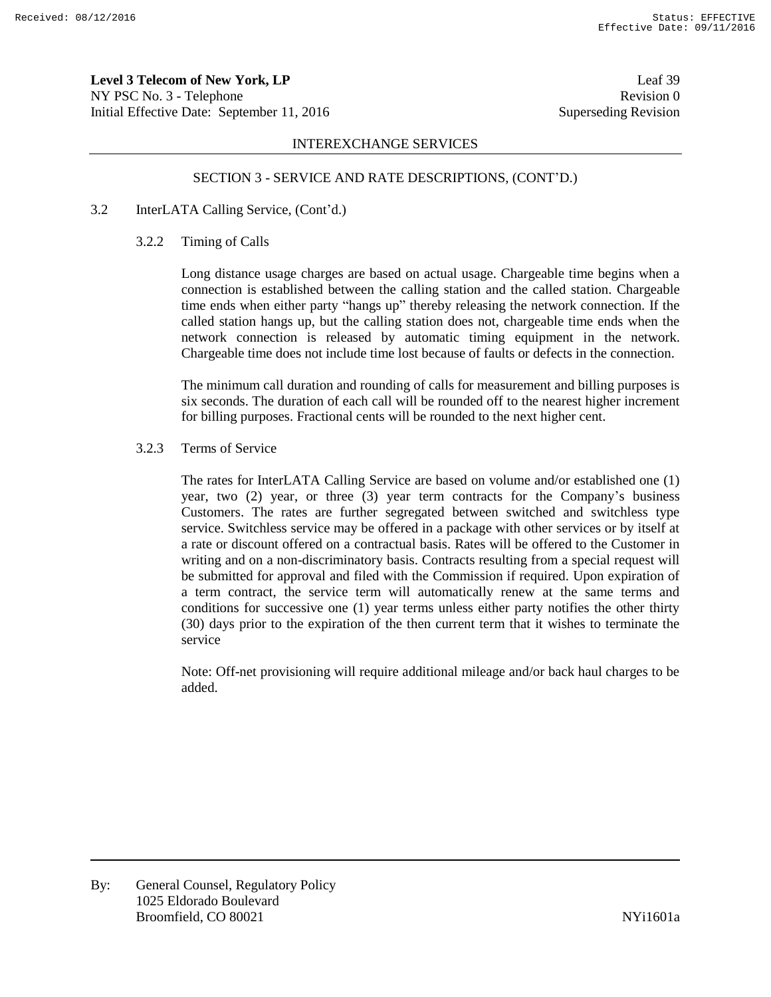**Level 3 Telecom of New York, LP** Leaf 39 NY PSC No. 3 - Telephone Revision 0 Initial Effective Date: September 11, 2016 Superseding Revision

### INTEREXCHANGE SERVICES

#### SECTION 3 - SERVICE AND RATE DESCRIPTIONS, (CONT'D.)

#### 3.2 InterLATA Calling Service, (Cont'd.)

#### 3.2.2 Timing of Calls

Long distance usage charges are based on actual usage. Chargeable time begins when a connection is established between the calling station and the called station. Chargeable time ends when either party "hangs up" thereby releasing the network connection. If the called station hangs up, but the calling station does not, chargeable time ends when the network connection is released by automatic timing equipment in the network. Chargeable time does not include time lost because of faults or defects in the connection.

The minimum call duration and rounding of calls for measurement and billing purposes is six seconds. The duration of each call will be rounded off to the nearest higher increment for billing purposes. Fractional cents will be rounded to the next higher cent.

#### 3.2.3 Terms of Service

The rates for InterLATA Calling Service are based on volume and/or established one (1) year, two (2) year, or three (3) year term contracts for the Company's business Customers. The rates are further segregated between switched and switchless type service. Switchless service may be offered in a package with other services or by itself at a rate or discount offered on a contractual basis. Rates will be offered to the Customer in writing and on a non-discriminatory basis. Contracts resulting from a special request will be submitted for approval and filed with the Commission if required. Upon expiration of a term contract, the service term will automatically renew at the same terms and conditions for successive one (1) year terms unless either party notifies the other thirty (30) days prior to the expiration of the then current term that it wishes to terminate the service

Note: Off-net provisioning will require additional mileage and/or back haul charges to be added.

By: General Counsel, Regulatory Policy 1025 Eldorado Boulevard Broomfield, CO 80021 and the state of the state of the NYi1601a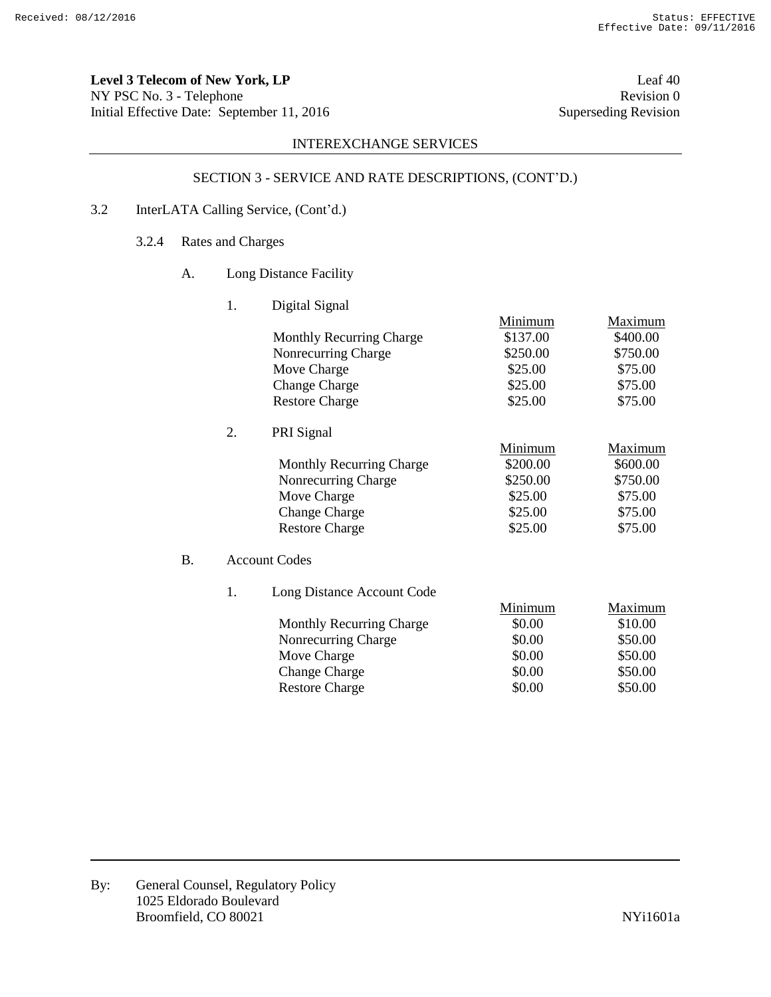**Level 3 Telecom of New York, LP** Leaf 40 NY PSC No. 3 - Telephone Revision 0<br>
Initial Effective Date: September 11, 2016 Superseding Revision 0 Initial Effective Date: September 11, 2016

# INTEREXCHANGE SERVICES

# SECTION 3 - SERVICE AND RATE DESCRIPTIONS, (CONT'D.)

- 3.2 InterLATA Calling Service, (Cont'd.)
	- 3.2.4 Rates and Charges
		- A. Long Distance Facility

1. Digital Signal

|    |                  |                                 | Minimum  | Maximum  |
|----|------------------|---------------------------------|----------|----------|
|    |                  | <b>Monthly Recurring Charge</b> | \$137.00 | \$400.00 |
|    |                  | Nonrecurring Charge             | \$250.00 | \$750.00 |
|    |                  | Move Charge                     | \$25.00  | \$75.00  |
|    |                  | <b>Change Charge</b>            | \$25.00  | \$75.00  |
|    |                  | <b>Restore Charge</b>           | \$25.00  | \$75.00  |
|    | $\overline{2}$ . | PRI Signal                      |          |          |
|    |                  |                                 | Minimum  | Maximum  |
|    |                  | <b>Monthly Recurring Charge</b> | \$200.00 | \$600.00 |
|    |                  | Nonrecurring Charge             | \$250.00 | \$750.00 |
|    |                  | Move Charge                     | \$25.00  | \$75.00  |
|    |                  | <b>Change Charge</b>            | \$25.00  | \$75.00  |
|    |                  | <b>Restore Charge</b>           | \$25.00  | \$75.00  |
| B. |                  | <b>Account Codes</b>            |          |          |
|    | 1.               | Long Distance Account Code      |          |          |
|    |                  |                                 | Minimum  | Maximum  |
|    |                  | <b>Monthly Recurring Charge</b> | \$0.00   | \$10.00  |
|    |                  | Nonrecurring Charge             | \$0.00   | \$50.00  |
|    |                  | Move Charge                     | \$0.00   | \$50.00  |
|    |                  | <b>Change Charge</b>            | \$0.00   | \$50.00  |
|    |                  | <b>Restore Charge</b>           | \$0.00   | \$50.00  |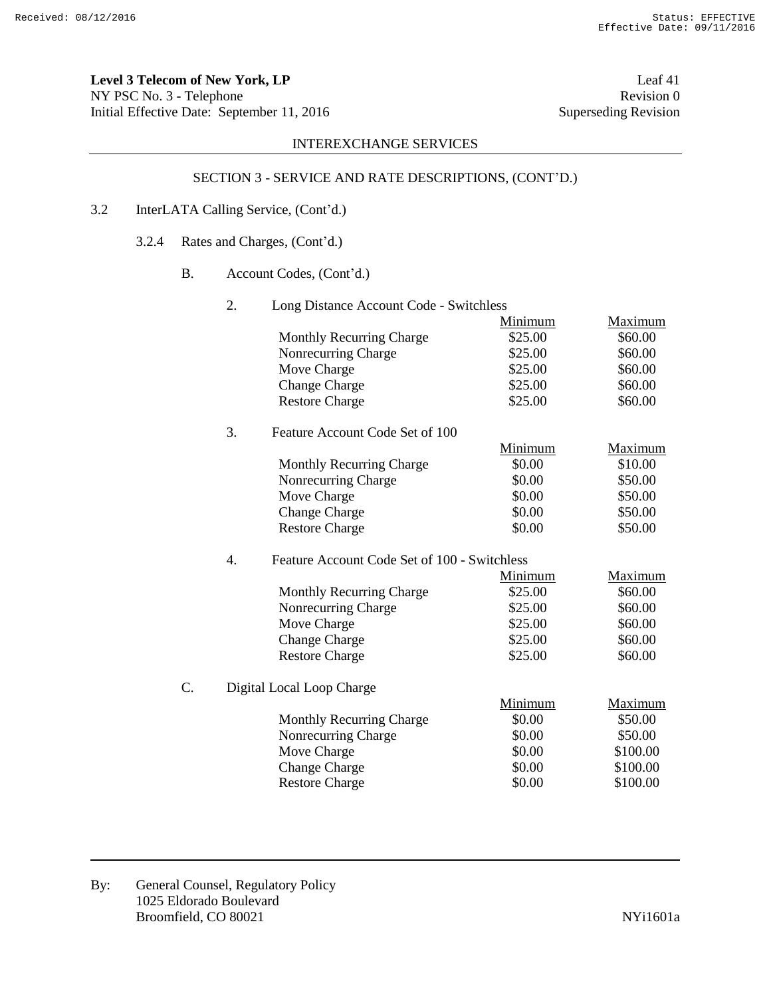**Level 3 Telecom of New York, LP** Leaf 41 NY PSC No. 3 - Telephone Revision 0<br>
Initial Effective Date: September 11, 2016 Superseding Revision Initial Effective Date: September 11, 2016

# INTEREXCHANGE SERVICES

# SECTION 3 - SERVICE AND RATE DESCRIPTIONS, (CONT'D.)

# 3.2 InterLATA Calling Service, (Cont'd.)

- 3.2.4 Rates and Charges, (Cont'd.)
	- B. Account Codes, (Cont'd.)

|    | 2.               | Long Distance Account Code - Switchless      |         |                |  |  |  |  |
|----|------------------|----------------------------------------------|---------|----------------|--|--|--|--|
|    |                  |                                              | Minimum | Maximum        |  |  |  |  |
|    |                  | <b>Monthly Recurring Charge</b>              | \$25.00 | \$60.00        |  |  |  |  |
|    |                  | Nonrecurring Charge                          | \$25.00 | \$60.00        |  |  |  |  |
|    |                  | Move Charge                                  | \$25.00 | \$60.00        |  |  |  |  |
|    |                  | <b>Change Charge</b>                         | \$25.00 | \$60.00        |  |  |  |  |
|    |                  | <b>Restore Charge</b>                        | \$25.00 | \$60.00        |  |  |  |  |
|    | 3.               | Feature Account Code Set of 100              |         |                |  |  |  |  |
|    |                  |                                              | Minimum | Maximum        |  |  |  |  |
|    |                  | <b>Monthly Recurring Charge</b>              | \$0.00  | \$10.00        |  |  |  |  |
|    |                  | Nonrecurring Charge                          | \$0.00  | \$50.00        |  |  |  |  |
|    |                  | Move Charge                                  | \$0.00  | \$50.00        |  |  |  |  |
|    |                  | <b>Change Charge</b>                         | \$0.00  | \$50.00        |  |  |  |  |
|    |                  | <b>Restore Charge</b>                        | \$0.00  | \$50.00        |  |  |  |  |
|    | $\overline{4}$ . | Feature Account Code Set of 100 - Switchless |         |                |  |  |  |  |
|    |                  |                                              | Minimum | Maximum        |  |  |  |  |
|    |                  | <b>Monthly Recurring Charge</b>              | \$25.00 | \$60.00        |  |  |  |  |
|    |                  | Nonrecurring Charge                          | \$25.00 | \$60.00        |  |  |  |  |
|    |                  | Move Charge                                  | \$25.00 | \$60.00        |  |  |  |  |
|    |                  | <b>Change Charge</b>                         | \$25.00 | \$60.00        |  |  |  |  |
|    |                  | <b>Restore Charge</b>                        | \$25.00 | \$60.00        |  |  |  |  |
| Ċ. |                  | Digital Local Loop Charge                    |         |                |  |  |  |  |
|    |                  |                                              | Minimum | <b>Maximum</b> |  |  |  |  |
|    |                  | <b>Monthly Recurring Charge</b>              | \$0.00  | \$50.00        |  |  |  |  |
|    |                  | Nonrecurring Charge                          | \$0.00  | \$50.00        |  |  |  |  |
|    |                  | Move Charge                                  | \$0.00  | \$100.00       |  |  |  |  |
|    |                  | <b>Change Charge</b>                         | \$0.00  | \$100.00       |  |  |  |  |
|    |                  | <b>Restore Charge</b>                        | \$0.00  | \$100.00       |  |  |  |  |
|    |                  |                                              |         |                |  |  |  |  |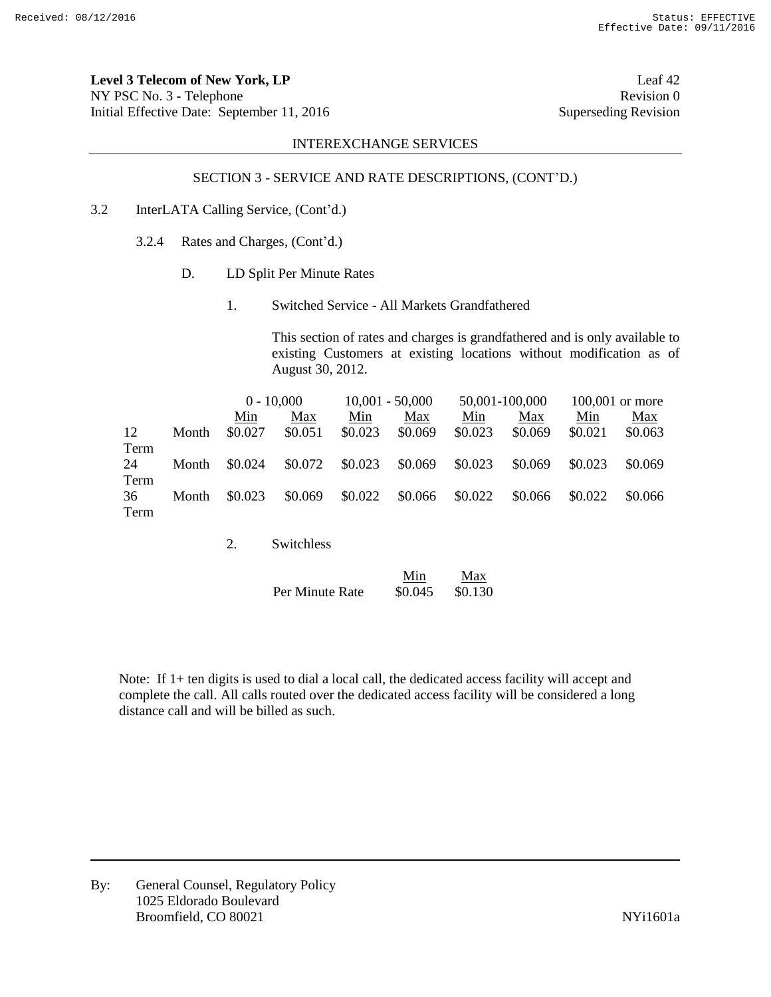**Level 3 Telecom of New York, LP** Leaf 42 NY PSC No. 3 - Telephone Revision 0 Initial Effective Date: September 11, 2016 Superseding Revision

# INTEREXCHANGE SERVICES

## SECTION 3 - SERVICE AND RATE DESCRIPTIONS, (CONT'D.)

- 3.2 InterLATA Calling Service, (Cont'd.)
	- 3.2.4 Rates and Charges, (Cont'd.)
		- D. LD Split Per Minute Rates
			- 1. Switched Service All Markets Grandfathered

This section of rates and charges is grandfathered and is only available to existing Customers at existing locations without modification as of August 30, 2012.

|      |       |         | $0 - 10,000$ |         | $10,001 - 50,000$ |         | 50,001-100,000 |         | $100,001$ or more |
|------|-------|---------|--------------|---------|-------------------|---------|----------------|---------|-------------------|
|      |       | Min     | Max          | Min     | Max               | Min     | Max            | Min     | Max               |
| 12   | Month | \$0.027 | \$0.051      | \$0.023 | \$0.069           | \$0.023 | \$0.069        | \$0.021 | \$0.063           |
| Term |       |         |              |         |                   |         |                |         |                   |
| 24   | Month | \$0.024 | \$0.072      | \$0.023 | \$0.069           | \$0.023 | \$0.069        | \$0.023 | \$0.069           |
| Term |       |         |              |         |                   |         |                |         |                   |
| 36   | Month | \$0.023 | \$0.069      | \$0.022 | \$0.066           | \$0.022 | \$0.066        | \$0.022 | \$0.066           |
| Term |       |         |              |         |                   |         |                |         |                   |
|      |       |         |              |         |                   |         |                |         |                   |
|      |       | 2.      | Switchless   |         |                   |         |                |         |                   |

|                 | Min     | Max     |
|-----------------|---------|---------|
| Per Minute Rate | \$0.045 | \$0.130 |

Note: If 1+ ten digits is used to dial a local call, the dedicated access facility will accept and complete the call. All calls routed over the dedicated access facility will be considered a long distance call and will be billed as such.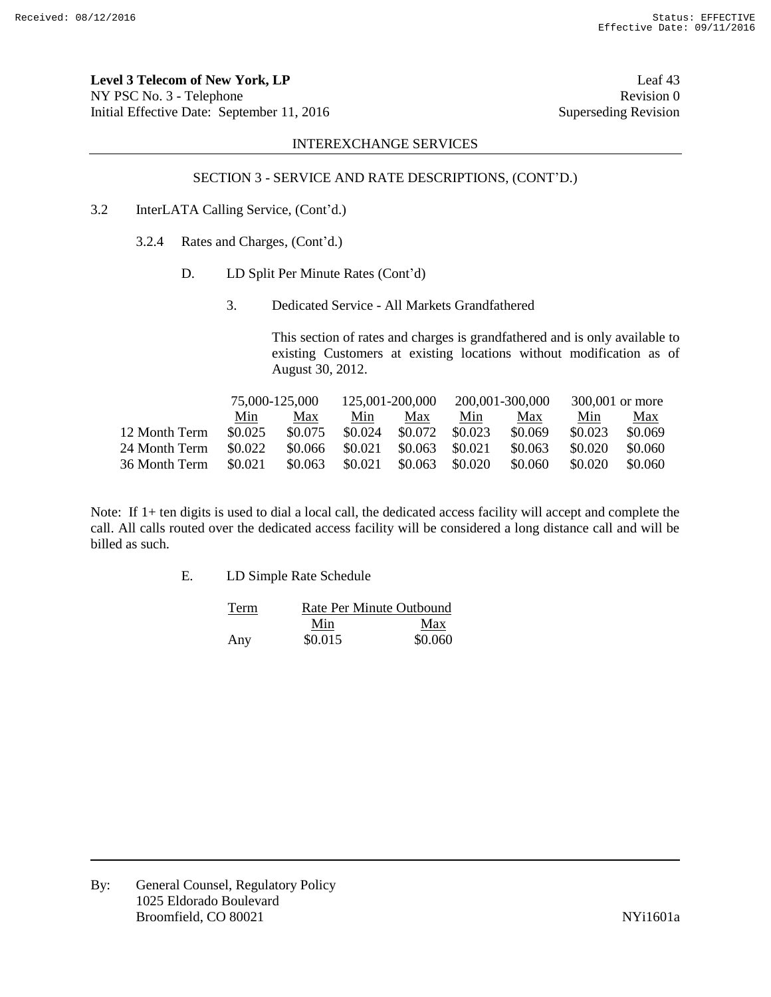**Level 3 Telecom of New York, LP** Leaf 43 NY PSC No. 3 - Telephone Revision 0 Initial Effective Date: September 11, 2016 Superseding Revision

## INTEREXCHANGE SERVICES

# SECTION 3 - SERVICE AND RATE DESCRIPTIONS, (CONT'D.)

- 3.2 InterLATA Calling Service, (Cont'd.)
	- 3.2.4 Rates and Charges, (Cont'd.)
		- D. LD Split Per Minute Rates (Cont'd)
			- 3. Dedicated Service All Markets Grandfathered

This section of rates and charges is grandfathered and is only available to existing Customers at existing locations without modification as of August 30, 2012.

|               | 75,000-125,000 |         | 125,001-200,000 |         | 200,001-300,000 |         | 300,001 or more |         |
|---------------|----------------|---------|-----------------|---------|-----------------|---------|-----------------|---------|
|               | Min            | Max     | Min             | Max     | Min             | Max     | Min             | Max     |
| 12 Month Term | \$0.025        | \$0.075 | \$0.024         | \$0.072 | \$0.023         | \$0.069 | \$0.023         | \$0.069 |
| 24 Month Term | \$0.022        | \$0.066 | \$0.021         | \$0.063 | \$0.021         | \$0.063 | \$0.020         | \$0.060 |
| 36 Month Term | \$0.021        | \$0.063 | \$0.021         | \$0.063 | \$0.020         | \$0.060 | \$0.020         | \$0.060 |

Note: If 1+ ten digits is used to dial a local call, the dedicated access facility will accept and complete the call. All calls routed over the dedicated access facility will be considered a long distance call and will be billed as such.

E. LD Simple Rate Schedule

| Term | Rate Per Minute Outbound |         |  |  |
|------|--------------------------|---------|--|--|
|      | Min                      | Max     |  |  |
| Any  | \$0.015                  | \$0.060 |  |  |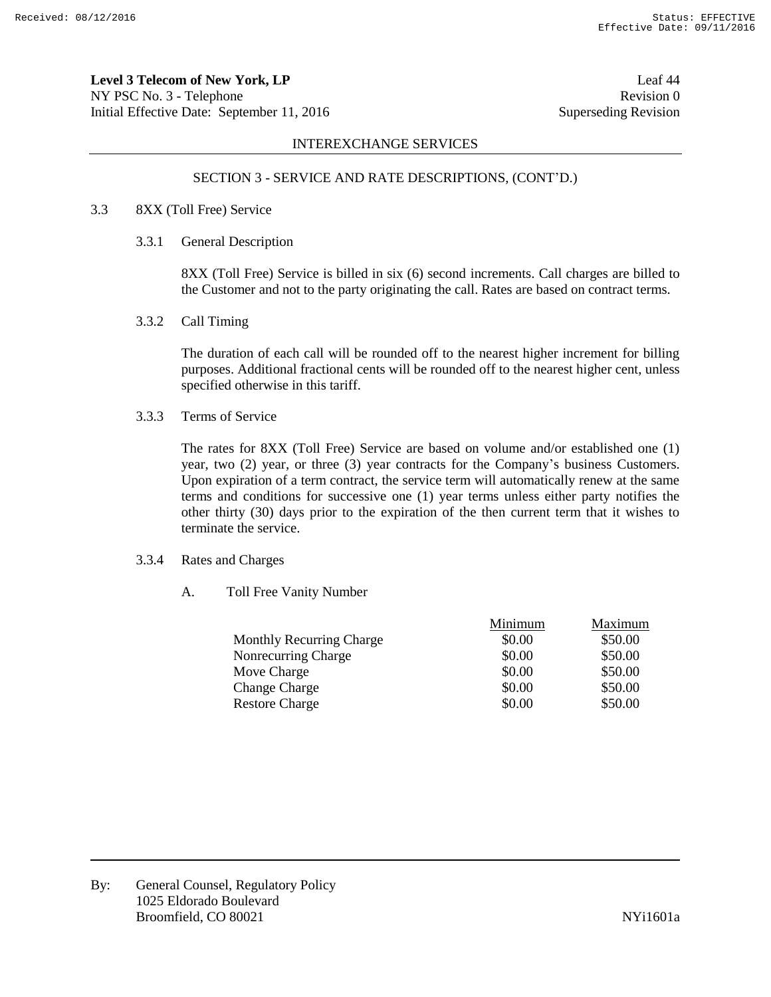**Level 3 Telecom of New York, LP** Leaf 44 NY PSC No. 3 - Telephone Revision 0 Initial Effective Date: September 11, 2016 Superseding Revision

# INTEREXCHANGE SERVICES

# SECTION 3 - SERVICE AND RATE DESCRIPTIONS, (CONT'D.)

### 3.3 8XX (Toll Free) Service

3.3.1 General Description

8XX (Toll Free) Service is billed in six (6) second increments. Call charges are billed to the Customer and not to the party originating the call. Rates are based on contract terms.

3.3.2 Call Timing

The duration of each call will be rounded off to the nearest higher increment for billing purposes. Additional fractional cents will be rounded off to the nearest higher cent, unless specified otherwise in this tariff.

3.3.3 Terms of Service

The rates for 8XX (Toll Free) Service are based on volume and/or established one (1) year, two (2) year, or three (3) year contracts for the Company's business Customers. Upon expiration of a term contract, the service term will automatically renew at the same terms and conditions for successive one (1) year terms unless either party notifies the other thirty (30) days prior to the expiration of the then current term that it wishes to terminate the service.

# 3.3.4 Rates and Charges

A. Toll Free Vanity Number

|                                 | Minimum | Maximum |
|---------------------------------|---------|---------|
| <b>Monthly Recurring Charge</b> | \$0.00  | \$50.00 |
| Nonrecurring Charge             | \$0.00  | \$50.00 |
| Move Charge                     | \$0.00  | \$50.00 |
| <b>Change Charge</b>            | \$0.00  | \$50.00 |
| <b>Restore Charge</b>           | \$0.00  | \$50.00 |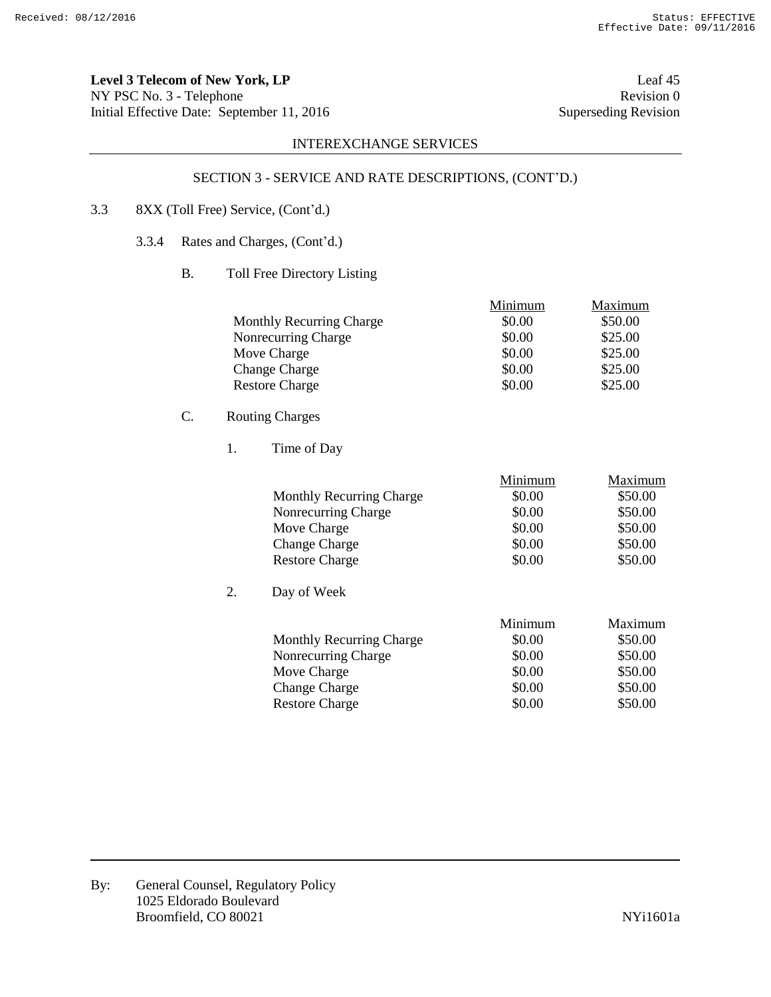**Level 3 Telecom of New York, LP** Leaf 45 NY PSC No. 3 - Telephone Revision 0<br>
Initial Effective Date: September 11, 2016 Superseding Revision 0 Initial Effective Date: September 11, 2016

# INTEREXCHANGE SERVICES

# SECTION 3 - SERVICE AND RATE DESCRIPTIONS, (CONT'D.)

# 3.3 8XX (Toll Free) Service, (Cont'd.)

- 3.3.4 Rates and Charges, (Cont'd.)
	- B. Toll Free Directory Listing

|                                 | Minimum | Maximum |
|---------------------------------|---------|---------|
| <b>Monthly Recurring Charge</b> | \$0.00  | \$50.00 |
| Nonrecurring Charge             | \$0.00  | \$25.00 |
| Move Charge                     | \$0.00  | \$25.00 |
| <b>Change Charge</b>            | \$0.00  | \$25.00 |
| <b>Restore Charge</b>           | \$0.00  | \$25.00 |

# C. Routing Charges

1. Time of Day

|    |                                 | Minimum | Maximum |
|----|---------------------------------|---------|---------|
|    | <b>Monthly Recurring Charge</b> | \$0.00  | \$50.00 |
|    | Nonrecurring Charge             | \$0.00  | \$50.00 |
|    | Move Charge                     | \$0.00  | \$50.00 |
|    | <b>Change Charge</b>            | \$0.00  | \$50.00 |
|    | <b>Restore Charge</b>           | \$0.00  | \$50.00 |
| 2. | Day of Week                     |         |         |
|    |                                 | Minimum | Maximum |
|    | <b>Monthly Recurring Charge</b> | \$0.00  | \$50.00 |
|    | Nonrecurring Charge             | \$0.00  | \$50.00 |
|    | Move Charge                     | \$0.00  | \$50.00 |
|    | <b>Change Charge</b>            | \$0.00  | \$50.00 |
|    | <b>Restore Charge</b>           | \$0.00  | \$50.00 |
|    |                                 |         |         |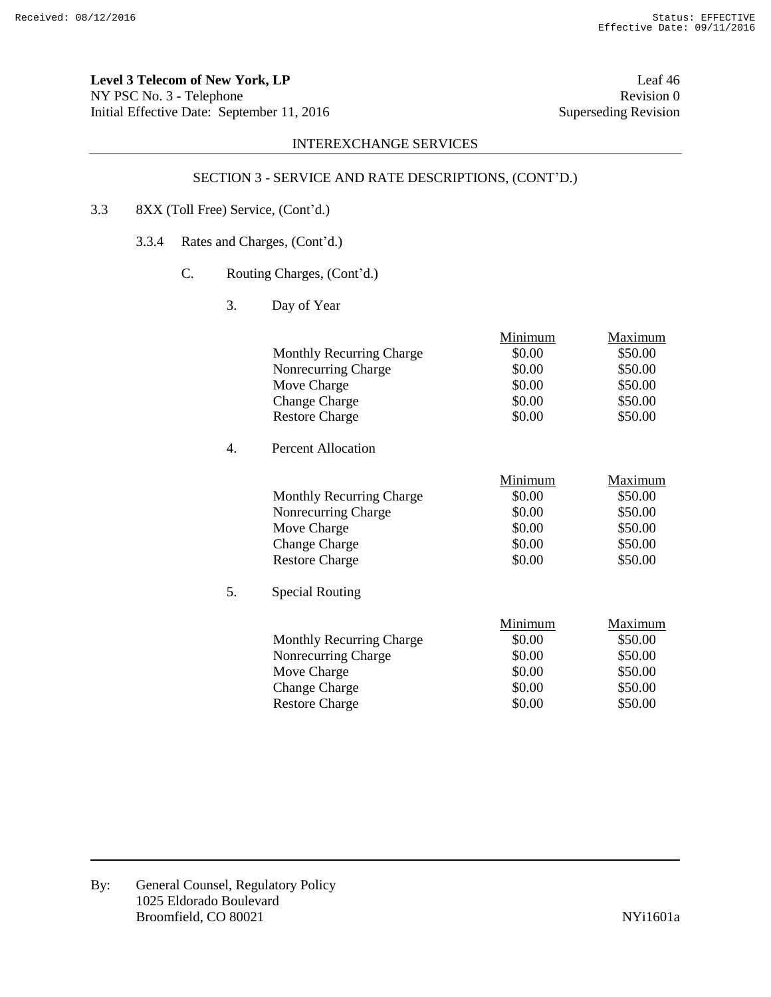**Level 3 Telecom of New York, LP** Leaf 46 NY PSC No. 3 - Telephone Revision 0<br>
Initial Effective Date: September 11, 2016 Superseding Revision 0 Initial Effective Date: September 11, 2016

# INTEREXCHANGE SERVICES

# SECTION 3 - SERVICE AND RATE DESCRIPTIONS, (CONT'D.)

# 3.3 8XX (Toll Free) Service, (Cont'd.)

- 3.3.4 Rates and Charges, (Cont'd.)
	- C. Routing Charges, (Cont'd.)
		- 3. Day of Year

|    | <b>Monthly Recurring Charge</b><br>Nonrecurring Charge<br>Move Charge<br><b>Change Charge</b><br><b>Restore Charge</b>                           | Minimum<br>\$0.00<br>\$0.00<br>\$0.00<br>\$0.00<br>\$0.00 | Maximum<br>\$50.00<br>\$50.00<br>\$50.00<br>\$50.00<br>\$50.00 |
|----|--------------------------------------------------------------------------------------------------------------------------------------------------|-----------------------------------------------------------|----------------------------------------------------------------|
| 4. | Percent Allocation                                                                                                                               |                                                           |                                                                |
| 5. | <b>Monthly Recurring Charge</b><br>Nonrecurring Charge<br>Move Charge<br><b>Change Charge</b><br><b>Restore Charge</b><br><b>Special Routing</b> | Minimum<br>\$0.00<br>\$0.00<br>\$0.00<br>\$0.00<br>\$0.00 | Maximum<br>\$50.00<br>\$50.00<br>\$50.00<br>\$50.00<br>\$50.00 |
|    | <b>Monthly Recurring Charge</b><br>Nonrecurring Charge<br>Move Charge<br><b>Change Charge</b><br><b>Restore Charge</b>                           | Minimum<br>\$0.00<br>\$0.00<br>\$0.00<br>\$0.00<br>\$0.00 | Maximum<br>\$50.00<br>\$50.00<br>\$50.00<br>\$50.00<br>\$50.00 |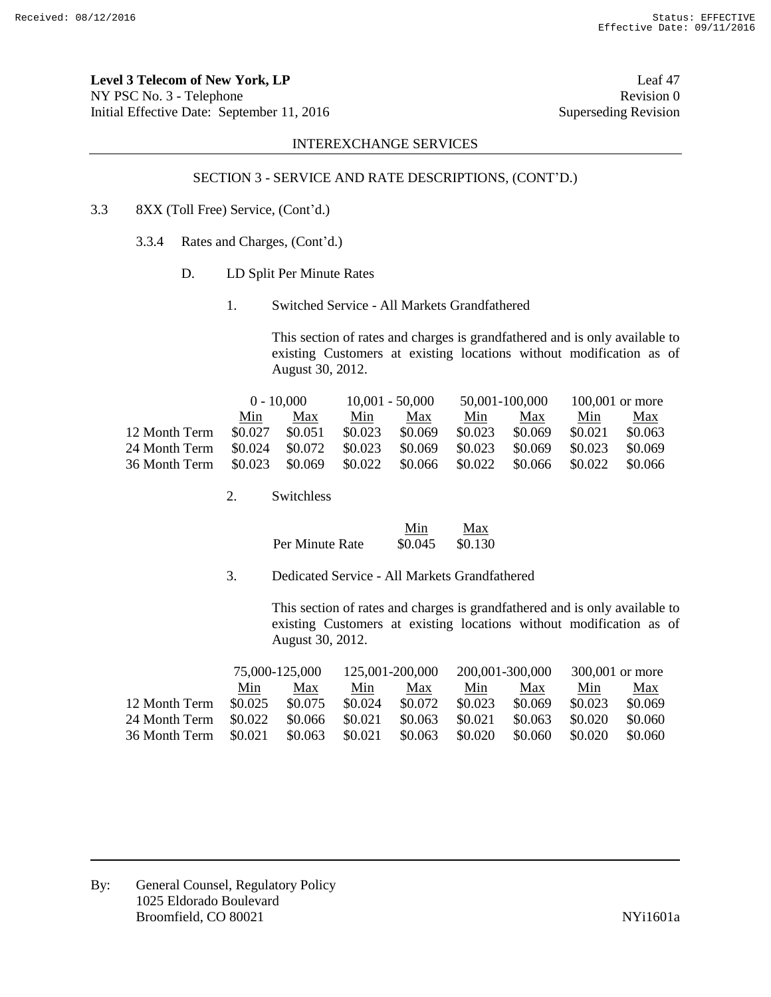**Level 3 Telecom of New York, LP** Leaf 47 NY PSC No. 3 - Telephone Revision 0 Initial Effective Date: September 11, 2016 Superseding Revision

### INTEREXCHANGE SERVICES

# SECTION 3 - SERVICE AND RATE DESCRIPTIONS, (CONT'D.)

- 3.3 8XX (Toll Free) Service, (Cont'd.)
	- 3.3.4 Rates and Charges, (Cont'd.)
		- D. LD Split Per Minute Rates
			- 1. Switched Service All Markets Grandfathered

This section of rates and charges is grandfathered and is only available to existing Customers at existing locations without modification as of August 30, 2012.

|               | $0 - 10,000$ |         | $10,001 - 50,000$ |         | 50,001-100,000 |         | $100,001$ or more |         |
|---------------|--------------|---------|-------------------|---------|----------------|---------|-------------------|---------|
|               | Min          | Max     | Min               | Max     | Min            | Max     | Min               | Max     |
| 12 Month Term | \$0.027      | \$0.051 | \$0.023           | \$0.069 | \$0.023        | \$0.069 | \$0.021           | \$0.063 |
| 24 Month Term | \$0.024      | \$0.072 | \$0.023           | \$0.069 | \$0.023        | \$0.069 | \$0.023           | \$0.069 |
| 36 Month Term | \$0.023      | \$0.069 | \$0.022           | \$0.066 | \$0.022        | \$0.066 | \$0.022           | \$0.066 |

2. Switchless

|                 | Min     | Max     |
|-----------------|---------|---------|
| Per Minute Rate | \$0.045 | \$0.130 |

3. Dedicated Service - All Markets Grandfathered

This section of rates and charges is grandfathered and is only available to existing Customers at existing locations without modification as of August 30, 2012.

| 75,000-125,000 |         | 125,001-200,000 |         | 200,001-300,000 |         | 300,001 or more |         |
|----------------|---------|-----------------|---------|-----------------|---------|-----------------|---------|
| Min            | Max     | Min             | Max     | Min             | Max     | Min             | Max     |
| \$0.025        | \$0.075 | \$0.024         | \$0.072 | \$0.023         | \$0.069 | \$0.023         | \$0.069 |
| \$0.022        | \$0.066 | \$0.021         | \$0.063 | \$0.021         | \$0.063 | \$0.020         | \$0.060 |
| \$0.021        | \$0.063 | \$0.021         | \$0.063 | \$0.020         | \$0.060 | \$0.020         | \$0.060 |
|                |         |                 |         |                 |         |                 |         |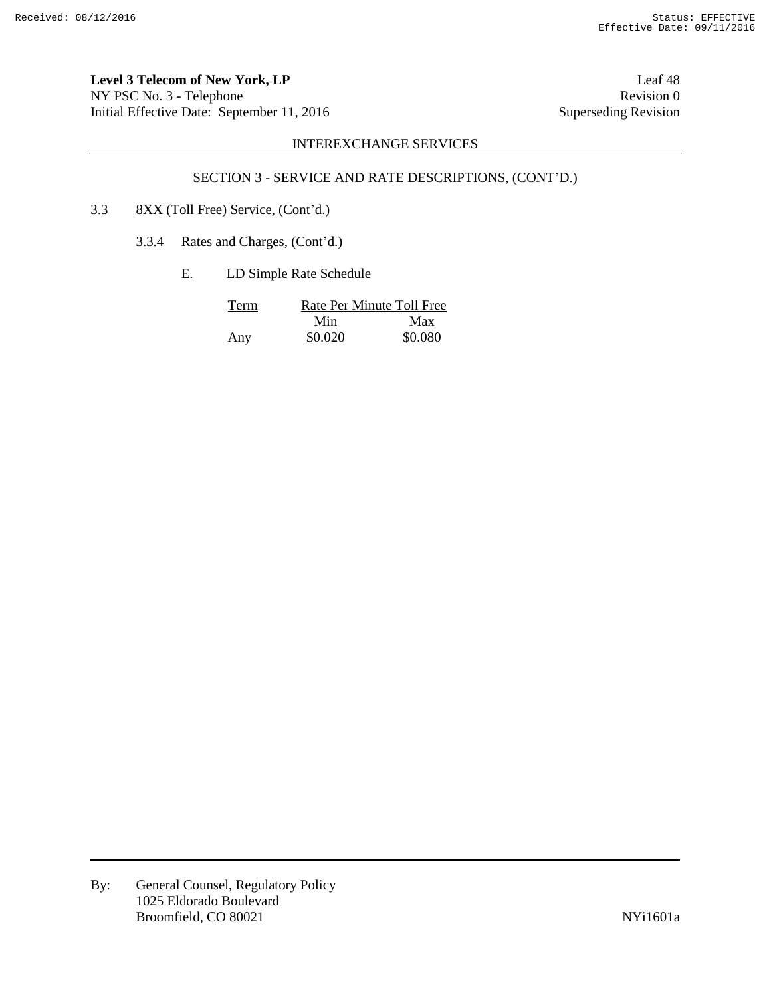Level 3 Telecom of New York, LP<br>
Leaf 48 NY PSC No. 3 - Telephone Revision 0<br>
Initial Effective Date: September 11, 2016 Superseding Revision 0 Initial Effective Date: September 11, 2016

# INTEREXCHANGE SERVICES

# SECTION 3 - SERVICE AND RATE DESCRIPTIONS, (CONT'D.)

- 3.3 8XX (Toll Free) Service, (Cont'd.)
	- 3.3.4 Rates and Charges, (Cont'd.)
		- E. LD Simple Rate Schedule

| Term |         | Rate Per Minute Toll Free |
|------|---------|---------------------------|
|      | Min     | Max                       |
| Any  | \$0.020 | \$0.080                   |

By: General Counsel, Regulatory Policy 1025 Eldorado Boulevard Broomfield, CO 80021 NYi1601a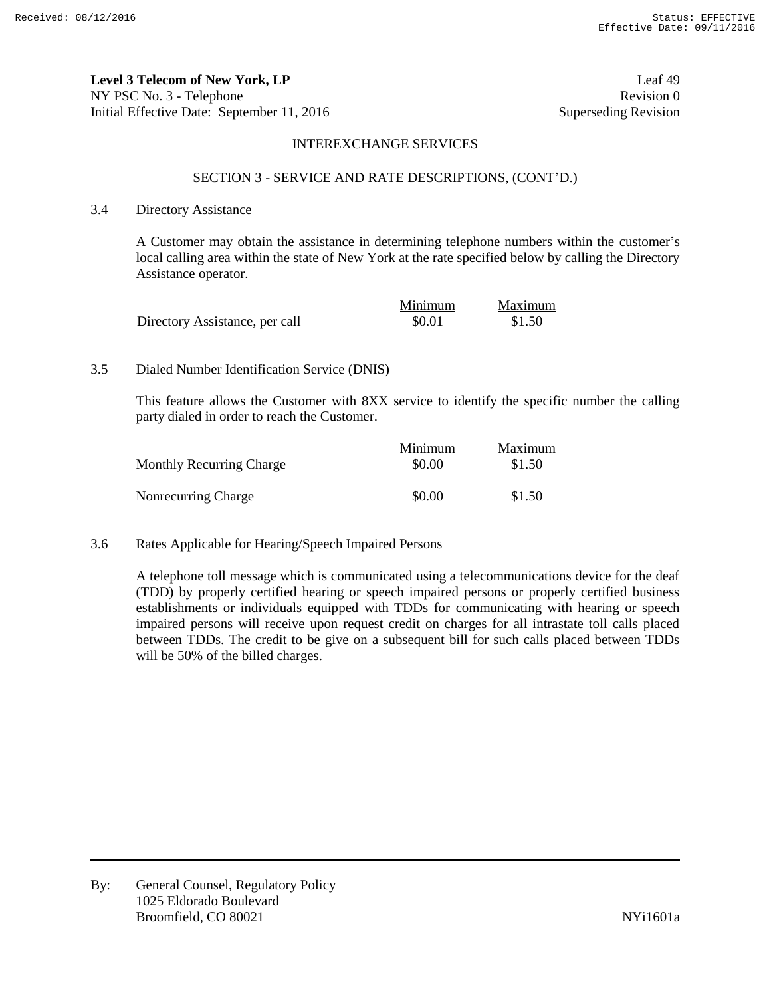**Level 3 Telecom of New York, LP** Leaf 49 NY PSC No. 3 - Telephone Revision 0 Initial Effective Date: September 11, 2016 Superseding Revision

### INTEREXCHANGE SERVICES

### SECTION 3 - SERVICE AND RATE DESCRIPTIONS, (CONT'D.)

# 3.4 Directory Assistance

A Customer may obtain the assistance in determining telephone numbers within the customer's local calling area within the state of New York at the rate specified below by calling the Directory Assistance operator.

|                                | Minimum | Maximum |
|--------------------------------|---------|---------|
| Directory Assistance, per call | \$0.01  | \$1.50  |

#### 3.5 Dialed Number Identification Service (DNIS)

This feature allows the Customer with 8XX service to identify the specific number the calling party dialed in order to reach the Customer.

| <b>Monthly Recurring Charge</b> | Minimum<br>\$0.00 | Maximum<br>\$1.50 |
|---------------------------------|-------------------|-------------------|
| Nonrecurring Charge             | \$0.00            | \$1.50            |

3.6 Rates Applicable for Hearing/Speech Impaired Persons

A telephone toll message which is communicated using a telecommunications device for the deaf (TDD) by properly certified hearing or speech impaired persons or properly certified business establishments or individuals equipped with TDDs for communicating with hearing or speech impaired persons will receive upon request credit on charges for all intrastate toll calls placed between TDDs. The credit to be give on a subsequent bill for such calls placed between TDDs will be 50% of the billed charges.

By: General Counsel, Regulatory Policy 1025 Eldorado Boulevard Broomfield, CO 80021 and the state of the state of the SNYi1601a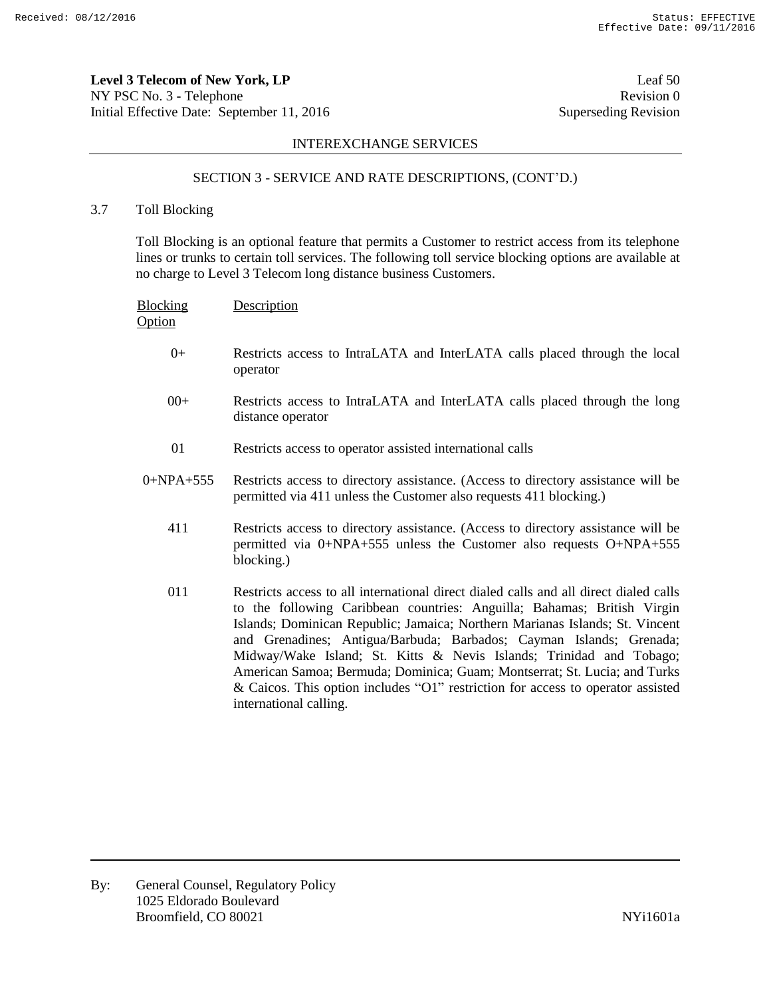**Level 3 Telecom of New York, LP** Leaf 50 NY PSC No. 3 - Telephone Revision 0 Initial Effective Date: September 11, 2016 Superseding Revision

## INTEREXCHANGE SERVICES

# SECTION 3 - SERVICE AND RATE DESCRIPTIONS, (CONT'D.)

3.7 Toll Blocking

Toll Blocking is an optional feature that permits a Customer to restrict access from its telephone lines or trunks to certain toll services. The following toll service blocking options are available at no charge to Level 3 Telecom long distance business Customers.

| <b>Blocking</b><br>Option | Description                                                                                                                                                                                                                                                                                                                                                                                                                                                                                                                                                                              |
|---------------------------|------------------------------------------------------------------------------------------------------------------------------------------------------------------------------------------------------------------------------------------------------------------------------------------------------------------------------------------------------------------------------------------------------------------------------------------------------------------------------------------------------------------------------------------------------------------------------------------|
| $0+$                      | Restricts access to IntraLATA and InterLATA calls placed through the local<br>operator                                                                                                                                                                                                                                                                                                                                                                                                                                                                                                   |
| $00+$                     | Restricts access to IntraLATA and InterLATA calls placed through the long<br>distance operator                                                                                                                                                                                                                                                                                                                                                                                                                                                                                           |
| 01                        | Restricts access to operator assisted international calls                                                                                                                                                                                                                                                                                                                                                                                                                                                                                                                                |
| $0+NPA+555$               | Restricts access to directory assistance. (Access to directory assistance will be<br>permitted via 411 unless the Customer also requests 411 blocking.)                                                                                                                                                                                                                                                                                                                                                                                                                                  |
| 411                       | Restricts access to directory assistance. (Access to directory assistance will be<br>permitted via 0+NPA+555 unless the Customer also requests O+NPA+555<br>blocking.)                                                                                                                                                                                                                                                                                                                                                                                                                   |
| 011                       | Restricts access to all international direct dialed calls and all direct dialed calls<br>to the following Caribbean countries: Anguilla; Bahamas; British Virgin<br>Islands; Dominican Republic; Jamaica; Northern Marianas Islands; St. Vincent<br>and Grenadines; Antigua/Barbuda; Barbados; Cayman Islands; Grenada;<br>Midway/Wake Island; St. Kitts & Nevis Islands; Trinidad and Tobago;<br>American Samoa; Bermuda; Dominica; Guam; Montserrat; St. Lucia; and Turks<br>& Caicos. This option includes "O1" restriction for access to operator assisted<br>international calling. |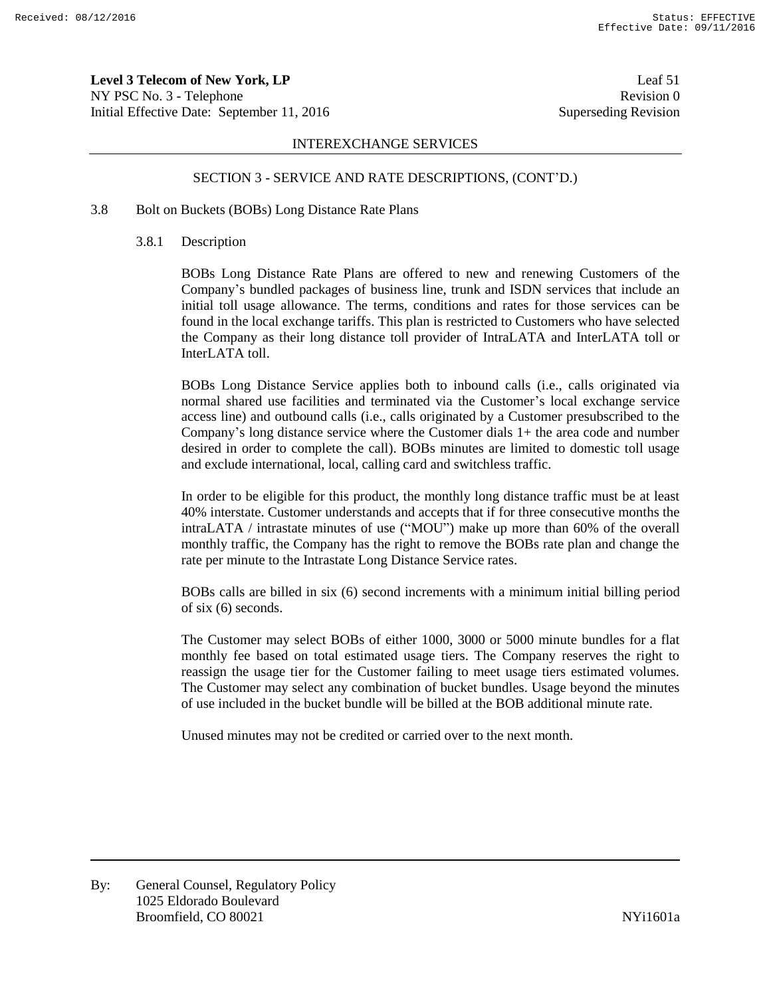**Level 3 Telecom of New York, LP** Leaf 51 NY PSC No. 3 - Telephone Revision 0 Initial Effective Date: September 11, 2016 Superseding Revision

### INTEREXCHANGE SERVICES

### SECTION 3 - SERVICE AND RATE DESCRIPTIONS, (CONT'D.)

#### 3.8 Bolt on Buckets (BOBs) Long Distance Rate Plans

#### 3.8.1 Description

BOBs Long Distance Rate Plans are offered to new and renewing Customers of the Company's bundled packages of business line, trunk and ISDN services that include an initial toll usage allowance. The terms, conditions and rates for those services can be found in the local exchange tariffs. This plan is restricted to Customers who have selected the Company as their long distance toll provider of IntraLATA and InterLATA toll or InterLATA toll.

BOBs Long Distance Service applies both to inbound calls (i.e., calls originated via normal shared use facilities and terminated via the Customer's local exchange service access line) and outbound calls (i.e., calls originated by a Customer presubscribed to the Company's long distance service where the Customer dials 1+ the area code and number desired in order to complete the call). BOBs minutes are limited to domestic toll usage and exclude international, local, calling card and switchless traffic.

In order to be eligible for this product, the monthly long distance traffic must be at least 40% interstate. Customer understands and accepts that if for three consecutive months the intraLATA / intrastate minutes of use ("MOU") make up more than 60% of the overall monthly traffic, the Company has the right to remove the BOBs rate plan and change the rate per minute to the Intrastate Long Distance Service rates.

BOBs calls are billed in six (6) second increments with a minimum initial billing period of six (6) seconds.

The Customer may select BOBs of either 1000, 3000 or 5000 minute bundles for a flat monthly fee based on total estimated usage tiers. The Company reserves the right to reassign the usage tier for the Customer failing to meet usage tiers estimated volumes. The Customer may select any combination of bucket bundles. Usage beyond the minutes of use included in the bucket bundle will be billed at the BOB additional minute rate.

Unused minutes may not be credited or carried over to the next month.

By: General Counsel, Regulatory Policy 1025 Eldorado Boulevard Broomfield, CO 80021 and the state of the state of the NYi1601a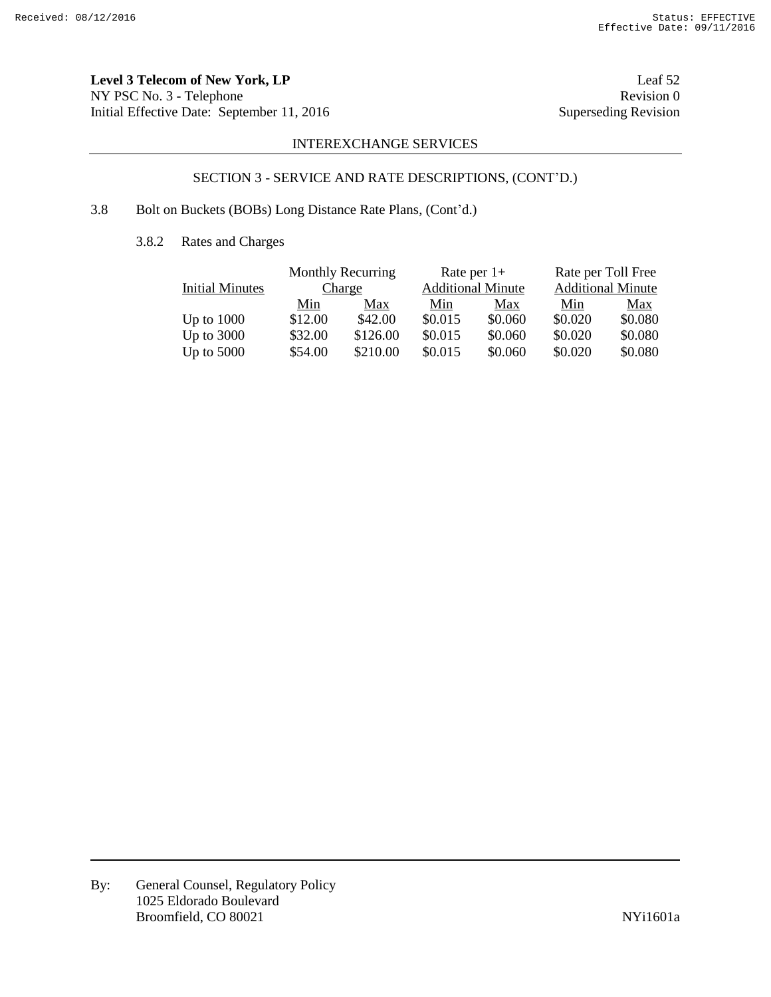**Level 3 Telecom of New York, LP** Leaf 52 NY PSC No. 3 - Telephone Revision 0<br>
Initial Effective Date: September 11, 2016 Superseding Revision Initial Effective Date: September 11, 2016

# INTEREXCHANGE SERVICES

# SECTION 3 - SERVICE AND RATE DESCRIPTIONS, (CONT'D.)

# 3.8 Bolt on Buckets (BOBs) Long Distance Rate Plans, (Cont'd.)

3.8.2 Rates and Charges

|                        | <b>Monthly Recurring</b> |          | Rate per $1+$ |                          | Rate per Toll Free |                          |  |
|------------------------|--------------------------|----------|---------------|--------------------------|--------------------|--------------------------|--|
| <b>Initial Minutes</b> | Charge                   |          |               | <b>Additional Minute</b> |                    | <b>Additional Minute</b> |  |
|                        | Min                      | Max      | Min           | Max                      | Min                | Max                      |  |
| Up to $1000$           | \$12.00                  | \$42.00  | \$0.015       | \$0.060                  | \$0.020            | \$0.080                  |  |
| Up to $3000$           | \$32.00                  | \$126.00 | \$0.015       | \$0.060                  | \$0.020            | \$0.080                  |  |
| Up to $5000$           | \$54.00                  | \$210.00 | \$0.015       | \$0.060                  | \$0.020            | \$0.080                  |  |

By: General Counsel, Regulatory Policy 1025 Eldorado Boulevard Broomfield, CO 80021 NYi1601a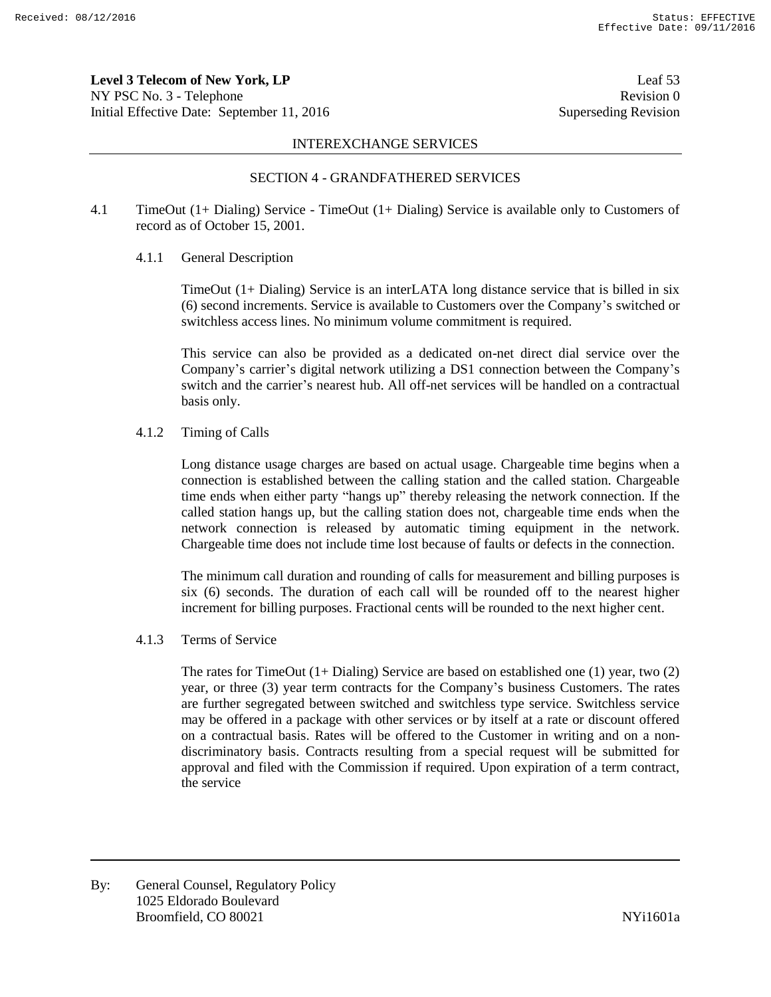**Level 3 Telecom of New York, LP** Leaf 53 NY PSC No. 3 - Telephone Revision 0 Initial Effective Date: September 11, 2016 Superseding Revision

#### INTEREXCHANGE SERVICES

# SECTION 4 - GRANDFATHERED SERVICES

4.1 TimeOut (1+ Dialing) Service - TimeOut (1+ Dialing) Service is available only to Customers of record as of October 15, 2001.

### 4.1.1 General Description

TimeOut (1+ Dialing) Service is an interLATA long distance service that is billed in six (6) second increments. Service is available to Customers over the Company's switched or switchless access lines. No minimum volume commitment is required.

This service can also be provided as a dedicated on-net direct dial service over the Company's carrier's digital network utilizing a DS1 connection between the Company's switch and the carrier's nearest hub. All off-net services will be handled on a contractual basis only.

4.1.2 Timing of Calls

Long distance usage charges are based on actual usage. Chargeable time begins when a connection is established between the calling station and the called station. Chargeable time ends when either party "hangs up" thereby releasing the network connection. If the called station hangs up, but the calling station does not, chargeable time ends when the network connection is released by automatic timing equipment in the network. Chargeable time does not include time lost because of faults or defects in the connection.

The minimum call duration and rounding of calls for measurement and billing purposes is six (6) seconds. The duration of each call will be rounded off to the nearest higher increment for billing purposes. Fractional cents will be rounded to the next higher cent.

4.1.3 Terms of Service

The rates for TimeOut  $(1+$  Dialing) Service are based on established one  $(1)$  year, two  $(2)$ year, or three (3) year term contracts for the Company's business Customers. The rates are further segregated between switched and switchless type service. Switchless service may be offered in a package with other services or by itself at a rate or discount offered on a contractual basis. Rates will be offered to the Customer in writing and on a nondiscriminatory basis. Contracts resulting from a special request will be submitted for approval and filed with the Commission if required. Upon expiration of a term contract, the service

By: General Counsel, Regulatory Policy 1025 Eldorado Boulevard Broomfield, CO 80021 and the state of the state of the NYi1601a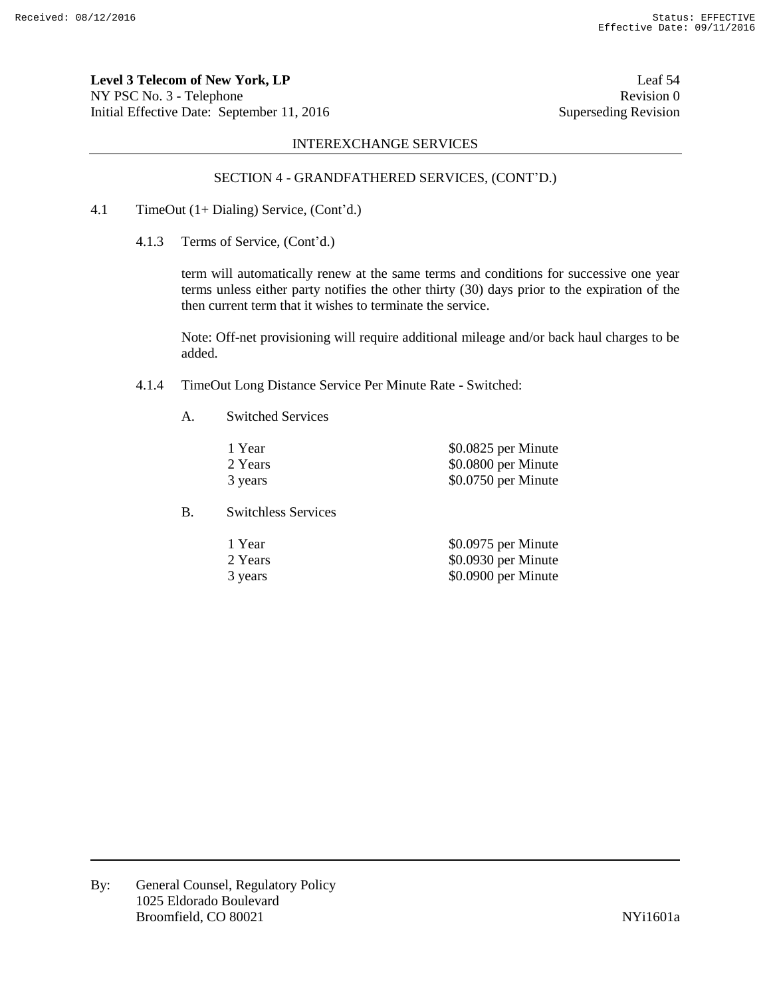**Level 3 Telecom of New York, LP** Leaf 54 NY PSC No. 3 - Telephone Revision 0 Initial Effective Date: September 11, 2016 Superseding Revision

# INTEREXCHANGE SERVICES

### SECTION 4 - GRANDFATHERED SERVICES, (CONT'D.)

- 4.1 TimeOut (1+ Dialing) Service, (Cont'd.)
	- 4.1.3 Terms of Service, (Cont'd.)

term will automatically renew at the same terms and conditions for successive one year terms unless either party notifies the other thirty (30) days prior to the expiration of the then current term that it wishes to terminate the service.

Note: Off-net provisioning will require additional mileage and/or back haul charges to be added.

- 4.1.4 TimeOut Long Distance Service Per Minute Rate Switched:
	- A. Switched Services

| 1 Year  | \$0.0825 per Minute |
|---------|---------------------|
| 2 Years | \$0.0800 per Minute |
| 3 years | \$0.0750 per Minute |

B. Switchless Services

| 1 Year  | \$0.0975 per Minute |
|---------|---------------------|
| 2 Years | \$0.0930 per Minute |
| 3 years | \$0.0900 per Minute |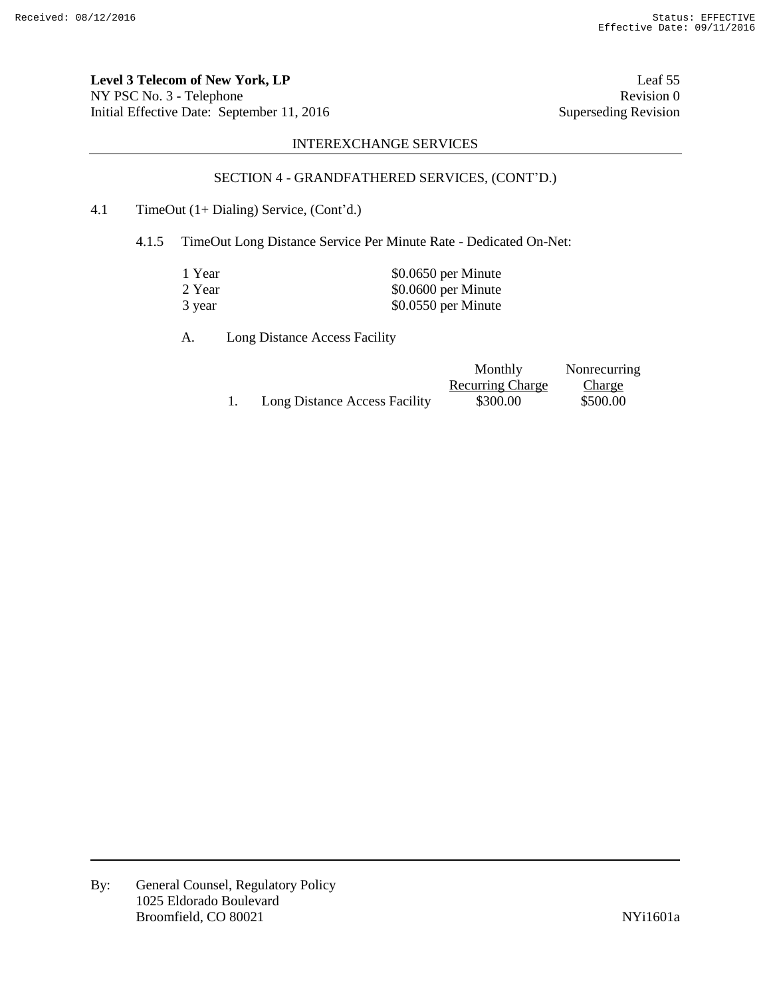**Level 3 Telecom of New York, LP** Leaf 55 NY PSC No. 3 - Telephone Revision 0<br>
Initial Effective Date: September 11, 2016 Superseding Revision 0 Initial Effective Date: September 11, 2016

# INTEREXCHANGE SERVICES

# SECTION 4 - GRANDFATHERED SERVICES, (CONT'D.)

# 4.1 TimeOut (1+ Dialing) Service, (Cont'd.)

4.1.5 TimeOut Long Distance Service Per Minute Rate - Dedicated On-Net:

| 1 Year | \$0.0650 per Minute |
|--------|---------------------|
| 2 Year | \$0.0600 per Minute |
| 3 year | \$0.0550 per Minute |

A. Long Distance Access Facility

|                               | Monthly                 | Nonrecurring  |
|-------------------------------|-------------------------|---------------|
|                               | <b>Recurring Charge</b> | <b>Charge</b> |
| Long Distance Access Facility | \$300.00                | \$500.00      |

By: General Counsel, Regulatory Policy 1025 Eldorado Boulevard Broomfield, CO 80021 NYi1601a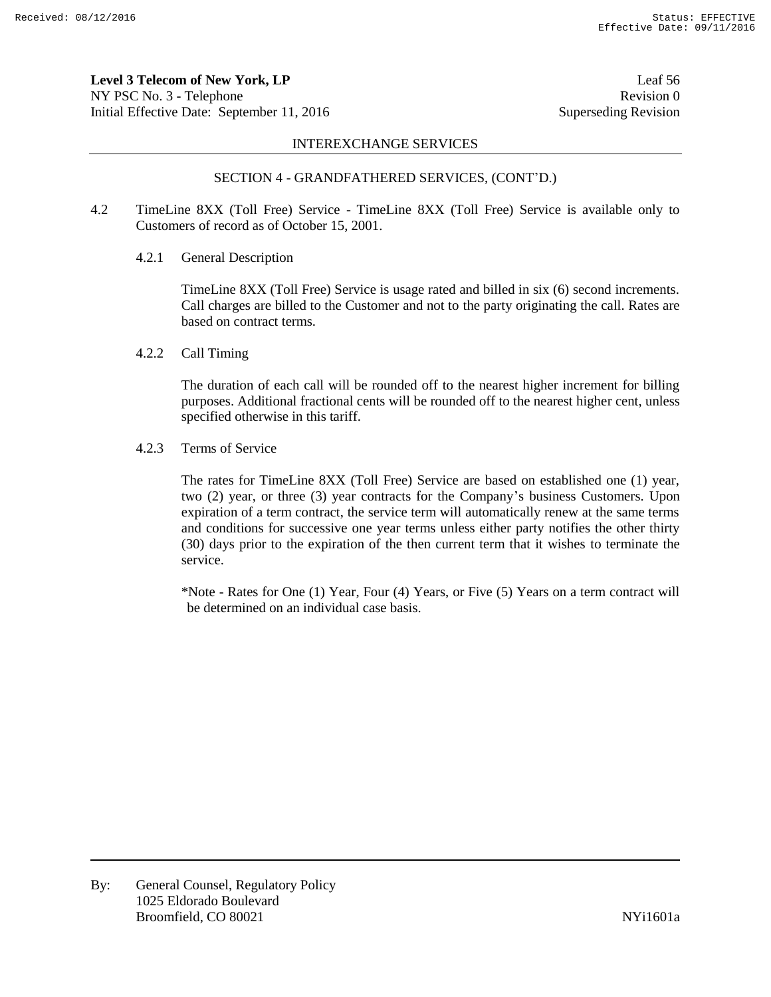**Level 3 Telecom of New York, LP** Leaf 56 NY PSC No. 3 - Telephone Revision 0 Initial Effective Date: September 11, 2016 Superseding Revision

#### INTEREXCHANGE SERVICES

#### SECTION 4 - GRANDFATHERED SERVICES, (CONT'D.)

- 4.2 TimeLine 8XX (Toll Free) Service TimeLine 8XX (Toll Free) Service is available only to Customers of record as of October 15, 2001.
	- 4.2.1 General Description

TimeLine 8XX (Toll Free) Service is usage rated and billed in six (6) second increments. Call charges are billed to the Customer and not to the party originating the call. Rates are based on contract terms.

4.2.2 Call Timing

The duration of each call will be rounded off to the nearest higher increment for billing purposes. Additional fractional cents will be rounded off to the nearest higher cent, unless specified otherwise in this tariff.

4.2.3 Terms of Service

The rates for TimeLine 8XX (Toll Free) Service are based on established one (1) year, two (2) year, or three (3) year contracts for the Company's business Customers. Upon expiration of a term contract, the service term will automatically renew at the same terms and conditions for successive one year terms unless either party notifies the other thirty (30) days prior to the expiration of the then current term that it wishes to terminate the service.

\*Note - Rates for One (1) Year, Four (4) Years, or Five (5) Years on a term contract will be determined on an individual case basis.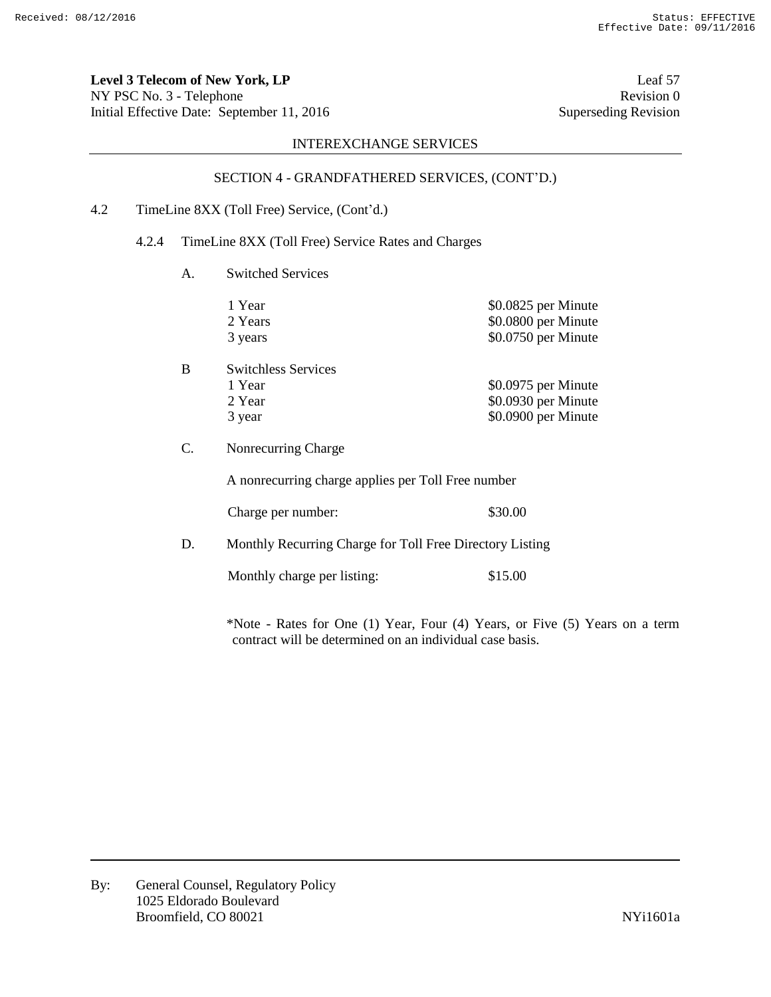**Level 3 Telecom of New York, LP** Leaf 57 NY PSC No. 3 - Telephone Revision 0 Initial Effective Date: September 11, 2016 Superseding Revision

# INTEREXCHANGE SERVICES

# SECTION 4 - GRANDFATHERED SERVICES, (CONT'D.)

# 4.2 TimeLine 8XX (Toll Free) Service, (Cont'd.)

# 4.2.4 TimeLine 8XX (Toll Free) Service Rates and Charges

A. Switched Services

|    | 1 Year<br>2 Years<br>3 years | \$0.0825 per Minute<br>\$0.0800 per Minute<br>\$0.0750 per Minute |
|----|------------------------------|-------------------------------------------------------------------|
| B  | <b>Switchless Services</b>   |                                                                   |
|    | 1 Year                       | \$0.0975 per Minute                                               |
|    | 2 Year                       | \$0.0930 per Minute                                               |
|    | 3 year                       | \$0.0900 per Minute                                               |
| C. | Nonrecurring Charge          |                                                                   |

A nonrecurring charge applies per Toll Free number

Charge per number: \$30.00

D. Monthly Recurring Charge for Toll Free Directory Listing

Monthly charge per listing: \$15.00

\*Note - Rates for One (1) Year, Four (4) Years, or Five (5) Years on a term contract will be determined on an individual case basis.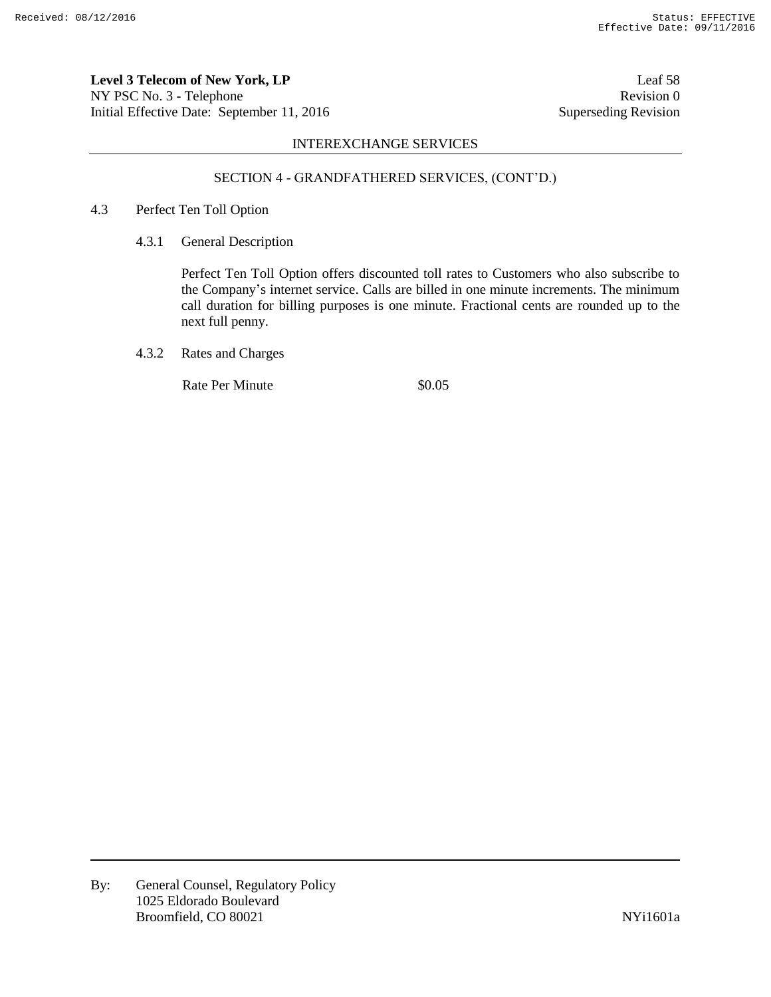**Level 3 Telecom of New York, LP** Leaf 58 NY PSC No. 3 - Telephone Revision 0 Initial Effective Date: September 11, 2016 Superseding Revision

# INTEREXCHANGE SERVICES

# SECTION 4 - GRANDFATHERED SERVICES, (CONT'D.)

- 4.3 Perfect Ten Toll Option
	- 4.3.1 General Description

Perfect Ten Toll Option offers discounted toll rates to Customers who also subscribe to the Company's internet service. Calls are billed in one minute increments. The minimum call duration for billing purposes is one minute. Fractional cents are rounded up to the next full penny.

4.3.2 Rates and Charges

Rate Per Minute  $\$0.05$ 

By: General Counsel, Regulatory Policy 1025 Eldorado Boulevard Broomfield, CO 80021 NYi1601a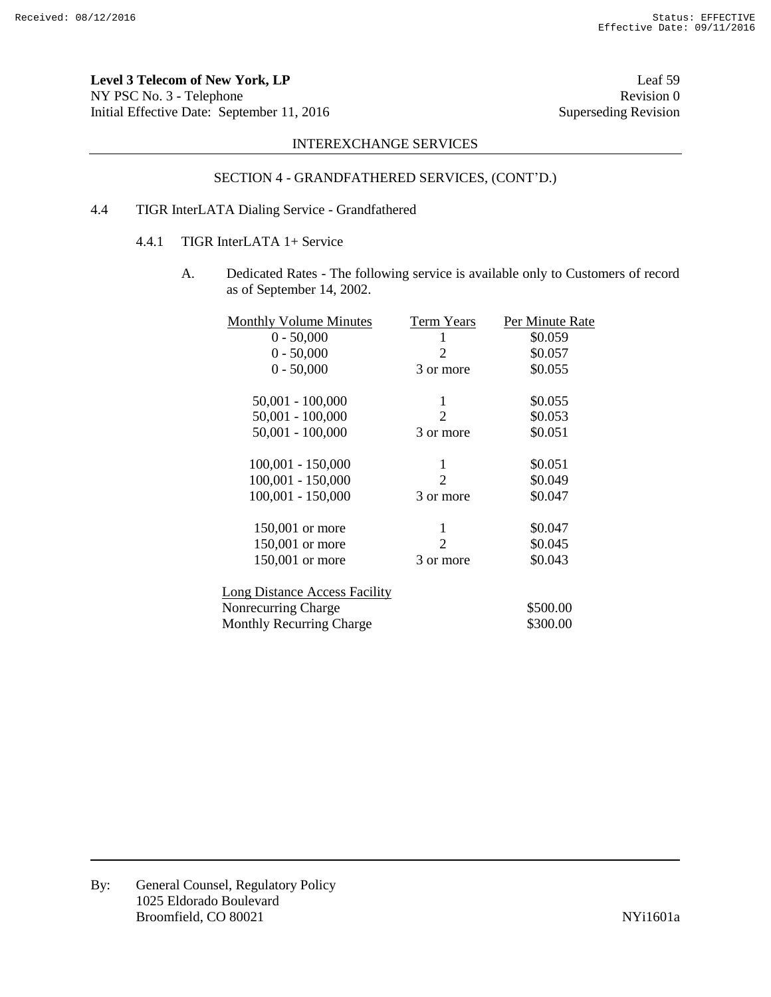**Level 3 Telecom of New York, LP** Leaf 59 NY PSC No. 3 - Telephone Revision 0<br>
Initial Effective Date: September 11, 2016 Superseding Revision 0 Initial Effective Date: September 11, 2016

# INTEREXCHANGE SERVICES

# SECTION 4 - GRANDFATHERED SERVICES, (CONT'D.)

# 4.4 TIGR InterLATA Dialing Service - Grandfathered

- 4.4.1 TIGR InterLATA 1+ Service
	- A. Dedicated Rates The following service is available only to Customers of record as of September 14, 2002.

| <b>Monthly Volume Minutes</b>        | Term Years | Per Minute Rate |
|--------------------------------------|------------|-----------------|
| $0 - 50,000$                         |            | \$0.059         |
| $0 - 50,000$                         | 2          | \$0.057         |
| $0 - 50,000$                         | 3 or more  | \$0.055         |
| $50,001 - 100,000$                   | 1          | \$0.055         |
| $50,001 - 100,000$                   | 2          | \$0.053         |
| $50,001 - 100,000$                   | 3 or more  | \$0.051         |
| $100,001 - 150,000$                  | 1          | \$0.051         |
| $100,001 - 150,000$                  | 2          | \$0.049         |
| 100,001 - 150,000                    | 3 or more  | \$0.047         |
| 150,001 or more                      | 1          | \$0.047         |
| 150,001 or more                      | 2          | \$0.045         |
| 150,001 or more                      | 3 or more  | \$0.043         |
| <b>Long Distance Access Facility</b> |            |                 |
| Nonrecurring Charge                  |            | \$500.00        |
| <b>Monthly Recurring Charge</b>      |            | \$300.00        |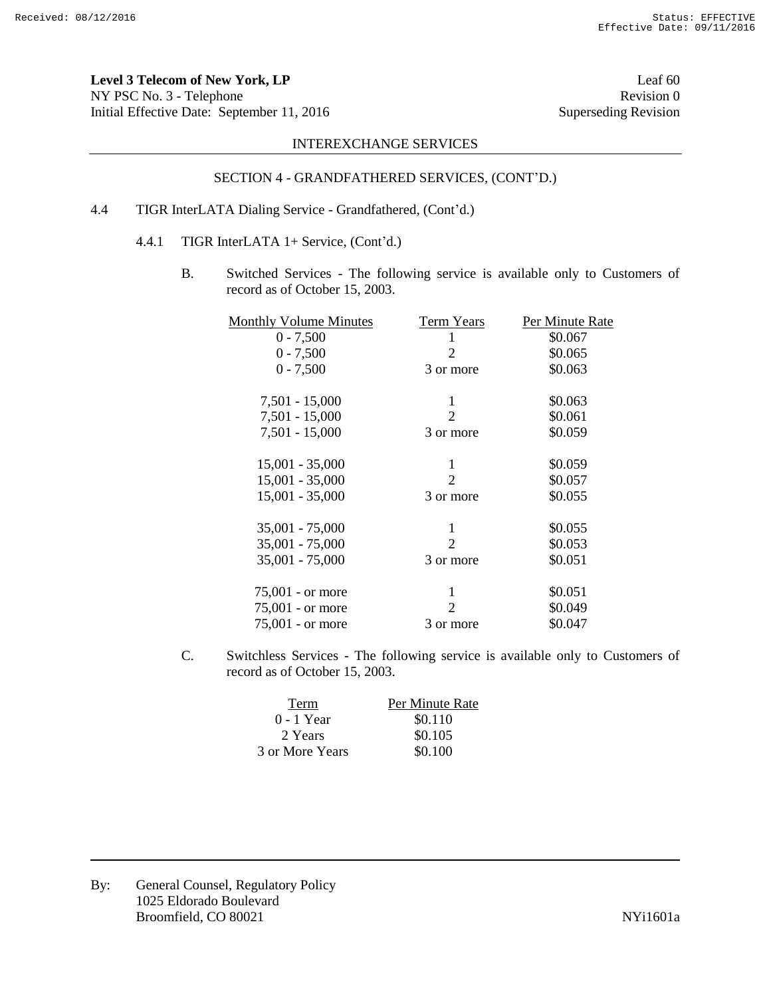**Level 3 Telecom of New York, LP** Leaf 60 NY PSC No. 3 - Telephone Revision 0<br>
Initial Effective Date: September 11, 2016 Superseding Revision Initial Effective Date: September 11, 2016

# INTEREXCHANGE SERVICES

# SECTION 4 - GRANDFATHERED SERVICES, (CONT'D.)

# 4.4 TIGR InterLATA Dialing Service - Grandfathered, (Cont'd.)

- 4.4.1 TIGR InterLATA 1+ Service, (Cont'd.)
	- B. Switched Services The following service is available only to Customers of record as of October 15, 2003.

| <b>Monthly Volume Minutes</b> | <b>Term Years</b>           | Per Minute Rate |
|-------------------------------|-----------------------------|-----------------|
| $0 - 7,500$                   |                             | \$0.067         |
| $0 - 7,500$                   | 2                           | \$0.065         |
| $0 - 7,500$                   | 3 or more                   | \$0.063         |
| $7,501 - 15,000$              | 1                           | \$0.063         |
| $7,501 - 15,000$              | 2                           | \$0.061         |
| $7,501 - 15,000$              | 3 or more                   | \$0.059         |
| $15,001 - 35,000$             | 1                           | \$0.059         |
| $15,001 - 35,000$             | 2                           | \$0.057         |
| $15,001 - 35,000$             | 3 or more                   | \$0.055         |
| 35,001 - 75,000               | 1                           | \$0.055         |
| $35,001 - 75,000$             | 2                           | \$0.053         |
| $35,001 - 75,000$             | 3 or more                   | \$0.051         |
| $75,001$ - or more            | 1                           | \$0.051         |
| 75,001 - or more              | $\mathcal{D}_{\mathcal{L}}$ | \$0.049         |
| $75,001$ - or more            | 3 or more                   | \$0.047         |
|                               |                             |                 |

C. Switchless Services - The following service is available only to Customers of record as of October 15, 2003.

| Term            | Per Minute Rate |
|-----------------|-----------------|
| 0 - 1 Year      | \$0.110         |
| 2 Years         | \$0.105         |
| 3 or More Years | \$0.100         |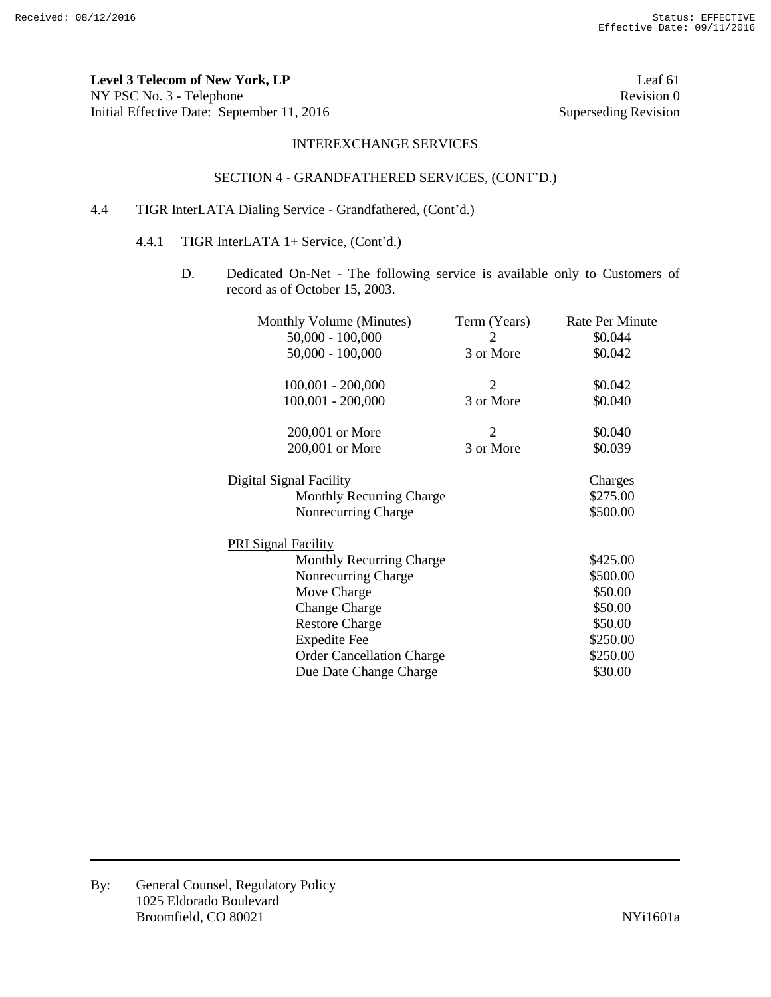**Level 3 Telecom of New York, LP** Leaf 61 NY PSC No. 3 - Telephone Revision 0<br>
Initial Effective Date: September 11, 2016 Superseding Revision 0 Initial Effective Date: September 11, 2016

# INTEREXCHANGE SERVICES

# SECTION 4 - GRANDFATHERED SERVICES, (CONT'D.)

# 4.4 TIGR InterLATA Dialing Service - Grandfathered, (Cont'd.)

- 4.4.1 TIGR InterLATA 1+ Service, (Cont'd.)
	- D. Dedicated On-Net The following service is available only to Customers of record as of October 15, 2003.

| <b>Monthly Volume (Minutes)</b>  | Term (Years)   | Rate Per Minute |
|----------------------------------|----------------|-----------------|
| $50,000 - 100,000$               | 2              | \$0.044         |
| $50,000 - 100,000$               | 3 or More      | \$0.042         |
| $100,001 - 200,000$              | $\overline{2}$ | \$0.042         |
| 100,001 - 200,000                | 3 or More      | \$0.040         |
| 200,001 or More                  | 2              | \$0.040         |
| 200,001 or More                  | 3 or More      | \$0.039         |
| <u>Digital Signal Facility</u>   |                | <u>Charges</u>  |
| <b>Monthly Recurring Charge</b>  |                | \$275.00        |
| Nonrecurring Charge              |                | \$500.00        |
| <b>PRI Signal Facility</b>       |                |                 |
| <b>Monthly Recurring Charge</b>  |                | \$425.00        |
| Nonrecurring Charge              |                | \$500.00        |
| Move Charge                      |                | \$50.00         |
| <b>Change Charge</b>             |                | \$50.00         |
| <b>Restore Charge</b>            |                | \$50.00         |
| <b>Expedite Fee</b>              |                | \$250.00        |
| <b>Order Cancellation Charge</b> |                | \$250.00        |
| Due Date Change Charge           |                | \$30.00         |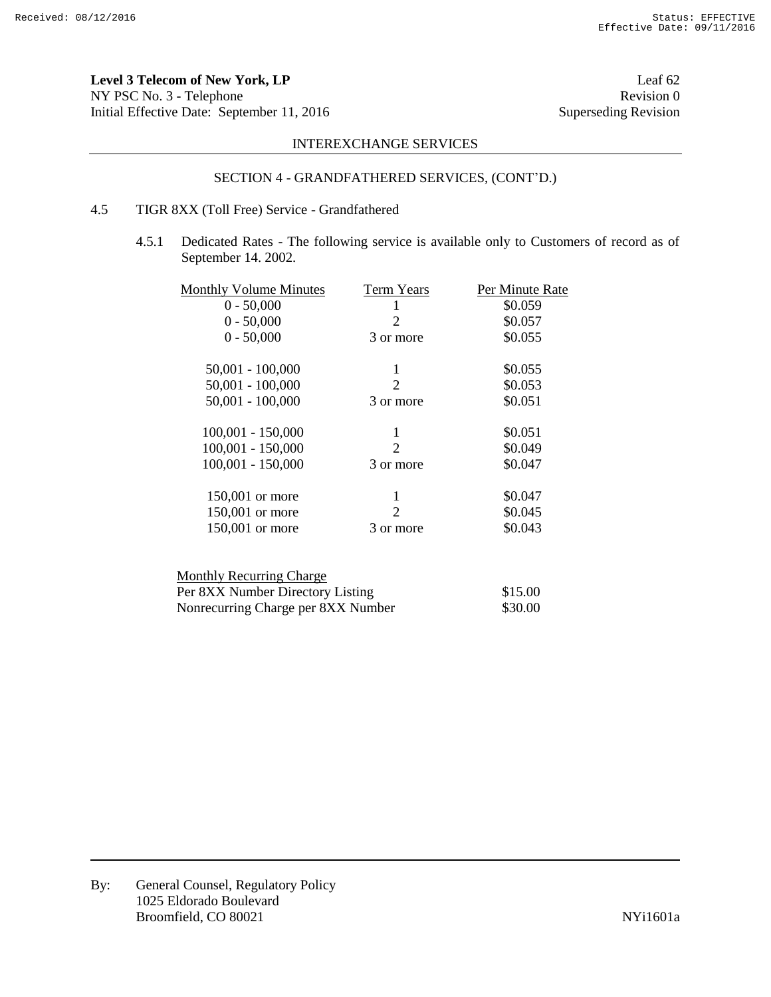**Level 3 Telecom of New York, LP** Leaf 62 NY PSC No. 3 - Telephone Revision 0<br>
Initial Effective Date: September 11, 2016 Superseding Revision Initial Effective Date: September 11, 2016

# INTEREXCHANGE SERVICES

# SECTION 4 - GRANDFATHERED SERVICES, (CONT'D.)

# 4.5 TIGR 8XX (Toll Free) Service - Grandfathered

4.5.1 Dedicated Rates - The following service is available only to Customers of record as of September 14. 2002.

| <b>Monthly Volume Minutes</b> | Term Years                  | Per Minute Rate |
|-------------------------------|-----------------------------|-----------------|
| $0 - 50,000$                  |                             | \$0.059         |
| $0 - 50,000$                  | 2                           | \$0.057         |
| $0 - 50,000$                  | 3 or more                   | \$0.055         |
| $50,001 - 100,000$            | 1                           | \$0.055         |
| $50,001 - 100,000$            | $\mathcal{D}_{\mathcal{L}}$ | \$0.053         |
| $50,001 - 100,000$            | 3 or more                   | \$0.051         |
| $100,001 - 150,000$           | 1                           | \$0.051         |
| $100,001 - 150,000$           | $\mathcal{D}_{\cdot}$       | \$0.049         |
| $100,001 - 150,000$           | 3 or more                   | \$0.047         |
| 150,001 or more               |                             | \$0.047         |
| 150,001 or more               | 2                           | \$0.045         |
| 150,001 or more               | 3 or more                   | \$0.043         |
|                               |                             |                 |

| \$15.00 |
|---------|
| \$30.00 |
|         |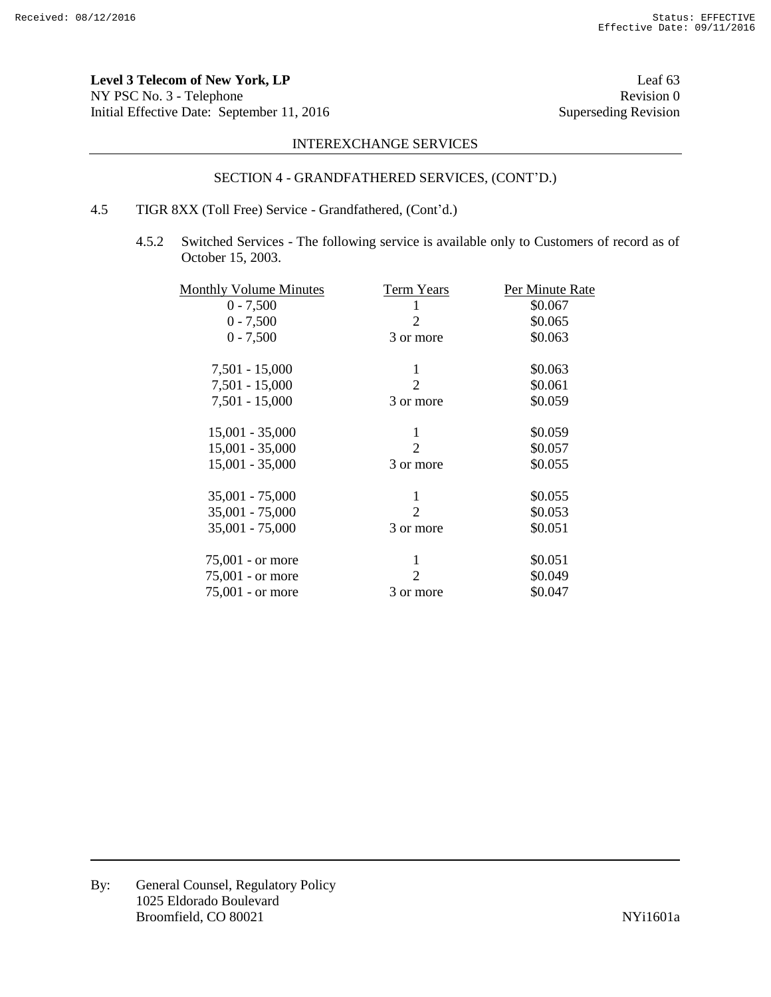Level 3 Telecom of New York, LP<br>
Leaf 63 NY PSC No. 3 - Telephone Revision 0<br>
Initial Effective Date: September 11, 2016 Superseding Revision 0 Initial Effective Date: September 11, 2016

# INTEREXCHANGE SERVICES

# SECTION 4 - GRANDFATHERED SERVICES, (CONT'D.)

# 4.5 TIGR 8XX (Toll Free) Service - Grandfathered, (Cont'd.)

4.5.2 Switched Services - The following service is available only to Customers of record as of October 15, 2003.

| <b>Monthly Volume Minutes</b> | <b>Term Years</b>     | Per Minute Rate |
|-------------------------------|-----------------------|-----------------|
| $0 - 7,500$                   | 1                     | \$0.067         |
| $0 - 7,500$                   | $\mathcal{D}_{\cdot}$ | \$0.065         |
| $0 - 7,500$                   | 3 or more             | \$0.063         |
| 7,501 - 15,000                | 1                     | \$0.063         |
| $7,501 - 15,000$              | $\overline{2}$        | \$0.061         |
| $7,501 - 15,000$              | 3 or more             | \$0.059         |
| $15,001 - 35,000$             | 1                     | \$0.059         |
| $15,001 - 35,000$             | $\overline{2}$        | \$0.057         |
| $15,001 - 35,000$             | 3 or more             | \$0.055         |
| $35,001 - 75,000$             | 1                     | \$0.055         |
| $35,001 - 75,000$             | $\overline{2}$        | \$0.053         |
| 35,001 - 75,000               | 3 or more             | \$0.051         |
| $75,001$ - or more            | 1                     | \$0.051         |
| $75,001$ - or more            | 2                     | \$0.049         |
| $75,001$ - or more            | 3 or more             | \$0.047         |
|                               |                       |                 |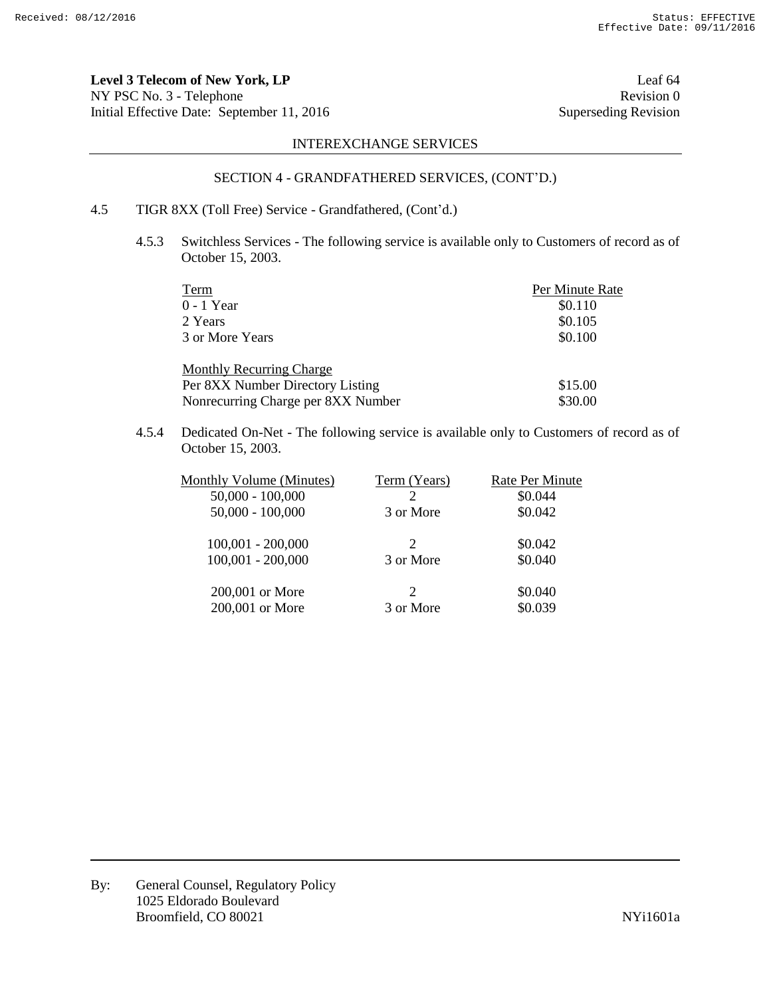**Level 3 Telecom of New York, LP** Leaf 64 NY PSC No. 3 - Telephone Revision 0 Initial Effective Date: September 11, 2016 Superseding Revision

# INTEREXCHANGE SERVICES

# SECTION 4 - GRANDFATHERED SERVICES, (CONT'D.)

# 4.5 TIGR 8XX (Toll Free) Service - Grandfathered, (Cont'd.)

4.5.3 Switchless Services - The following service is available only to Customers of record as of October 15, 2003.

| Term                               | Per Minute Rate |
|------------------------------------|-----------------|
| $0 - 1$ Year                       | \$0.110         |
| 2 Years                            | \$0.105         |
| 3 or More Years                    | \$0.100         |
| <b>Monthly Recurring Charge</b>    |                 |
| Per 8XX Number Directory Listing   | \$15.00         |
| Nonrecurring Charge per 8XX Number | \$30.00         |

4.5.4 Dedicated On-Net - The following service is available only to Customers of record as of October 15, 2003.

| <b>Monthly Volume (Minutes)</b> | Term (Years)                | <b>Rate Per Minute</b> |
|---------------------------------|-----------------------------|------------------------|
| $50,000 - 100,000$              | 2                           | \$0.044                |
| $50,000 - 100,000$              | 3 or More                   | \$0.042                |
| $100,001 - 200,000$             | $\mathcal{D}_{\mathcal{L}}$ | \$0.042                |
| $100,001 - 200,000$             | 3 or More                   | \$0.040                |
| 200,001 or More                 | $\mathcal{D}_{\mathcal{L}}$ | \$0.040                |
| 200,001 or More                 | 3 or More                   | \$0.039                |